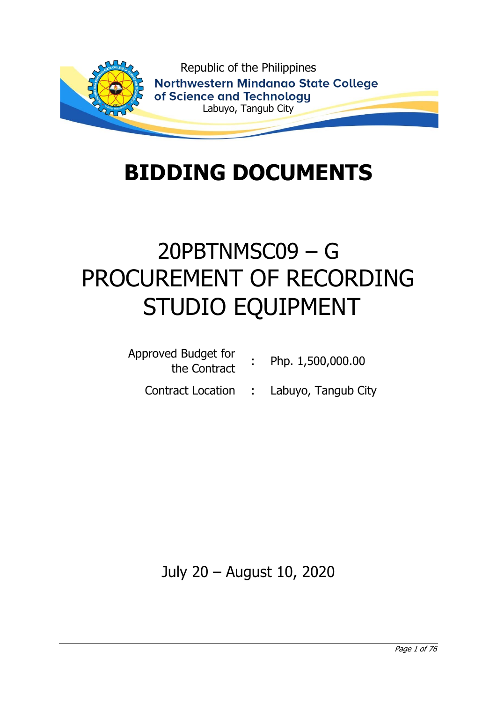

# **BIDDING DOCUMENTS**

# 20PBTNMSC09 – G PROCUREMENT OF RECORDING STUDIO EQUIPMENT

| Approved Budget for<br>the Contract |  | Php. 1,500,000.00   |  |
|-------------------------------------|--|---------------------|--|
| <b>Contract Location</b>            |  | Labuyo, Tangub City |  |

July 20 – August 10, 2020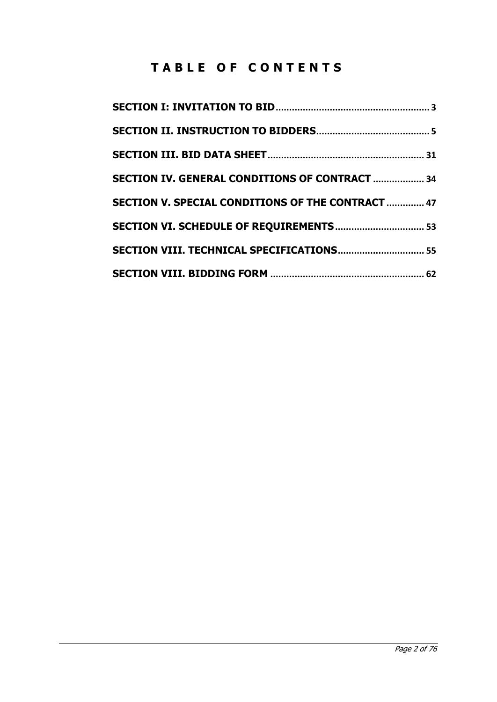# **T A B L E O F C O N T E N T S**

| SECTION IV. GENERAL CONDITIONS OF CONTRACT  34    |  |
|---------------------------------------------------|--|
| SECTION V. SPECIAL CONDITIONS OF THE CONTRACT  47 |  |
| SECTION VI. SCHEDULE OF REQUIREMENTS 53           |  |
|                                                   |  |
|                                                   |  |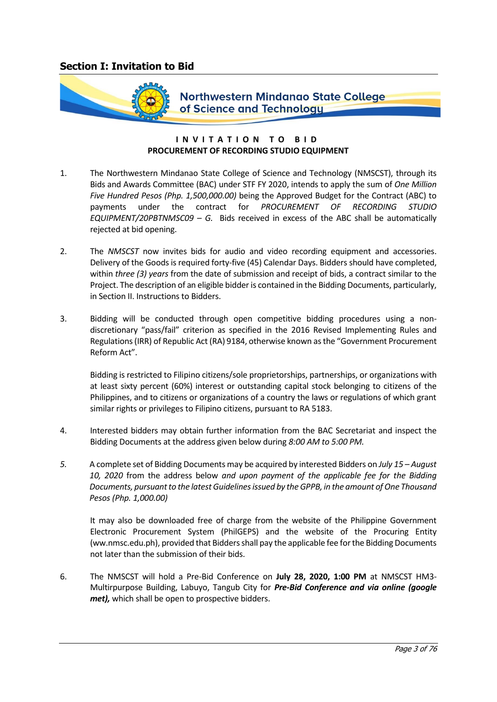### <span id="page-2-0"></span>**Section I: Invitation to Bid**



Northwestern Mindango State College of Science and Technology

#### **I N V I T A T I O N T O B I D PROCUREMENT OF RECORDING STUDIO EQUIPMENT**

- 1. The Northwestern Mindanao State College of Science and Technology (NMSCST), through its Bids and Awards Committee (BAC) under STF FY 2020, intends to apply the sum of *One Million Five Hundred Pesos (Php. 1,500,000.00)* being the Approved Budget for the Contract (ABC) to payments under the contract for *PROCUREMENT OF RECORDING STUDIO EQUIPMENT/20PBTNMSC09 – G.* Bids received in excess of the ABC shall be automatically rejected at bid opening.
- 2. The *NMSCST* now invites bids for audio and video recording equipment and accessories. Delivery of the Goods is required forty-five (45) Calendar Days. Bidders should have completed, within *three (3) years* from the date of submission and receipt of bids, a contract similar to the Project. The description of an eligible bidder is contained in the Bidding Documents, particularly, in Section II. Instructions to Bidders.
- 3. Bidding will be conducted through open competitive bidding procedures using a nondiscretionary "pass/fail" criterion as specified in the 2016 Revised Implementing Rules and Regulations (IRR) of Republic Act (RA) 9184, otherwise known as the "Government Procurement Reform Act".

Bidding is restricted to Filipino citizens/sole proprietorships, partnerships, or organizations with at least sixty percent (60%) interest or outstanding capital stock belonging to citizens of the Philippines, and to citizens or organizations of a country the laws or regulations of which grant similar rights or privileges to Filipino citizens, pursuant to RA 5183.

- 4. Interested bidders may obtain further information from the BAC Secretariat and inspect the Bidding Documents at the address given below during *8:00 AM to 5:00 PM.*
- *5.* A complete set of Bidding Documents may be acquired by interested Bidders on *July 15 – August 10, 2020* from the address below *and upon payment of the applicable fee for the Bidding Documents, pursuant to the latest Guidelines issued by the GPPB, in the amount of One Thousand Pesos (Php. 1,000.00)*

It may also be downloaded free of charge from the website of the Philippine Government Electronic Procurement System (PhilGEPS) and the website of the Procuring Entity (ww.nmsc.edu.ph), provided that Bidders shall pay the applicable fee for the Bidding Documents not later than the submission of their bids.

6. The NMSCST will hold a Pre-Bid Conference on **July 28, 2020, 1:00 PM** at NMSCST HM3- Multirpurpose Building, Labuyo, Tangub City for *Pre-Bid Conference and via online (google met),* which shall be open to prospective bidders.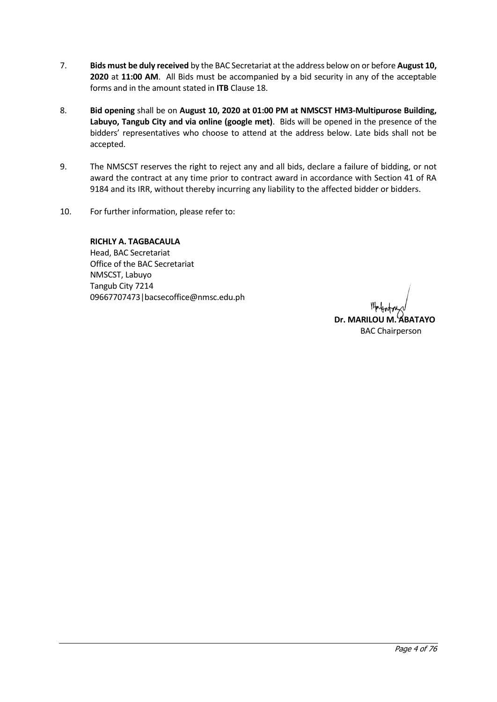- 7. **Bids must be duly received** by the BAC Secretariat at the address below on or before **August 10, 2020** at **11:00 AM**. All Bids must be accompanied by a bid security in any of the acceptable forms and in the amount stated in **ITB** Claus[e 18.](#page-17-0)
- 8. **Bid opening** shall be on **August 10, 2020 at 01:00 PM at NMSCST HM3-Multipurose Building, Labuyo, Tangub City and via online (google met)**. Bids will be opened in the presence of the bidders' representatives who choose to attend at the address below. Late bids shall not be accepted.
- 9. The NMSCST reserves the right to reject any and all bids, declare a failure of bidding, or not award the contract at any time prior to contract award in accordance with Section 41 of RA 9184 and its IRR, without thereby incurring any liability to the affected bidder or bidders.
- 10. For further information, please refer to:

#### **RICHLY A. TAGBACAULA**

Head, BAC Secretariat Office of the BAC Secretariat NMSCST, Labuyo Tangub City 7214 09667707473|bacsecoffice@nmsc.edu.ph

 **Dr. MARILOU M. ABATAYO** BAC Chairperson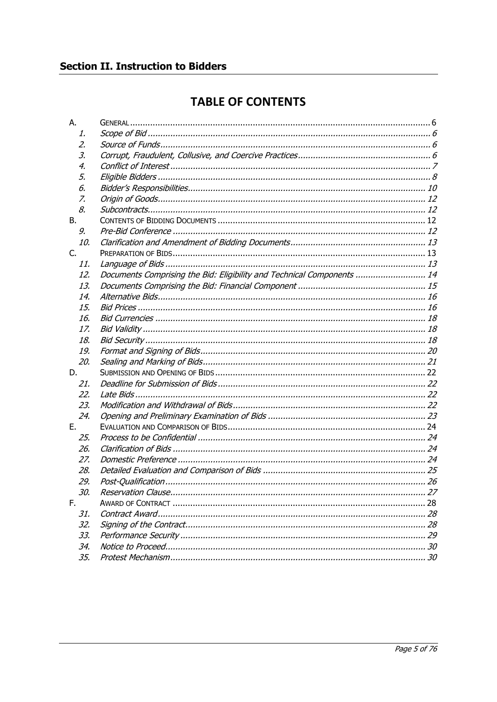## **TABLE OF CONTENTS**

<span id="page-4-0"></span>

| А.        |                                                                        |  |
|-----------|------------------------------------------------------------------------|--|
| 1.        |                                                                        |  |
| 2.        |                                                                        |  |
| 3.        |                                                                        |  |
| 4.        |                                                                        |  |
| 5.        |                                                                        |  |
| 6.        |                                                                        |  |
| 7.        |                                                                        |  |
| 8.        |                                                                        |  |
| <b>B.</b> |                                                                        |  |
| 9.        |                                                                        |  |
| 10.       |                                                                        |  |
| C.        |                                                                        |  |
| 11.       |                                                                        |  |
| 12.       | Documents Comprising the Bid: Eligibility and Technical Components  14 |  |
| 13.       |                                                                        |  |
| 14.       |                                                                        |  |
| 15.       |                                                                        |  |
| 16.       |                                                                        |  |
| 17.       |                                                                        |  |
| 18.       |                                                                        |  |
| 19.       |                                                                        |  |
| 20.       |                                                                        |  |
| D.        |                                                                        |  |
| 21.       |                                                                        |  |
| 22.       |                                                                        |  |
| 23.       |                                                                        |  |
| 24.       |                                                                        |  |
| E.        |                                                                        |  |
| 25.       |                                                                        |  |
| 26.       |                                                                        |  |
| 27.       |                                                                        |  |
| 28.       |                                                                        |  |
| 29.       |                                                                        |  |
| 30.       |                                                                        |  |
| F.        |                                                                        |  |
| 31.       |                                                                        |  |
| 32.       |                                                                        |  |
| 33.       |                                                                        |  |
| 34.       |                                                                        |  |
| 35.       |                                                                        |  |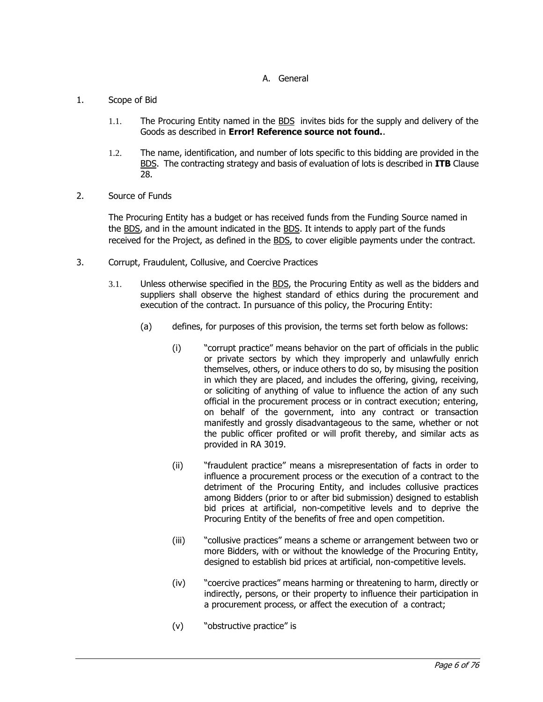#### <span id="page-5-6"></span>A. General

- <span id="page-5-5"></span><span id="page-5-1"></span><span id="page-5-0"></span>1. Scope of Bid
	- 1.1. The Procuring Entity named in the [BDS](#page-30-1) invites bids for the supply and delivery of the Goods as described in **Error! Reference source not found.**.
	- 1.2. The name, identification, and number of lots specific to this bidding are provided in the BDS. The contracting strategy and basis of evaluation of lots is described in **ITB** Clause [28.](#page-24-1)
- <span id="page-5-7"></span>2. Source of Funds

The Procuring Entity has a budget or has received funds from the Funding Source named in the BDS, and in the amount indicated in the BDS. It intends to apply part of the funds received for the Project, as defined in the BDS, to cover eligible payments under the contract.

- <span id="page-5-8"></span><span id="page-5-4"></span><span id="page-5-3"></span><span id="page-5-2"></span>3. Corrupt, Fraudulent, Collusive, and Coercive Practices
	- 3.1. Unless otherwise specified in the BDS, the Procuring Entity as well as the bidders and suppliers shall observe the highest standard of ethics during the procurement and execution of the contract. In pursuance of this policy, the Procuring Entity:
		- (a) defines, for purposes of this provision, the terms set forth below as follows:
			- (i) "corrupt practice" means behavior on the part of officials in the public or private sectors by which they improperly and unlawfully enrich themselves, others, or induce others to do so, by misusing the position in which they are placed, and includes the offering, giving, receiving, or soliciting of anything of value to influence the action of any such official in the procurement process or in contract execution; entering, on behalf of the government, into any contract or transaction manifestly and grossly disadvantageous to the same, whether or not the public officer profited or will profit thereby, and similar acts as provided in RA 3019.
			- (ii) "fraudulent practice" means a misrepresentation of facts in order to influence a procurement process or the execution of a contract to the detriment of the Procuring Entity, and includes collusive practices among Bidders (prior to or after bid submission) designed to establish bid prices at artificial, non-competitive levels and to deprive the Procuring Entity of the benefits of free and open competition.
			- (iii) "collusive practices" means a scheme or arrangement between two or more Bidders, with or without the knowledge of the Procuring Entity, designed to establish bid prices at artificial, non-competitive levels.
			- (iv) "coercive practices" means harming or threatening to harm, directly or indirectly, persons, or their property to influence their participation in a procurement process, or affect the execution of a contract;
			- (v) "obstructive practice" is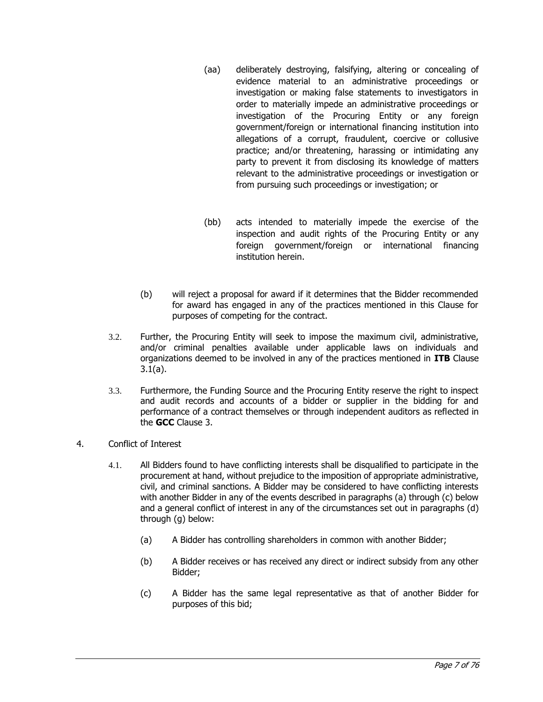- (aa) deliberately destroying, falsifying, altering or concealing of evidence material to an administrative proceedings or investigation or making false statements to investigators in order to materially impede an administrative proceedings or investigation of the Procuring Entity or any foreign government/foreign or international financing institution into allegations of a corrupt, fraudulent, coercive or collusive practice; and/or threatening, harassing or intimidating any party to prevent it from disclosing its knowledge of matters relevant to the administrative proceedings or investigation or from pursuing such proceedings or investigation; or
- (bb) acts intended to materially impede the exercise of the inspection and audit rights of the Procuring Entity or any foreign government/foreign or international financing institution herein.
- (b) will reject a proposal for award if it determines that the Bidder recommended for award has engaged in any of the practices mentioned in this Clause for purposes of competing for the contract.
- 3.2. Further, the Procuring Entity will seek to impose the maximum civil, administrative, and/or criminal penalties available under applicable laws on individuals and organizations deemed to be involved in any of the practices mentioned in **ITB** Clause [3.1\(a\).](#page-5-4)
- 3.3. Furthermore, the Funding Source and the Procuring Entity reserve the right to inspect and audit records and accounts of a bidder or supplier in the bidding for and performance of a contract themselves or through independent auditors as reflected in the **GCC** Clause [3.](#page-36-0)
- <span id="page-6-0"></span>4. Conflict of Interest
	- 4.1. All Bidders found to have conflicting interests shall be disqualified to participate in the procurement at hand, without prejudice to the imposition of appropriate administrative, civil, and criminal sanctions. A Bidder may be considered to have conflicting interests with another Bidder in any of the events described in paragraphs (a) through (c) below and a general conflict of interest in any of the circumstances set out in paragraphs (d) through (g) below:
		- (a) A Bidder has controlling shareholders in common with another Bidder;
		- (b) A Bidder receives or has received any direct or indirect subsidy from any other Bidder;
		- (c) A Bidder has the same legal representative as that of another Bidder for purposes of this bid;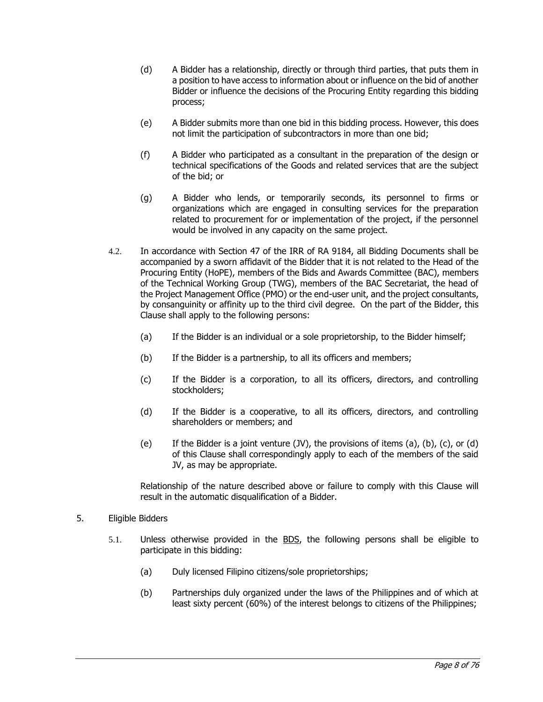- (d) A Bidder has a relationship, directly or through third parties, that puts them in a position to have access to information about or influence on the bid of another Bidder or influence the decisions of the Procuring Entity regarding this bidding process;
- (e) A Bidder submits more than one bid in this bidding process. However, this does not limit the participation of subcontractors in more than one bid;
- (f) A Bidder who participated as a consultant in the preparation of the design or technical specifications of the Goods and related services that are the subject of the bid; or
- (g) A Bidder who lends, or temporarily seconds, its personnel to firms or organizations which are engaged in consulting services for the preparation related to procurement for or implementation of the project, if the personnel would be involved in any capacity on the same project.
- 4.2. In accordance with Section 47 of the IRR of RA 9184, all Bidding Documents shall be accompanied by a sworn affidavit of the Bidder that it is not related to the Head of the Procuring Entity (HoPE), members of the Bids and Awards Committee (BAC), members of the Technical Working Group (TWG), members of the BAC Secretariat, the head of the Project Management Office (PMO) or the end-user unit, and the project consultants, by consanguinity or affinity up to the third civil degree. On the part of the Bidder, this Clause shall apply to the following persons:
	- (a) If the Bidder is an individual or a sole proprietorship, to the Bidder himself;
	- (b) If the Bidder is a partnership, to all its officers and members;
	- (c) If the Bidder is a corporation, to all its officers, directors, and controlling stockholders;
	- (d) If the Bidder is a cooperative, to all its officers, directors, and controlling shareholders or members; and
	- (e) If the Bidder is a joint venture  $(JV)$ , the provisions of items  $(a)$ ,  $(b)$ ,  $(c)$ , or  $(d)$ of this Clause shall correspondingly apply to each of the members of the said JV, as may be appropriate.

Relationship of the nature described above or failure to comply with this Clause will result in the automatic disqualification of a Bidder.

- <span id="page-7-2"></span><span id="page-7-1"></span><span id="page-7-0"></span>5. Eligible Bidders
	- 5.1. Unless otherwise provided in the [BDS,](#page-30-2) the following persons shall be eligible to participate in this bidding:
		- (a) Duly licensed Filipino citizens/sole proprietorships;
		- (b) Partnerships duly organized under the laws of the Philippines and of which at least sixty percent (60%) of the interest belongs to citizens of the Philippines;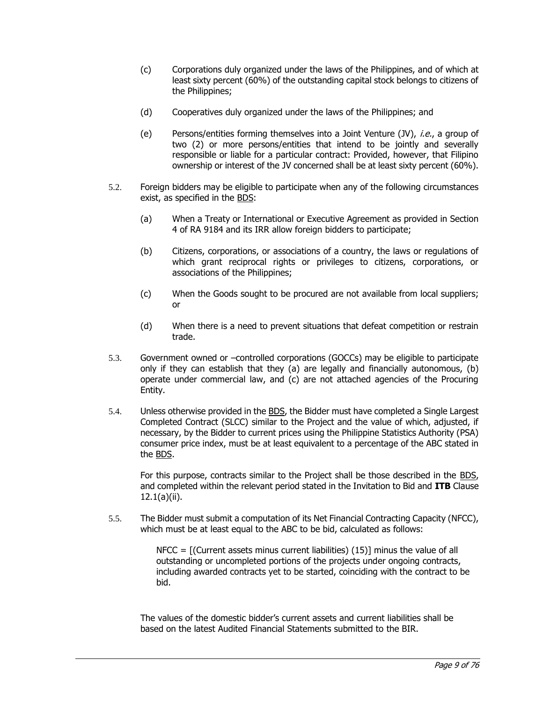- (c) Corporations duly organized under the laws of the Philippines, and of which at least sixty percent (60%) of the outstanding capital stock belongs to citizens of the Philippines;
- (d) Cooperatives duly organized under the laws of the Philippines; and
- (e) Persons/entities forming themselves into a Joint Venture  $JV$ , *i.e.*, a group of two (2) or more persons/entities that intend to be jointly and severally responsible or liable for a particular contract: Provided, however, that Filipino ownership or interest of the JV concerned shall be at least sixty percent (60%).
- <span id="page-8-1"></span><span id="page-8-0"></span>5.2. Foreign bidders may be eligible to participate when any of the following circumstances exist, as specified in the BDS:
	- (a) When a Treaty or International or Executive Agreement as provided in Section 4 of RA 9184 and its IRR allow foreign bidders to participate;
	- (b) Citizens, corporations, or associations of a country, the laws or regulations of which grant reciprocal rights or privileges to citizens, corporations, or associations of the Philippines;
	- (c) When the Goods sought to be procured are not available from local suppliers; or
	- (d) When there is a need to prevent situations that defeat competition or restrain trade.
- 5.3. Government owned or –controlled corporations (GOCCs) may be eligible to participate only if they can establish that they (a) are legally and financially autonomous, (b) operate under commercial law, and (c) are not attached agencies of the Procuring Entity.
- <span id="page-8-2"></span>5.4. Unless otherwise provided in the BDS, the Bidder must have completed a Single Largest Completed Contract (SLCC) similar to the Project and the value of which, adjusted, if necessary, by the Bidder to current prices using the Philippine Statistics Authority (PSA) consumer price index, must be at least equivalent to a percentage of the ABC stated in the BDS.

For this purpose, contracts similar to the Project shall be those described in the BDS, and completed within the relevant period stated in the Invitation to Bid and **ITB** Clause 12.1(a)(ii).

5.5. The Bidder must submit a computation of its Net Financial Contracting Capacity (NFCC), which must be at least equal to the ABC to be bid, calculated as follows:

> $NFCC = [(Current assets minus current liabilities) (15)] minus the value of all$ outstanding or uncompleted portions of the projects under ongoing contracts, including awarded contracts yet to be started, coinciding with the contract to be bid.

The values of the domestic bidder's current assets and current liabilities shall be based on the latest Audited Financial Statements submitted to the BIR.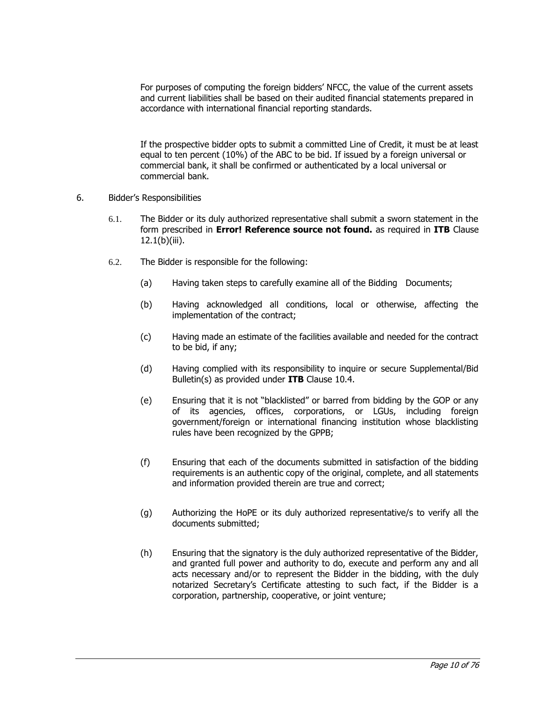For purposes of computing the foreign bidders' NFCC, the value of the current assets and current liabilities shall be based on their audited financial statements prepared in accordance with international financial reporting standards.

If the prospective bidder opts to submit a committed Line of Credit, it must be at least equal to ten percent (10%) of the ABC to be bid. If issued by a foreign universal or commercial bank, it shall be confirmed or authenticated by a local universal or commercial bank.

- <span id="page-9-0"></span>6. Bidder's Responsibilities
	- 6.1. The Bidder or its duly authorized representative shall submit a sworn statement in the form prescribed in **Error! Reference source not found.** as required in **ITB** Clause  $12.1(b)(iii)$ .
	- 6.2. The Bidder is responsible for the following:
		- (a) Having taken steps to carefully examine all of the Bidding Documents;
		- (b) Having acknowledged all conditions, local or otherwise, affecting the implementation of the contract;
		- (c) Having made an estimate of the facilities available and needed for the contract to be bid, if any;
		- (d) Having complied with its responsibility to inquire or secure Supplemental/Bid Bulletin(s) as provided under **ITB** Clause [10.4.](#page-12-3)
		- (e) Ensuring that it is not "blacklisted" or barred from bidding by the GOP or any of its agencies, offices, corporations, or LGUs, including foreign government/foreign or international financing institution whose blacklisting rules have been recognized by the GPPB;
		- (f) Ensuring that each of the documents submitted in satisfaction of the bidding requirements is an authentic copy of the original, complete, and all statements and information provided therein are true and correct;
		- (g) Authorizing the HoPE or its duly authorized representative/s to verify all the documents submitted;
		- (h) Ensuring that the signatory is the duly authorized representative of the Bidder, and granted full power and authority to do, execute and perform any and all acts necessary and/or to represent the Bidder in the bidding, with the duly notarized Secretary's Certificate attesting to such fact, if the Bidder is a corporation, partnership, cooperative, or joint venture;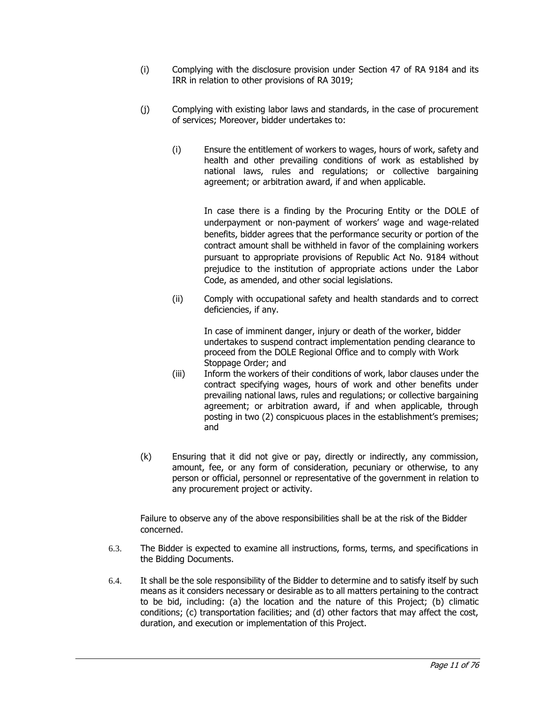- (i) Complying with the disclosure provision under Section 47 of RA 9184 and its IRR in relation to other provisions of RA 3019;
- (j) Complying with existing labor laws and standards, in the case of procurement of services; Moreover, bidder undertakes to:
	- (i) Ensure the entitlement of workers to wages, hours of work, safety and health and other prevailing conditions of work as established by national laws, rules and regulations; or collective bargaining agreement; or arbitration award, if and when applicable.

In case there is a finding by the Procuring Entity or the DOLE of underpayment or non-payment of workers' wage and wage-related benefits, bidder agrees that the performance security or portion of the contract amount shall be withheld in favor of the complaining workers pursuant to appropriate provisions of Republic Act No. 9184 without prejudice to the institution of appropriate actions under the Labor Code, as amended, and other social legislations.

(ii) Comply with occupational safety and health standards and to correct deficiencies, if any.

> In case of imminent danger, injury or death of the worker, bidder undertakes to suspend contract implementation pending clearance to proceed from the DOLE Regional Office and to comply with Work Stoppage Order; and

- (iii) Inform the workers of their conditions of work, labor clauses under the contract specifying wages, hours of work and other benefits under prevailing national laws, rules and regulations; or collective bargaining agreement; or arbitration award, if and when applicable, through posting in two (2) conspicuous places in the establishment's premises; and
- (k) Ensuring that it did not give or pay, directly or indirectly, any commission, amount, fee, or any form of consideration, pecuniary or otherwise, to any person or official, personnel or representative of the government in relation to any procurement project or activity.

Failure to observe any of the above responsibilities shall be at the risk of the Bidder concerned.

- 6.3. The Bidder is expected to examine all instructions, forms, terms, and specifications in the Bidding Documents.
- 6.4. It shall be the sole responsibility of the Bidder to determine and to satisfy itself by such means as it considers necessary or desirable as to all matters pertaining to the contract to be bid, including: (a) the location and the nature of this Project; (b) climatic conditions; (c) transportation facilities; and (d) other factors that may affect the cost, duration, and execution or implementation of this Project.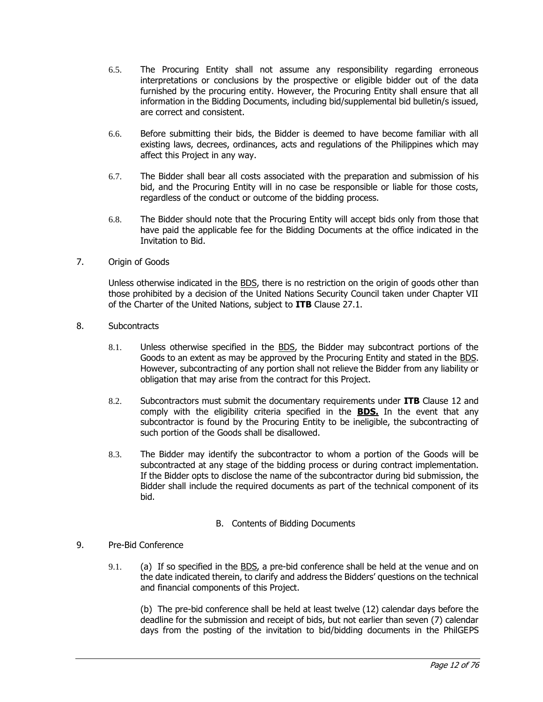- 6.5. The Procuring Entity shall not assume any responsibility regarding erroneous interpretations or conclusions by the prospective or eligible bidder out of the data furnished by the procuring entity. However, the Procuring Entity shall ensure that all information in the Bidding Documents, including bid/supplemental bid bulletin/s issued, are correct and consistent.
- 6.6. Before submitting their bids, the Bidder is deemed to have become familiar with all existing laws, decrees, ordinances, acts and regulations of the Philippines which may affect this Project in any way.
- 6.7. The Bidder shall bear all costs associated with the preparation and submission of his bid, and the Procuring Entity will in no case be responsible or liable for those costs, regardless of the conduct or outcome of the bidding process.
- 6.8. The Bidder should note that the Procuring Entity will accept bids only from those that have paid the applicable fee for the Bidding Documents at the office indicated in the Invitation to Bid.
- <span id="page-11-4"></span>7. Origin of Goods

Unless otherwise indicated in the BDS, there is no restriction on the origin of goods other than those prohibited by a decision of the United Nations Security Council taken under Chapter VII of the Charter of the United Nations, subject to **ITB** Clause [27.1.](#page-23-4)

- <span id="page-11-6"></span><span id="page-11-5"></span><span id="page-11-1"></span><span id="page-11-0"></span>8. Subcontracts
	- 8.1. Unless otherwise specified in the BDS, the Bidder may subcontract portions of the Goods to an extent as may be approved by the Procuring Entity and stated in the BDS. However, subcontracting of any portion shall not relieve the Bidder from any liability or obligation that may arise from the contract for this Project.
	- 8.2. Subcontractors must submit the documentary requirements under **ITB** Clause 12 and comply with the eligibility criteria specified in the **BDS.** In the event that any subcontractor is found by the Procuring Entity to be ineligible, the subcontracting of such portion of the Goods shall be disallowed.
	- 8.3. The Bidder may identify the subcontractor to whom a portion of the Goods will be subcontracted at any stage of the bidding process or during contract implementation. If the Bidder opts to disclose the name of the subcontractor during bid submission, the Bidder shall include the required documents as part of the technical component of its bid.
		- B. Contents of Bidding Documents

#### <span id="page-11-7"></span><span id="page-11-3"></span><span id="page-11-2"></span>9. Pre-Bid Conference

9.1. (a) If so specified in the BDS, a pre-bid conference shall be held at the venue and on the date indicated therein, to clarify and address the Bidders' questions on the technical and financial components of this Project.

(b) The pre-bid conference shall be held at least twelve (12) calendar days before the deadline for the submission and receipt of bids, but not earlier than seven (7) calendar days from the posting of the invitation to bid/bidding documents in the PhilGEPS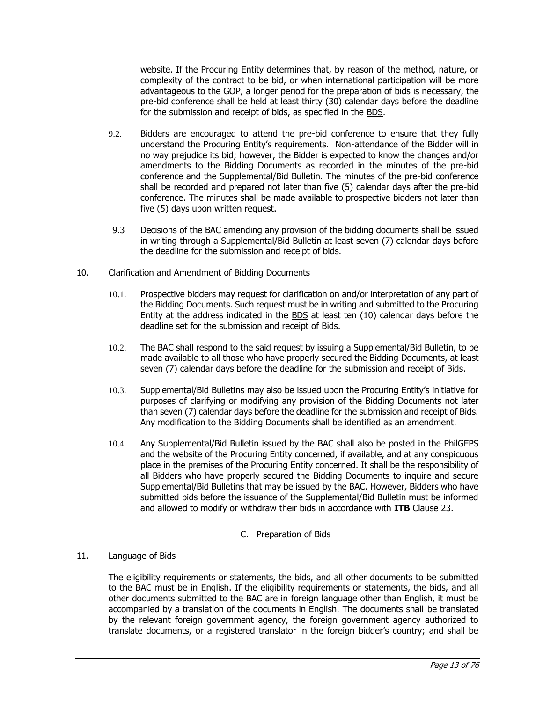website. If the Procuring Entity determines that, by reason of the method, nature, or complexity of the contract to be bid, or when international participation will be more advantageous to the GOP, a longer period for the preparation of bids is necessary, the pre-bid conference shall be held at least thirty (30) calendar days before the deadline for the submission and receipt of bids, as specified in the BDS.

- 9.2. Bidders are encouraged to attend the pre-bid conference to ensure that they fully understand the Procuring Entity's requirements. Non-attendance of the Bidder will in no way prejudice its bid; however, the Bidder is expected to know the changes and/or amendments to the Bidding Documents as recorded in the minutes of the pre-bid conference and the Supplemental/Bid Bulletin. The minutes of the pre-bid conference shall be recorded and prepared not later than five (5) calendar days after the pre-bid conference. The minutes shall be made available to prospective bidders not later than five (5) days upon written request.
- 9.3 Decisions of the BAC amending any provision of the bidding documents shall be issued in writing through a Supplemental/Bid Bulletin at least seven (7) calendar days before the deadline for the submission and receipt of bids.
- <span id="page-12-4"></span><span id="page-12-0"></span>10. Clarification and Amendment of Bidding Documents
	- 10.1. Prospective bidders may request for clarification on and/or interpretation of any part of the Bidding Documents. Such request must be in writing and submitted to the Procuring Entity at the address indicated in the BDS at least ten (10) calendar days before the deadline set for the submission and receipt of Bids.
	- 10.2. The BAC shall respond to the said request by issuing a Supplemental/Bid Bulletin, to be made available to all those who have properly secured the Bidding Documents, at least seven (7) calendar days before the deadline for the submission and receipt of Bids.
	- 10.3. Supplemental/Bid Bulletins may also be issued upon the Procuring Entity's initiative for purposes of clarifying or modifying any provision of the Bidding Documents not later than seven (7) calendar days before the deadline for the submission and receipt of Bids. Any modification to the Bidding Documents shall be identified as an amendment.
	- 10.4. Any Supplemental/Bid Bulletin issued by the BAC shall also be posted in the PhilGEPS and the website of the Procuring Entity concerned, if available, and at any conspicuous place in the premises of the Procuring Entity concerned. It shall be the responsibility of all Bidders who have properly secured the Bidding Documents to inquire and secure Supplemental/Bid Bulletins that may be issued by the BAC. However, Bidders who have submitted bids before the issuance of the Supplemental/Bid Bulletin must be informed and allowed to modify or withdraw their bids in accordance with **ITB** Clause [23.](#page-21-4)
		- C. Preparation of Bids

#### <span id="page-12-3"></span><span id="page-12-2"></span><span id="page-12-1"></span>11. Language of Bids

The eligibility requirements or statements, the bids, and all other documents to be submitted to the BAC must be in English. If the eligibility requirements or statements, the bids, and all other documents submitted to the BAC are in foreign language other than English, it must be accompanied by a translation of the documents in English. The documents shall be translated by the relevant foreign government agency, the foreign government agency authorized to translate documents, or a registered translator in the foreign bidder's country; and shall be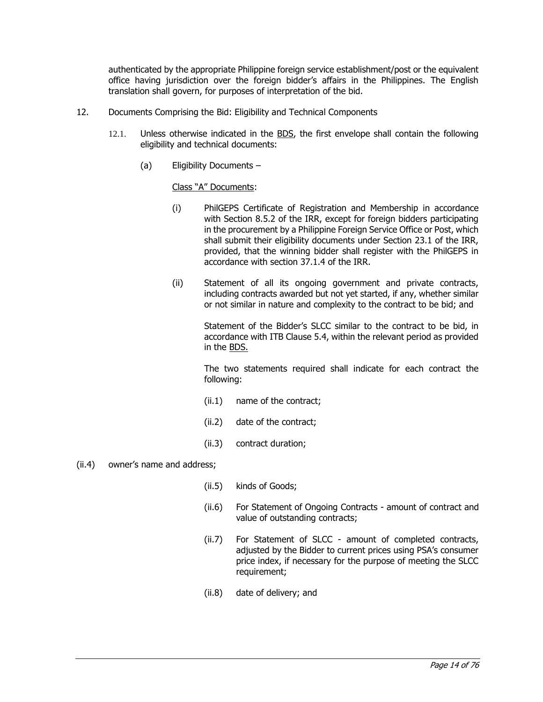authenticated by the appropriate Philippine foreign service establishment/post or the equivalent office having jurisdiction over the foreign bidder's affairs in the Philippines. The English translation shall govern, for purposes of interpretation of the bid.

- <span id="page-13-2"></span><span id="page-13-1"></span><span id="page-13-0"></span>12. Documents Comprising the Bid: Eligibility and Technical Components
	- 12.1. Unless otherwise indicated in the BDS, the first envelope shall contain the following eligibility and technical documents:
		- (a) Eligibility Documents –

#### Class "A" Documents:

- (i) PhilGEPS Certificate of Registration and Membership in accordance with Section 8.5.2 of the IRR, except for foreign bidders participating in the procurement by a Philippine Foreign Service Office or Post, which shall submit their eligibility documents under Section 23.1 of the IRR, provided, that the winning bidder shall register with the PhilGEPS in accordance with section 37.1.4 of the IRR.
- (ii) Statement of all its ongoing government and private contracts, including contracts awarded but not yet started, if any, whether similar or not similar in nature and complexity to the contract to be bid; and

Statement of the Bidder's SLCC similar to the contract to be bid, in accordance with ITB Clause 5.4, within the relevant period as provided in the BDS.

The two statements required shall indicate for each contract the following:

- (ii.1) name of the contract;
- (ii.2) date of the contract;
- (ii.3) contract duration;
- (ii.4) owner's name and address;
	- (ii.5) kinds of Goods;
	- (ii.6) For Statement of Ongoing Contracts amount of contract and value of outstanding contracts;
	- (ii.7) For Statement of SLCC amount of completed contracts, adjusted by the Bidder to current prices using PSA's consumer price index, if necessary for the purpose of meeting the SLCC requirement;
	- (ii.8) date of delivery; and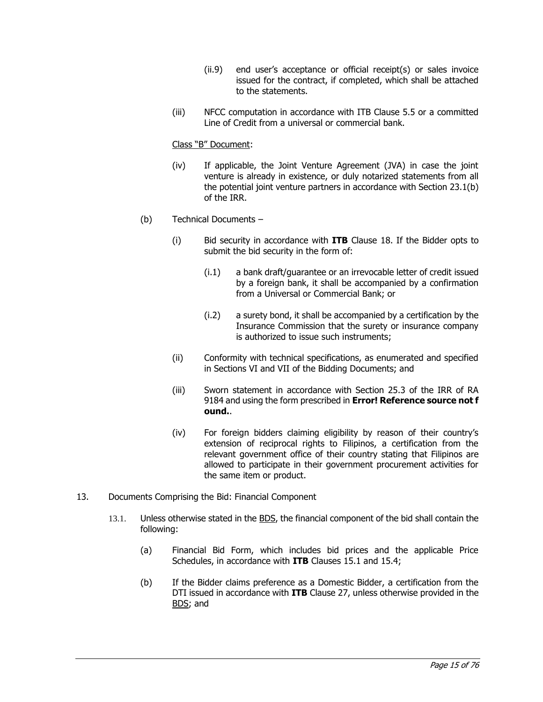- (ii.9) end user's acceptance or official receipt(s) or sales invoice issued for the contract, if completed, which shall be attached to the statements.
- (iii) NFCC computation in accordance with ITB Clause 5.5 or a committed Line of Credit from a universal or commercial bank.

#### Class "B" Document:

- (iv) If applicable, the Joint Venture Agreement (JVA) in case the joint venture is already in existence, or duly notarized statements from all the potential joint venture partners in accordance with Section 23.1(b) of the IRR.
- (b) Technical Documents
	- (i) Bid security in accordance with **ITB** Clause [18.](#page-17-3) If the Bidder opts to submit the bid security in the form of:
		- (i.1) a bank draft/guarantee or an irrevocable letter of credit issued by a foreign bank, it shall be accompanied by a confirmation from a Universal or Commercial Bank; or
		- (i.2) a surety bond, it shall be accompanied by a certification by the Insurance Commission that the surety or insurance company is authorized to issue such instruments;
	- (ii) Conformity with technical specifications, as enumerated and specified in Sections VI and VII of the Bidding Documents; and
	- (iii) Sworn statement in accordance with Section 25.3 of the IRR of RA 9184 and using the form prescribed in **Error! Reference source not f ound.**.
	- (iv) For foreign bidders claiming eligibility by reason of their country's extension of reciprocal rights to Filipinos, a certification from the relevant government office of their country stating that Filipinos are allowed to participate in their government procurement activities for the same item or product.
- <span id="page-14-4"></span><span id="page-14-3"></span><span id="page-14-2"></span><span id="page-14-1"></span><span id="page-14-0"></span>13. Documents Comprising the Bid: Financial Component
	- 13.1. Unless otherwise stated in the BDS, the financial component of the bid shall contain the following:
		- (a) Financial Bid Form, which includes bid prices and the applicable Price Schedules, in accordance with **ITB** Clauses [15.1](#page-15-2) and [15.4;](#page-16-0)
		- (b) If the Bidder claims preference as a Domestic Bidder, a certification from the DTI issued in accordance with **ITB** Clause [27,](#page-23-5) unless otherwise provided in the [BDS;](#page-31-0) and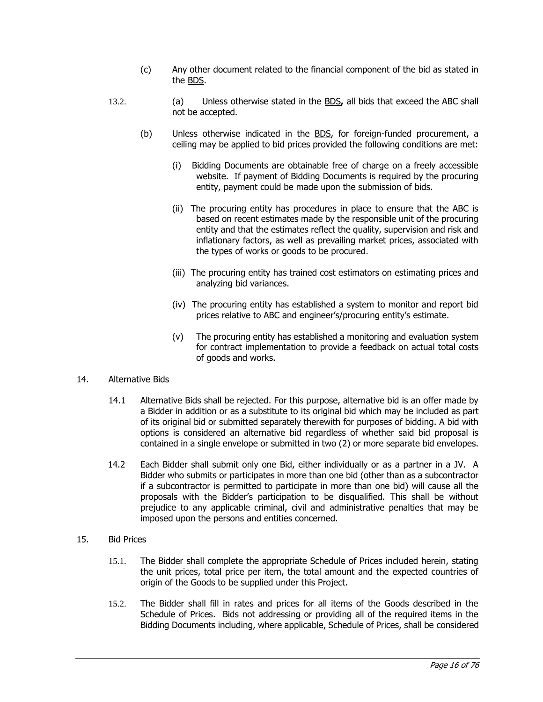- (c) Any other document related to the financial component of the bid as stated in the BDS.
- <span id="page-15-3"></span>13.2. (a) Unless otherwise stated in the BDS**,** all bids that exceed the ABC shall not be accepted.
	- (b) Unless otherwise indicated in the BDS, for foreign-funded procurement, a ceiling may be applied to bid prices provided the following conditions are met:
		- (i) Bidding Documents are obtainable free of charge on a freely accessible website. If payment of Bidding Documents is required by the procuring entity, payment could be made upon the submission of bids.
		- (ii) The procuring entity has procedures in place to ensure that the ABC is based on recent estimates made by the responsible unit of the procuring entity and that the estimates reflect the quality, supervision and risk and inflationary factors, as well as prevailing market prices, associated with the types of works or goods to be procured.
		- (iii) The procuring entity has trained cost estimators on estimating prices and analyzing bid variances.
		- (iv) The procuring entity has established a system to monitor and report bid prices relative to ABC and engineer's/procuring entity's estimate.
		- (v) The procuring entity has established a monitoring and evaluation system for contract implementation to provide a feedback on actual total costs of goods and works.

#### 14. Alternative Bids

- <span id="page-15-0"></span>14.1 Alternative Bids shall be rejected. For this purpose, alternative bid is an offer made by a Bidder in addition or as a substitute to its original bid which may be included as part of its original bid or submitted separately therewith for purposes of bidding. A bid with options is considered an alternative bid regardless of whether said bid proposal is contained in a single envelope or submitted in two (2) or more separate bid envelopes.
- 14.2 Each Bidder shall submit only one Bid, either individually or as a partner in a JV. A Bidder who submits or participates in more than one bid (other than as a subcontractor if a subcontractor is permitted to participate in more than one bid) will cause all the proposals with the Bidder's participation to be disqualified. This shall be without prejudice to any applicable criminal, civil and administrative penalties that may be imposed upon the persons and entities concerned.
- <span id="page-15-2"></span><span id="page-15-1"></span>15. Bid Prices
	- 15.1. The Bidder shall complete the appropriate Schedule of Prices included herein, stating the unit prices, total price per item, the total amount and the expected countries of origin of the Goods to be supplied under this Project.
	- 15.2. The Bidder shall fill in rates and prices for all items of the Goods described in the Schedule of Prices. Bids not addressing or providing all of the required items in the Bidding Documents including, where applicable, Schedule of Prices, shall be considered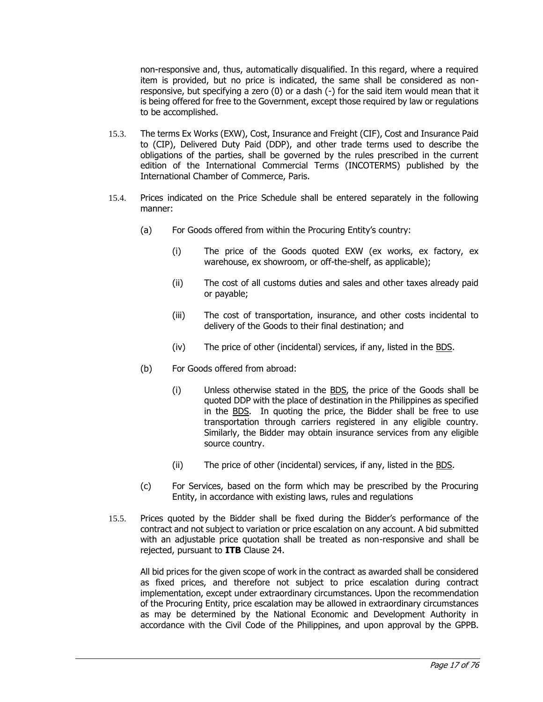non-responsive and, thus, automatically disqualified. In this regard, where a required item is provided, but no price is indicated, the same shall be considered as nonresponsive, but specifying a zero (0) or a dash (-) for the said item would mean that it is being offered for free to the Government, except those required by law or regulations to be accomplished.

- 15.3. The terms Ex Works (EXW), Cost, Insurance and Freight (CIF), Cost and Insurance Paid to (CIP), Delivered Duty Paid (DDP), and other trade terms used to describe the obligations of the parties, shall be governed by the rules prescribed in the current edition of the International Commercial Terms (INCOTERMS) published by the International Chamber of Commerce, Paris.
- <span id="page-16-0"></span>15.4. Prices indicated on the Price Schedule shall be entered separately in the following manner:
	- (a) For Goods offered from within the Procuring Entity's country:
		- (i) The price of the Goods quoted EXW (ex works, ex factory, ex warehouse, ex showroom, or off-the-shelf, as applicable);
		- (ii) The cost of all customs duties and sales and other taxes already paid or payable;
		- (iii) The cost of transportation, insurance, and other costs incidental to delivery of the Goods to their final destination; and
		- (iv) The price of other (incidental) services, if any, listed in the BDS.
	- (b) For Goods offered from abroad:
		- (i) Unless otherwise stated in the BDS, the price of the Goods shall be quoted DDP with the place of destination in the Philippines as specified in the BDS. In quoting the price, the Bidder shall be free to use transportation through carriers registered in any eligible country. Similarly, the Bidder may obtain insurance services from any eligible source country.
		- (ii) The price of other (incidental) services, if any, listed in the BDS.
	- (c) For Services, based on the form which may be prescribed by the Procuring Entity, in accordance with existing laws, rules and regulations
- <span id="page-16-1"></span>15.5. Prices quoted by the Bidder shall be fixed during the Bidder's performance of the contract and not subject to variation or price escalation on any account. A bid submitted with an adjustable price quotation shall be treated as non-responsive and shall be rejected, pursuant to **ITB** Clause [24.](#page-22-1)

All bid prices for the given scope of work in the contract as awarded shall be considered as fixed prices, and therefore not subject to price escalation during contract implementation, except under extraordinary circumstances. Upon the recommendation of the Procuring Entity, price escalation may be allowed in extraordinary circumstances as may be determined by the National Economic and Development Authority in accordance with the Civil Code of the Philippines, and upon approval by the GPPB.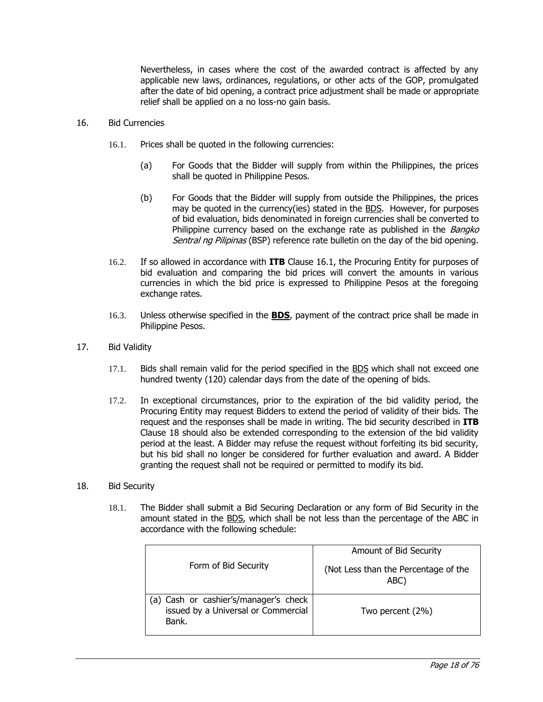Nevertheless, in cases where the cost of the awarded contract is affected by any applicable new laws, ordinances, regulations, or other acts of the GOP, promulgated after the date of bid opening, a contract price adjustment shall be made or appropriate relief shall be applied on a no loss-no gain basis.

#### <span id="page-17-4"></span>16. Bid Currencies

- <span id="page-17-6"></span><span id="page-17-1"></span>16.1. Prices shall be quoted in the following currencies:
	- (a) For Goods that the Bidder will supply from within the Philippines, the prices shall be quoted in Philippine Pesos.
	- (b) For Goods that the Bidder will supply from outside the Philippines, the prices may be quoted in the currency(ies) stated in the BDS. However, for purposes of bid evaluation, bids denominated in foreign currencies shall be converted to Philippine currency based on the exchange rate as published in the Bangko Sentral ng Pilipinas (BSP) reference rate bulletin on the day of the bid opening.
- 16.2. If so allowed in accordance with **ITB** Clause [16.1,](#page-17-4) the Procuring Entity for purposes of bid evaluation and comparing the bid prices will convert the amounts in various currencies in which the bid price is expressed to Philippine Pesos at the foregoing exchange rates.
- 16.3. Unless otherwise specified in the **BDS**, payment of the contract price shall be made in Philippine Pesos.
- <span id="page-17-7"></span><span id="page-17-5"></span><span id="page-17-2"></span>17. Bid Validity
	- 17.1. Bids shall remain valid for the period specified in the BDS which shall not exceed one hundred twenty (120) calendar days from the date of the opening of bids.
	- 17.2. In exceptional circumstances, prior to the expiration of the bid validity period, the Procuring Entity may request Bidders to extend the period of validity of their bids. The request and the responses shall be made in writing. The bid security described in **ITB** Clause 18 should also be extended corresponding to the extension of the bid validity period at the least. A Bidder may refuse the request without forfeiting its bid security, but his bid shall no longer be considered for further evaluation and award. A Bidder granting the request shall not be required or permitted to modify its bid.
- <span id="page-17-8"></span><span id="page-17-3"></span><span id="page-17-0"></span>18. Bid Security
	- 18.1. The Bidder shall submit a Bid Securing Declaration or any form of Bid Security in the amount stated in the BDS, which shall be not less than the percentage of the ABC in accordance with the following schedule:

|                                                                                       | Amount of Bid Security                       |  |
|---------------------------------------------------------------------------------------|----------------------------------------------|--|
| Form of Bid Security                                                                  | (Not Less than the Percentage of the<br>ABC) |  |
| (a) Cash or cashier's/manager's check<br>issued by a Universal or Commercial<br>Bank. | Two percent (2%)                             |  |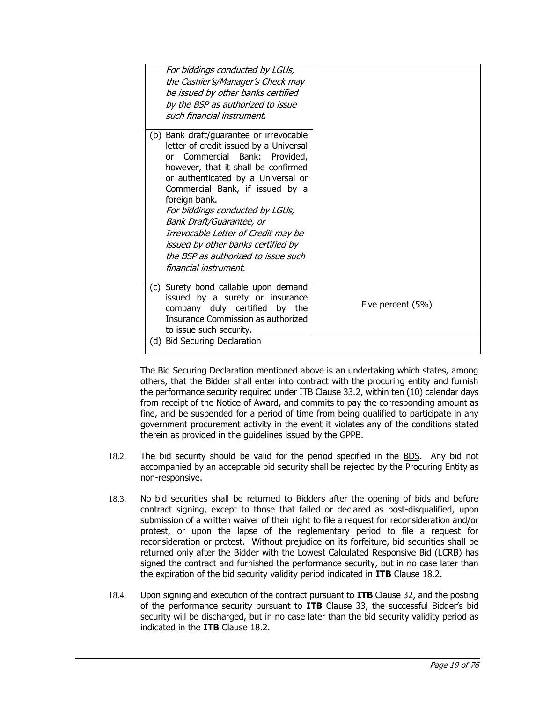| For biddings conducted by LGUs,                                                                                       |                   |
|-----------------------------------------------------------------------------------------------------------------------|-------------------|
| the Cashier's/Manager's Check may                                                                                     |                   |
| be issued by other banks certified                                                                                    |                   |
| by the BSP as authorized to issue                                                                                     |                   |
| such financial instrument.                                                                                            |                   |
| (b) Bank draft/guarantee or irrevocable<br>letter of credit issued by a Universal<br>or Commercial Bank:<br>Provided, |                   |
| however, that it shall be confirmed<br>or authenticated by a Universal or                                             |                   |
| Commercial Bank, if issued by a<br>foreign bank.<br>For biddings conducted by LGUs,                                   |                   |
| Bank Draft/Guarantee, or                                                                                              |                   |
| Irrevocable Letter of Credit may be<br>issued by other banks certified by                                             |                   |
| the BSP as authorized to issue such<br>financial instrument.                                                          |                   |
|                                                                                                                       |                   |
| (c) Surety bond callable upon demand<br>issued by a surety or insurance                                               | Five percent (5%) |
| company duly certified<br>by the<br>Insurance Commission as authorized                                                |                   |
| to issue such security.                                                                                               |                   |
| (d) Bid Securing Declaration                                                                                          |                   |
|                                                                                                                       |                   |

The Bid Securing Declaration mentioned above is an undertaking which states, among others, that the Bidder shall enter into contract with the procuring entity and furnish the performance security required under ITB Clause 33.2, within ten (10) calendar days from receipt of the Notice of Award, and commits to pay the corresponding amount as fine, and be suspended for a period of time from being qualified to participate in any government procurement activity in the event it violates any of the conditions stated therein as provided in the guidelines issued by the GPPB.

- <span id="page-18-0"></span>18.2. The bid security should be valid for the period specified in the BDS. Any bid not accompanied by an acceptable bid security shall be rejected by the Procuring Entity as non-responsive.
- 18.3. No bid securities shall be returned to Bidders after the opening of bids and before contract signing, except to those that failed or declared as post-disqualified, upon submission of a written waiver of their right to file a request for reconsideration and/or protest, or upon the lapse of the reglementary period to file a request for reconsideration or protest. Without prejudice on its forfeiture, bid securities shall be returned only after the Bidder with the Lowest Calculated Responsive Bid (LCRB) has signed the contract and furnished the performance security, but in no case later than the expiration of the bid security validity period indicated in **ITB** Clause [18.2.](#page-18-0)
- 18.4. Upon signing and execution of the contract pursuant to **ITB** Clause [32,](#page-27-3) and the posting of the performance security pursuant to **ITB** Clause [33](#page-28-1), the successful Bidder's bid security will be discharged, but in no case later than the bid security validity period as indicated in the **ITB** Clause [18.2.](#page-18-0)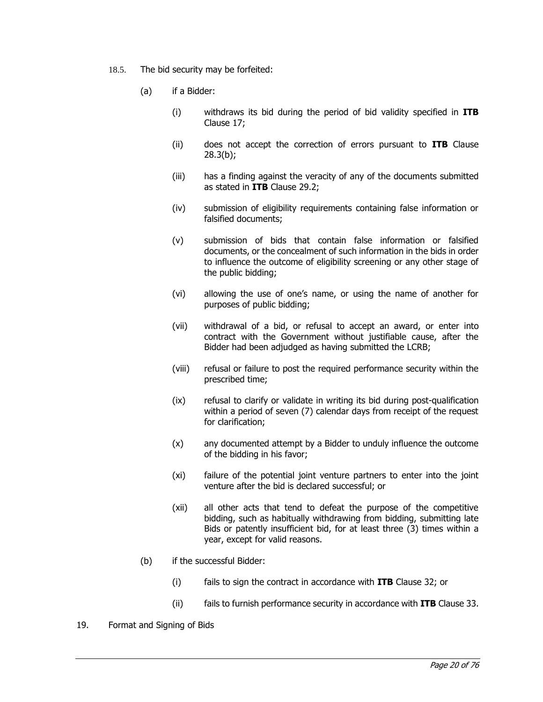- <span id="page-19-1"></span>18.5. The bid security may be forfeited:
	- (a) if a Bidder:
		- (i) withdraws its bid during the period of bid validity specified in **ITB** Clause [17;](#page-17-5)
		- (ii) does not accept the correction of errors pursuant to **ITB** Clause [28.3\(b\);](#page-24-2)
		- (iii) has a finding against the veracity of any of the documents submitted as stated in **ITB** Clause 29.2;
		- (iv) submission of eligibility requirements containing false information or falsified documents;
		- (v) submission of bids that contain false information or falsified documents, or the concealment of such information in the bids in order to influence the outcome of eligibility screening or any other stage of the public bidding;
		- (vi) allowing the use of one's name, or using the name of another for purposes of public bidding;
		- (vii) withdrawal of a bid, or refusal to accept an award, or enter into contract with the Government without justifiable cause, after the Bidder had been adjudged as having submitted the LCRB;
		- (viii) refusal or failure to post the required performance security within the prescribed time;
		- (ix) refusal to clarify or validate in writing its bid during post-qualification within a period of seven (7) calendar days from receipt of the request for clarification;
		- (x) any documented attempt by a Bidder to unduly influence the outcome of the bidding in his favor;
		- (xi) failure of the potential joint venture partners to enter into the joint venture after the bid is declared successful; or
		- (xii) all other acts that tend to defeat the purpose of the competitive bidding, such as habitually withdrawing from bidding, submitting late Bids or patently insufficient bid, for at least three (3) times within a year, except for valid reasons.
	- (b) if the successful Bidder:
		- (i) fails to sign the contract in accordance with **ITB** Clause [32;](#page-27-3) or
		- (ii) fails to furnish performance security in accordance with **ITB** Clause [33.](#page-28-1)

#### <span id="page-19-0"></span>19. Format and Signing of Bids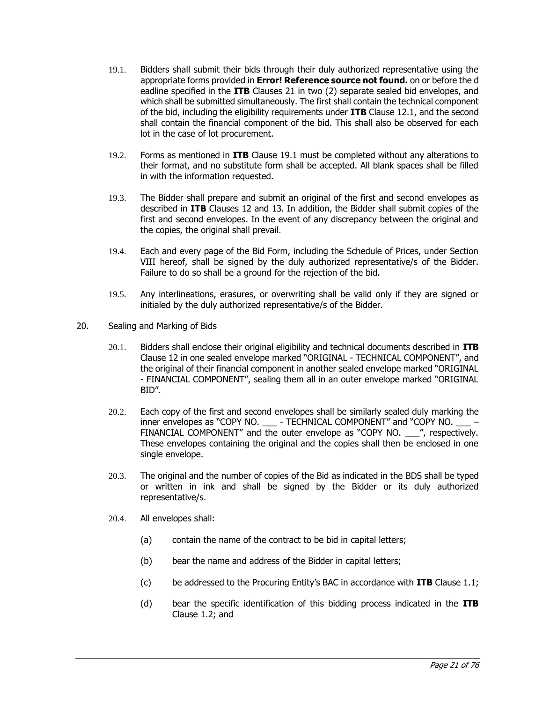- <span id="page-20-1"></span>19.1. Bidders shall submit their bids through their duly authorized representative using the appropriate forms provided in **Error! Reference source not found.** on or before the d eadline specified in the **ITB** Clauses [21](#page-21-5) in two (2) separate sealed bid envelopes, and which shall be submitted simultaneously. The first shall contain the technical component of the bid, including the eligibility requirements under **ITB** Clause [12.1,](#page-13-1) and the second shall contain the financial component of the bid. This shall also be observed for each lot in the case of lot procurement.
- 19.2. Forms as mentioned in **ITB** Clause [19.1](#page-20-1) must be completed without any alterations to their format, and no substitute form shall be accepted. All blank spaces shall be filled in with the information requested.
- 19.3. The Bidder shall prepare and submit an original of the first and second envelopes as described in **ITB** Clauses [12](#page-13-2) and [13.](#page-14-2) In addition, the Bidder shall submit copies of the first and second envelopes. In the event of any discrepancy between the original and the copies, the original shall prevail.
- 19.4. Each and every page of the Bid Form, including the Schedule of Prices, under Section VIII hereof, shall be signed by the duly authorized representative/s of the Bidder. Failure to do so shall be a ground for the rejection of the bid.
- 19.5. Any interlineations, erasures, or overwriting shall be valid only if they are signed or initialed by the duly authorized representative/s of the Bidder.
- <span id="page-20-2"></span><span id="page-20-0"></span>20. Sealing and Marking of Bids
	- 20.1. Bidders shall enclose their original eligibility and technical documents described in **ITB** Clause [12](#page-13-2) in one sealed envelope marked "ORIGINAL - TECHNICAL COMPONENT", and the original of their financial component in another sealed envelope marked "ORIGINAL - FINANCIAL COMPONENT", sealing them all in an outer envelope marked "ORIGINAL BID".
	- 20.2. Each copy of the first and second envelopes shall be similarly sealed duly marking the inner envelopes as "COPY NO. \_\_\_\_ - TECHNICAL COMPONENT" and "COPY NO. \_ FINANCIAL COMPONENT" and the outer envelope as "COPY NO. \_\_\_", respectively. These envelopes containing the original and the copies shall then be enclosed in one single envelope.
	- 20.3. The original and the number of copies of the Bid as indicated in the BDS shall be typed or written in ink and shall be signed by the Bidder or its duly authorized representative/s.
	- 20.4. All envelopes shall:
		- (a) contain the name of the contract to be bid in capital letters;
		- (b) bear the name and address of the Bidder in capital letters;
		- (c) be addressed to the Procuring Entity's BAC in accordance with **ITB** Clause [1.1;](#page-5-5)
		- (d) bear the specific identification of this bidding process indicated in the **ITB** Clause [1.2;](#page-5-6) and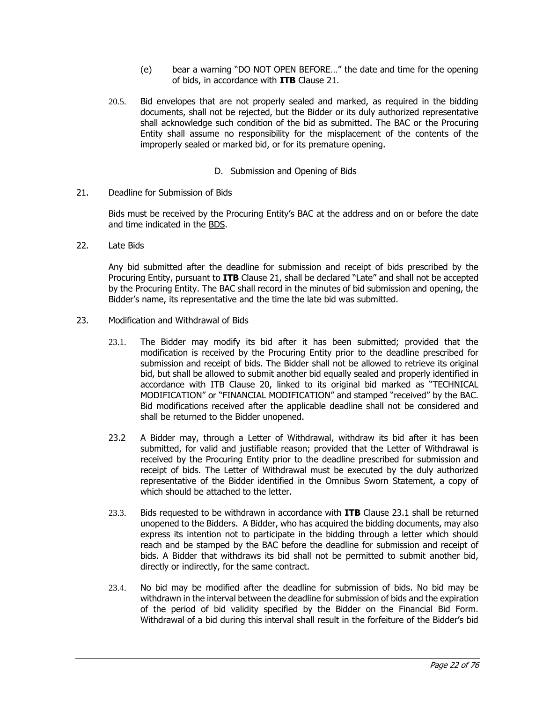- (e) bear a warning "DO NOT OPEN BEFORE…" the date and time for the opening of bids, in accordance with **ITB** Clause [21.](#page-21-5)
- 20.5. Bid envelopes that are not properly sealed and marked, as required in the bidding documents, shall not be rejected, but the Bidder or its duly authorized representative shall acknowledge such condition of the bid as submitted. The BAC or the Procuring Entity shall assume no responsibility for the misplacement of the contents of the improperly sealed or marked bid, or for its premature opening.

#### D. Submission and Opening of Bids

<span id="page-21-5"></span><span id="page-21-0"></span>21. Deadline for Submission of Bids

Bids must be received by the Procuring Entity's BAC at the address and on or before the date and time indicated in the BDS.

<span id="page-21-1"></span>22. Late Bids

Any bid submitted after the deadline for submission and receipt of bids prescribed by the Procuring Entity, pursuant to **ITB** Clause [21](#page-21-5), shall be declared "Late" and shall not be accepted by the Procuring Entity. The BAC shall record in the minutes of bid submission and opening, the Bidder's name, its representative and the time the late bid was submitted.

- <span id="page-21-6"></span><span id="page-21-4"></span><span id="page-21-3"></span><span id="page-21-2"></span>23. Modification and Withdrawal of Bids
	- 23.1. The Bidder may modify its bid after it has been submitted; provided that the modification is received by the Procuring Entity prior to the deadline prescribed for submission and receipt of bids. The Bidder shall not be allowed to retrieve its original bid, but shall be allowed to submit another bid equally sealed and properly identified in accordance with ITB Clause 20, linked to its original bid marked as "TECHNICAL MODIFICATION" or "FINANCIAL MODIFICATION" and stamped "received" by the BAC. Bid modifications received after the applicable deadline shall not be considered and shall be returned to the Bidder unopened.
	- 23.2 A Bidder may, through a Letter of Withdrawal, withdraw its bid after it has been submitted, for valid and justifiable reason; provided that the Letter of Withdrawal is received by the Procuring Entity prior to the deadline prescribed for submission and receipt of bids. The Letter of Withdrawal must be executed by the duly authorized representative of the Bidder identified in the Omnibus Sworn Statement, a copy of which should be attached to the letter.
	- 23.3. Bids requested to be withdrawn in accordance with **ITB** Clause [23.1](#page-21-6) shall be returned unopened to the Bidders. A Bidder, who has acquired the bidding documents, may also express its intention not to participate in the bidding through a letter which should reach and be stamped by the BAC before the deadline for submission and receipt of bids. A Bidder that withdraws its bid shall not be permitted to submit another bid, directly or indirectly, for the same contract.
	- 23.4. No bid may be modified after the deadline for submission of bids. No bid may be withdrawn in the interval between the deadline for submission of bids and the expiration of the period of bid validity specified by the Bidder on the Financial Bid Form. Withdrawal of a bid during this interval shall result in the forfeiture of the Bidder's bid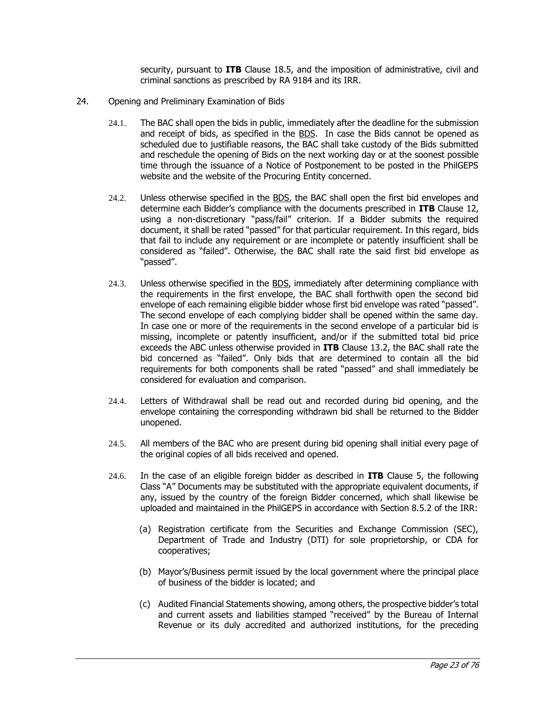security, pursuant to **ITB** Clause [18.5,](#page-19-1) and the imposition of administrative, civil and criminal sanctions as prescribed by RA 9184 and its IRR.

- <span id="page-22-2"></span><span id="page-22-1"></span><span id="page-22-0"></span>24. Opening and Preliminary Examination of Bids
	- 24.1. The BAC shall open the bids in public, immediately after the deadline for the submission and receipt of bids, as specified in the BDS. In case the Bids cannot be opened as scheduled due to justifiable reasons, the BAC shall take custody of the Bids submitted and reschedule the opening of Bids on the next working day or at the soonest possible time through the issuance of a Notice of Postponement to be posted in the PhilGEPS website and the website of the Procuring Entity concerned.
	- 24.2. Unless otherwise specified in the BDS, the BAC shall open the first bid envelopes and determine each Bidder's compliance with the documents prescribed in **ITB** Clause [12,](#page-13-2) using a non-discretionary "pass/fail" criterion. If a Bidder submits the required document, it shall be rated "passed" for that particular requirement. In this regard, bids that fail to include any requirement or are incomplete or patently insufficient shall be considered as "failed". Otherwise, the BAC shall rate the said first bid envelope as "passed".
	- 24.3. Unless otherwise specified in the BDS, immediately after determining compliance with the requirements in the first envelope, the BAC shall forthwith open the second bid envelope of each remaining eligible bidder whose first bid envelope was rated "passed". The second envelope of each complying bidder shall be opened within the same day. In case one or more of the requirements in the second envelope of a particular bid is missing, incomplete or patently insufficient, and/or if the submitted total bid price exceeds the ABC unless otherwise provided in **ITB** Clause [13.2,](#page-15-3) the BAC shall rate the bid concerned as "failed". Only bids that are determined to contain all the bid requirements for both components shall be rated "passed" and shall immediately be considered for evaluation and comparison.
	- 24.4. Letters of Withdrawal shall be read out and recorded during bid opening, and the envelope containing the corresponding withdrawn bid shall be returned to the Bidder unopened.
	- 24.5. All members of the BAC who are present during bid opening shall initial every page of the original copies of all bids received and opened.
	- 24.6. In the case of an eligible foreign bidder as described in **ITB** Clause [5,](#page-7-1) the following Class "A" Documents may be substituted with the appropriate equivalent documents, if any, issued by the country of the foreign Bidder concerned, which shall likewise be uploaded and maintained in the PhilGEPS in accordance with Section 8.5.2 of the IRR:
		- (a) Registration certificate from the Securities and Exchange Commission (SEC), Department of Trade and Industry (DTI) for sole proprietorship, or CDA for cooperatives;
		- (b) Mayor's/Business permit issued by the local government where the principal place of business of the bidder is located; and
		- (c) Audited Financial Statements showing, among others, the prospective bidder's total and current assets and liabilities stamped "received" by the Bureau of Internal Revenue or its duly accredited and authorized institutions, for the preceding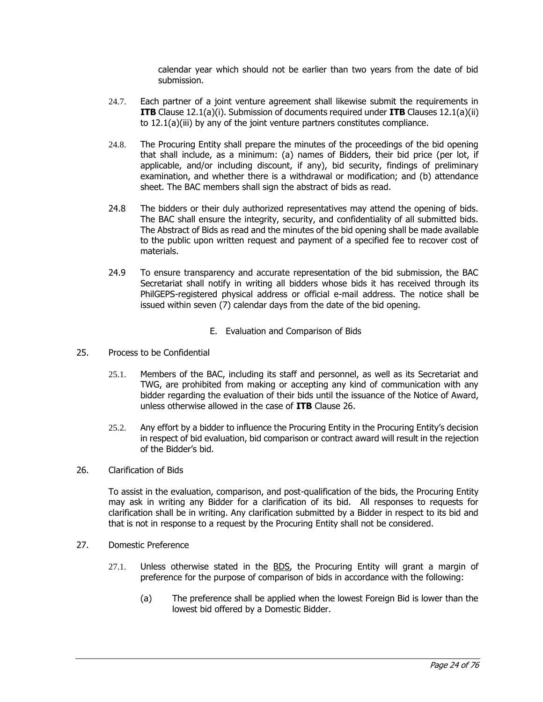calendar year which should not be earlier than two years from the date of bid submission.

- 24.7. Each partner of a joint venture agreement shall likewise submit the requirements in **ITB** Clause 12.1(a)(i). Submission of documents required under **ITB** Clauses 12.1(a)(ii) to 12.1(a)(iii) by any of the joint venture partners constitutes compliance.
- 24.8. The Procuring Entity shall prepare the minutes of the proceedings of the bid opening that shall include, as a minimum: (a) names of Bidders, their bid price (per lot, if applicable, and/or including discount, if any), bid security, findings of preliminary examination, and whether there is a withdrawal or modification; and (b) attendance sheet. The BAC members shall sign the abstract of bids as read.
- 24.8 The bidders or their duly authorized representatives may attend the opening of bids. The BAC shall ensure the integrity, security, and confidentiality of all submitted bids. The Abstract of Bids as read and the minutes of the bid opening shall be made available to the public upon written request and payment of a specified fee to recover cost of materials.
- 24.9 To ensure transparency and accurate representation of the bid submission, the BAC Secretariat shall notify in writing all bidders whose bids it has received through its PhilGEPS-registered physical address or official e-mail address. The notice shall be issued within seven (7) calendar days from the date of the bid opening.
	- E. Evaluation and Comparison of Bids
- <span id="page-23-1"></span><span id="page-23-0"></span>25. Process to be Confidential
	- 25.1. Members of the BAC, including its staff and personnel, as well as its Secretariat and TWG, are prohibited from making or accepting any kind of communication with any bidder regarding the evaluation of their bids until the issuance of the Notice of Award, unless otherwise allowed in the case of **ITB** Clause 26.
	- 25.2. Any effort by a bidder to influence the Procuring Entity in the Procuring Entity's decision in respect of bid evaluation, bid comparison or contract award will result in the rejection of the Bidder's bid.
- 26. Clarification of Bids

To assist in the evaluation, comparison, and post-qualification of the bids, the Procuring Entity may ask in writing any Bidder for a clarification of its bid. All responses to requests for clarification shall be in writing. Any clarification submitted by a Bidder in respect to its bid and that is not in response to a request by the Procuring Entity shall not be considered.

- <span id="page-23-5"></span><span id="page-23-4"></span><span id="page-23-3"></span><span id="page-23-2"></span>27. Domestic Preference
	- 27.1. Unless otherwise stated in the BDS, the Procuring Entity will grant a margin of preference for the purpose of comparison of bids in accordance with the following:
		- (a) The preference shall be applied when the lowest Foreign Bid is lower than the lowest bid offered by a Domestic Bidder.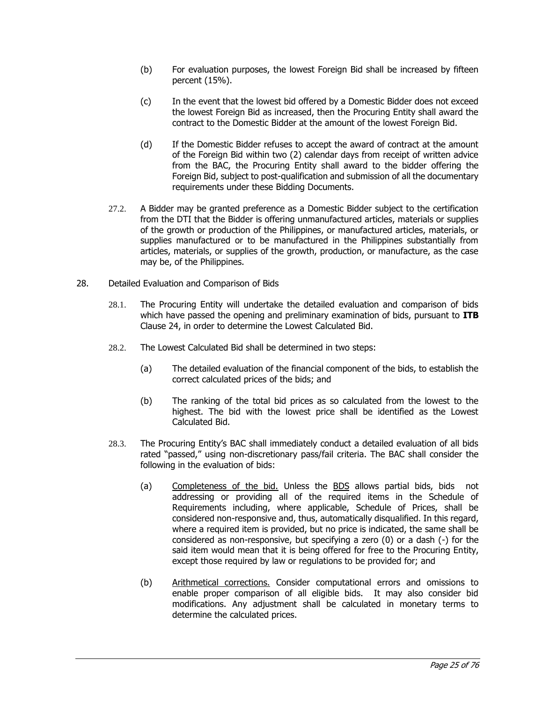- (b) For evaluation purposes, the lowest Foreign Bid shall be increased by fifteen percent (15%).
- (c) In the event that the lowest bid offered by a Domestic Bidder does not exceed the lowest Foreign Bid as increased, then the Procuring Entity shall award the contract to the Domestic Bidder at the amount of the lowest Foreign Bid.
- (d) If the Domestic Bidder refuses to accept the award of contract at the amount of the Foreign Bid within two (2) calendar days from receipt of written advice from the BAC, the Procuring Entity shall award to the bidder offering the Foreign Bid, subject to post-qualification and submission of all the documentary requirements under these Bidding Documents.
- 27.2. A Bidder may be granted preference as a Domestic Bidder subject to the certification from the DTI that the Bidder is offering unmanufactured articles, materials or supplies of the growth or production of the Philippines, or manufactured articles, materials, or supplies manufactured or to be manufactured in the Philippines substantially from articles, materials, or supplies of the growth, production, or manufacture, as the case may be, of the Philippines.
- <span id="page-24-3"></span><span id="page-24-2"></span><span id="page-24-1"></span><span id="page-24-0"></span>28. Detailed Evaluation and Comparison of Bids
	- 28.1. The Procuring Entity will undertake the detailed evaluation and comparison of bids which have passed the opening and preliminary examination of bids, pursuant to **ITB** Clause [24,](#page-22-1) in order to determine the Lowest Calculated Bid.
	- 28.2. The Lowest Calculated Bid shall be determined in two steps:
		- (a) The detailed evaluation of the financial component of the bids, to establish the correct calculated prices of the bids; and
		- (b) The ranking of the total bid prices as so calculated from the lowest to the highest. The bid with the lowest price shall be identified as the Lowest Calculated Bid.
	- 28.3. The Procuring Entity's BAC shall immediately conduct a detailed evaluation of all bids rated "passed," using non-discretionary pass/fail criteria. The BAC shall consider the following in the evaluation of bids:
		- (a) Completeness of the bid. Unless the BDS allows partial bids, bids not addressing or providing all of the required items in the Schedule of Requirements including, where applicable, Schedule of Prices, shall be considered non-responsive and, thus, automatically disqualified. In this regard, where a required item is provided, but no price is indicated, the same shall be considered as non-responsive, but specifying a zero (0) or a dash (-) for the said item would mean that it is being offered for free to the Procuring Entity, except those required by law or regulations to be provided for; and
		- (b) Arithmetical corrections. Consider computational errors and omissions to enable proper comparison of all eligible bids. It may also consider bid modifications. Any adjustment shall be calculated in monetary terms to determine the calculated prices.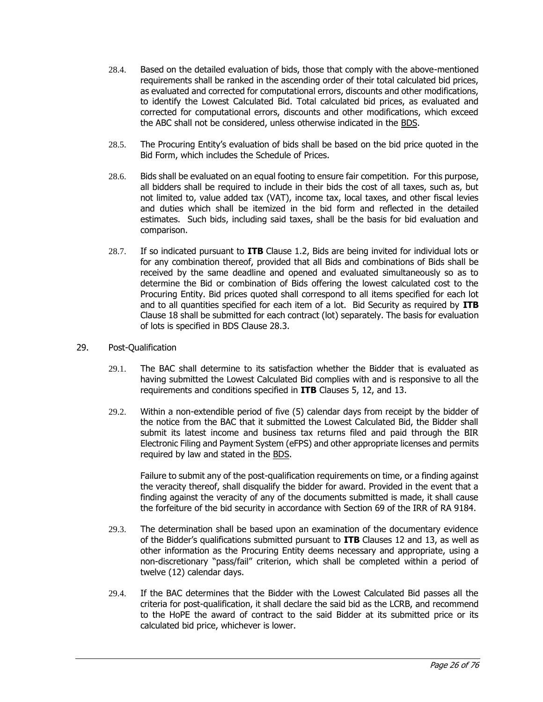- <span id="page-25-2"></span>28.4. Based on the detailed evaluation of bids, those that comply with the above-mentioned requirements shall be ranked in the ascending order of their total calculated bid prices, as evaluated and corrected for computational errors, discounts and other modifications, to identify the Lowest Calculated Bid. Total calculated bid prices, as evaluated and corrected for computational errors, discounts and other modifications, which exceed the ABC shall not be considered, unless otherwise indicated in the BDS.
- 28.5. The Procuring Entity's evaluation of bids shall be based on the bid price quoted in the Bid Form, which includes the Schedule of Prices.
- 28.6. Bids shall be evaluated on an equal footing to ensure fair competition. For this purpose, all bidders shall be required to include in their bids the cost of all taxes, such as, but not limited to, value added tax (VAT), income tax, local taxes, and other fiscal levies and duties which shall be itemized in the bid form and reflected in the detailed estimates. Such bids, including said taxes, shall be the basis for bid evaluation and comparison.
- 28.7. If so indicated pursuant to **ITB** Clause 1.2, Bids are being invited for individual lots or for any combination thereof, provided that all Bids and combinations of Bids shall be received by the same deadline and opened and evaluated simultaneously so as to determine the Bid or combination of Bids offering the lowest calculated cost to the Procuring Entity. Bid prices quoted shall correspond to all items specified for each lot and to all quantities specified for each item of a lot. Bid Security as required by **ITB**  Clause 18 shall be submitted for each contract (lot) separately. The basis for evaluation of lots is specified in BDS Clause 28.3.

#### <span id="page-25-1"></span>29. Post-Qualification

- 29.1. The BAC shall determine to its satisfaction whether the Bidder that is evaluated as having submitted the Lowest Calculated Bid complies with and is responsive to all the requirements and conditions specified in **ITB** Clauses [5,](#page-7-1) [12,](#page-13-2) and [13.](#page-14-2)
- <span id="page-25-0"></span>29.2. Within a non-extendible period of five (5) calendar days from receipt by the bidder of the notice from the BAC that it submitted the Lowest Calculated Bid, the Bidder shall submit its latest income and business tax returns filed and paid through the BIR Electronic Filing and Payment System (eFPS) and other appropriate licenses and permits required by law and stated in the BDS.

Failure to submit any of the post-qualification requirements on time, or a finding against the veracity thereof, shall disqualify the bidder for award. Provided in the event that a finding against the veracity of any of the documents submitted is made, it shall cause the forfeiture of the bid security in accordance with Section 69 of the IRR of RA 9184.

- 29.3. The determination shall be based upon an examination of the documentary evidence of the Bidder's qualifications submitted pursuant to **ITB** Clauses [12](#page-13-2) and [13,](#page-14-2) as well as other information as the Procuring Entity deems necessary and appropriate, using a non-discretionary "pass/fail" criterion, which shall be completed within a period of twelve (12) calendar days.
- 29.4. If the BAC determines that the Bidder with the Lowest Calculated Bid passes all the criteria for post-qualification, it shall declare the said bid as the LCRB, and recommend to the HoPE the award of contract to the said Bidder at its submitted price or its calculated bid price, whichever is lower.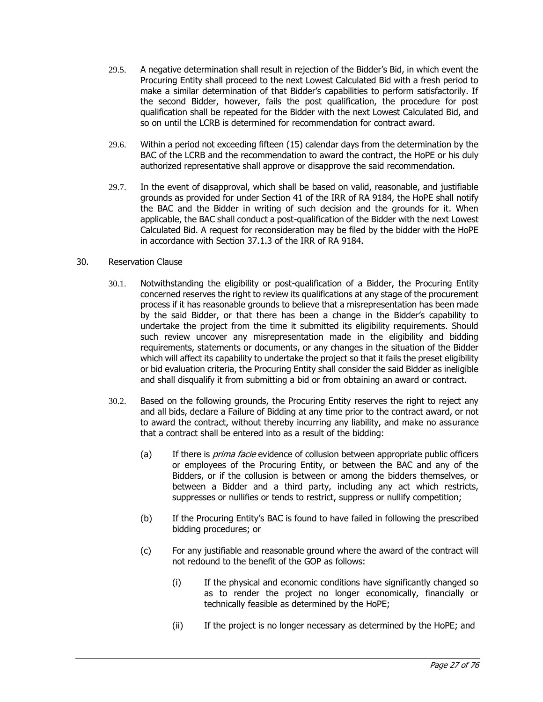- 29.5. A negative determination shall result in rejection of the Bidder's Bid, in which event the Procuring Entity shall proceed to the next Lowest Calculated Bid with a fresh period to make a similar determination of that Bidder's capabilities to perform satisfactorily. If the second Bidder, however, fails the post qualification, the procedure for post qualification shall be repeated for the Bidder with the next Lowest Calculated Bid, and so on until the LCRB is determined for recommendation for contract award.
- 29.6. Within a period not exceeding fifteen (15) calendar days from the determination by the BAC of the LCRB and the recommendation to award the contract, the HoPE or his duly authorized representative shall approve or disapprove the said recommendation.
- 29.7. In the event of disapproval, which shall be based on valid, reasonable, and justifiable grounds as provided for under Section 41 of the IRR of RA 9184, the HoPE shall notify the BAC and the Bidder in writing of such decision and the grounds for it. When applicable, the BAC shall conduct a post-qualification of the Bidder with the next Lowest Calculated Bid. A request for reconsideration may be filed by the bidder with the HoPE in accordance with Section 37.1.3 of the IRR of RA 9184.

#### 30. Reservation Clause

- <span id="page-26-0"></span>30.1. Notwithstanding the eligibility or post-qualification of a Bidder, the Procuring Entity concerned reserves the right to review its qualifications at any stage of the procurement process if it has reasonable grounds to believe that a misrepresentation has been made by the said Bidder, or that there has been a change in the Bidder's capability to undertake the project from the time it submitted its eligibility requirements. Should such review uncover any misrepresentation made in the eligibility and bidding requirements, statements or documents, or any changes in the situation of the Bidder which will affect its capability to undertake the project so that it fails the preset eligibility or bid evaluation criteria, the Procuring Entity shall consider the said Bidder as ineligible and shall disqualify it from submitting a bid or from obtaining an award or contract.
- 30.2. Based on the following grounds, the Procuring Entity reserves the right to reject any and all bids, declare a Failure of Bidding at any time prior to the contract award, or not to award the contract, without thereby incurring any liability, and make no assurance that a contract shall be entered into as a result of the bidding:
	- (a) If there is *prima facie* evidence of collusion between appropriate public officers or employees of the Procuring Entity, or between the BAC and any of the Bidders, or if the collusion is between or among the bidders themselves, or between a Bidder and a third party, including any act which restricts, suppresses or nullifies or tends to restrict, suppress or nullify competition;
	- (b) If the Procuring Entity's BAC is found to have failed in following the prescribed bidding procedures; or
	- (c) For any justifiable and reasonable ground where the award of the contract will not redound to the benefit of the GOP as follows:
		- (i) If the physical and economic conditions have significantly changed so as to render the project no longer economically, financially or technically feasible as determined by the HoPE;
		- (ii) If the project is no longer necessary as determined by the HoPE; and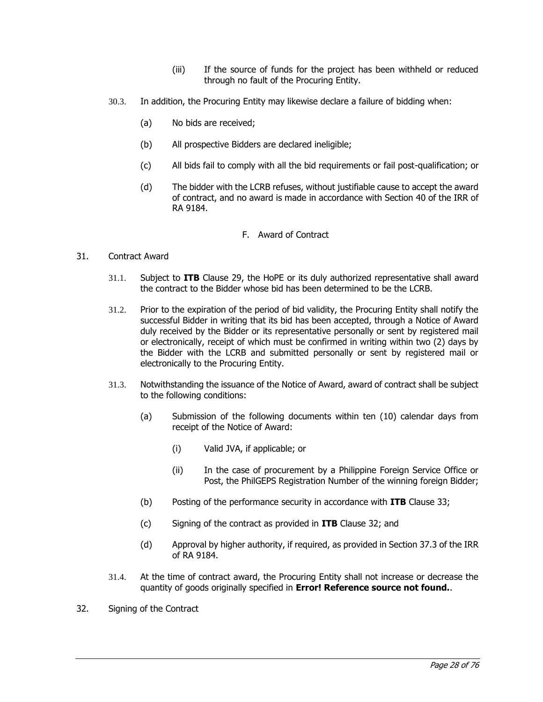- (iii) If the source of funds for the project has been withheld or reduced through no fault of the Procuring Entity.
- 30.3. In addition, the Procuring Entity may likewise declare a failure of bidding when:
	- (a) No bids are received;
	- (b) All prospective Bidders are declared ineligible;
	- (c) All bids fail to comply with all the bid requirements or fail post-qualification; or
	- (d) The bidder with the LCRB refuses, without justifiable cause to accept the award of contract, and no award is made in accordance with Section 40 of the IRR of RA 9184.
		- F. Award of Contract
- <span id="page-27-1"></span><span id="page-27-0"></span>31. Contract Award
	- 31.1. Subject to **ITB** Clause [29,](#page-25-1) the HoPE or its duly authorized representative shall award the contract to the Bidder whose bid has been determined to be the LCRB.
	- 31.2. Prior to the expiration of the period of bid validity, the Procuring Entity shall notify the successful Bidder in writing that its bid has been accepted, through a Notice of Award duly received by the Bidder or its representative personally or sent by registered mail or electronically, receipt of which must be confirmed in writing within two (2) days by the Bidder with the LCRB and submitted personally or sent by registered mail or electronically to the Procuring Entity.
	- 31.3. Notwithstanding the issuance of the Notice of Award, award of contract shall be subject to the following conditions:
		- (a) Submission of the following documents within ten (10) calendar days from receipt of the Notice of Award:
			- (i) Valid JVA, if applicable; or
			- (ii) In the case of procurement by a Philippine Foreign Service Office or Post, the PhilGEPS Registration Number of the winning foreign Bidder;
		- (b) Posting of the performance security in accordance with **ITB** Clause [33;](#page-28-1)
		- (c) Signing of the contract as provided in **ITB** Clause [32;](#page-27-3) and
		- (d) Approval by higher authority, if required, as provided in Section 37.3 of the IRR of RA 9184.
	- 31.4. At the time of contract award, the Procuring Entity shall not increase or decrease the quantity of goods originally specified in **Error! Reference source not found.**.
- <span id="page-27-3"></span><span id="page-27-2"></span>32. Signing of the Contract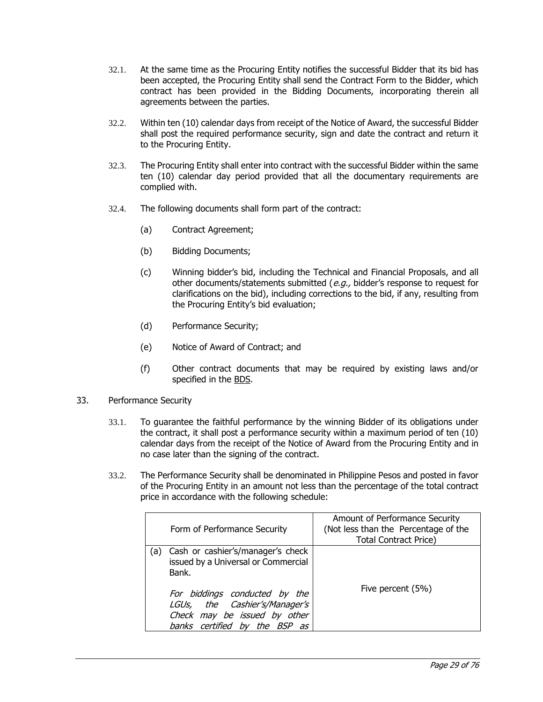- 32.1. At the same time as the Procuring Entity notifies the successful Bidder that its bid has been accepted, the Procuring Entity shall send the Contract Form to the Bidder, which contract has been provided in the Bidding Documents, incorporating therein all agreements between the parties.
- 32.2. Within ten (10) calendar days from receipt of the Notice of Award, the successful Bidder shall post the required performance security, sign and date the contract and return it to the Procuring Entity.
- 32.3. The Procuring Entity shall enter into contract with the successful Bidder within the same ten (10) calendar day period provided that all the documentary requirements are complied with.
- 32.4. The following documents shall form part of the contract:
	- (a) Contract Agreement;
	- (b) Bidding Documents;
	- (c) Winning bidder's bid, including the Technical and Financial Proposals, and all other documents/statements submitted (e.g., bidder's response to request for clarifications on the bid), including corrections to the bid, if any, resulting from the Procuring Entity's bid evaluation;
	- (d) Performance Security;
	- (e) Notice of Award of Contract; and
	- (f) Other contract documents that may be required by existing laws and/or specified in the BDS.
- <span id="page-28-2"></span><span id="page-28-1"></span><span id="page-28-0"></span>33. Performance Security
	- 33.1. To guarantee the faithful performance by the winning Bidder of its obligations under the contract, it shall post a performance security within a maximum period of ten (10) calendar days from the receipt of the Notice of Award from the Procuring Entity and in no case later than the signing of the contract.
	- 33.2. The Performance Security shall be denominated in Philippine Pesos and posted in favor of the Procuring Entity in an amount not less than the percentage of the total contract price in accordance with the following schedule:

| Form of Performance Security                                                                                                                                                                                               | Amount of Performance Security<br>(Not less than the Percentage of the<br><b>Total Contract Price)</b> |
|----------------------------------------------------------------------------------------------------------------------------------------------------------------------------------------------------------------------------|--------------------------------------------------------------------------------------------------------|
| Cash or cashier's/manager's check<br>a)<br>issued by a Universal or Commercial<br>Bank.<br>For biddings conducted by the<br>LGUs, the Cashier's/Manager's<br>Check may be issued by other<br>banks certified by the BSP as | Five percent (5%)                                                                                      |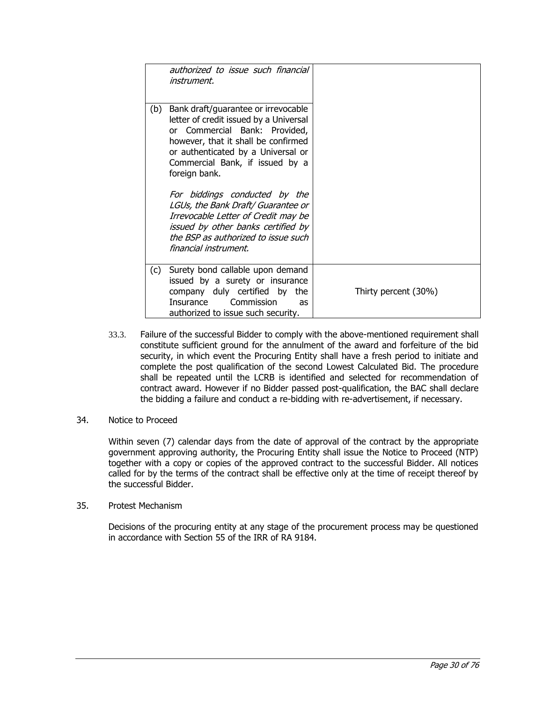|     | authorized to issue such financial<br><i>instrument.</i>                                                                                                                                                                                                                                                                                                      |                      |
|-----|---------------------------------------------------------------------------------------------------------------------------------------------------------------------------------------------------------------------------------------------------------------------------------------------------------------------------------------------------------------|----------------------|
| (b) | Bank draft/guarantee or irrevocable<br>letter of credit issued by a Universal<br>or Commercial Bank: Provided,<br>however, that it shall be confirmed<br>or authenticated by a Universal or<br>Commercial Bank, if issued by a<br>foreign bank.<br>For biddings conducted by the<br>LGUs, the Bank Draft/ Guarantee or<br>Irrevocable Letter of Credit may be |                      |
|     | issued by other banks certified by<br>the BSP as authorized to issue such<br>financial instrument.                                                                                                                                                                                                                                                            |                      |
| (c) | Surety bond callable upon demand<br>issued by a surety or insurance<br>company duly certified by the<br>Commission<br><b>Insurance</b><br>as<br>authorized to issue such security.                                                                                                                                                                            | Thirty percent (30%) |

- 33.3. Failure of the successful Bidder to comply with the above-mentioned requirement shall constitute sufficient ground for the annulment of the award and forfeiture of the bid security, in which event the Procuring Entity shall have a fresh period to initiate and complete the post qualification of the second Lowest Calculated Bid. The procedure shall be repeated until the LCRB is identified and selected for recommendation of contract award. However if no Bidder passed post-qualification, the BAC shall declare the bidding a failure and conduct a re-bidding with re-advertisement, if necessary.
- 34. Notice to Proceed

<span id="page-29-0"></span>Within seven (7) calendar days from the date of approval of the contract by the appropriate government approving authority, the Procuring Entity shall issue the Notice to Proceed (NTP) together with a copy or copies of the approved contract to the successful Bidder. All notices called for by the terms of the contract shall be effective only at the time of receipt thereof by the successful Bidder.

35. Protest Mechanism

<span id="page-29-1"></span>Decisions of the procuring entity at any stage of the procurement process may be questioned in accordance with Section 55 of the IRR of RA 9184.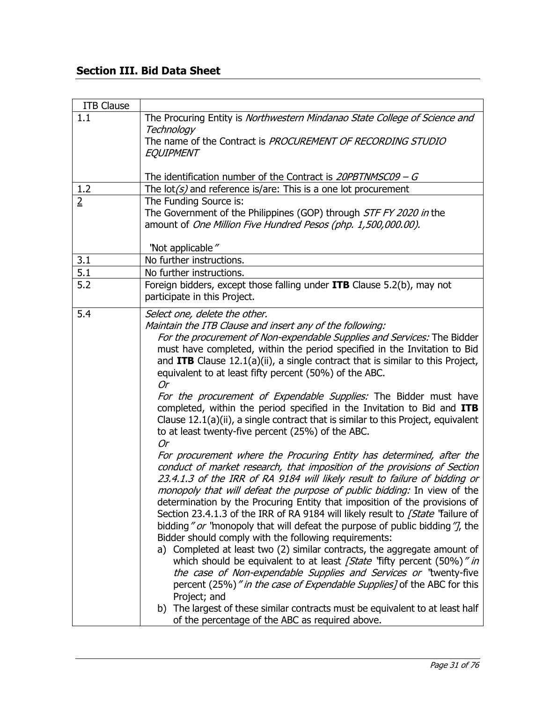## **Section III. Bid Data Sheet**

<span id="page-30-2"></span><span id="page-30-1"></span><span id="page-30-0"></span>

| <b>ITB Clause</b> |                                                                                   |
|-------------------|-----------------------------------------------------------------------------------|
| 1.1               | The Procuring Entity is Northwestern Mindanao State College of Science and        |
|                   | Technology                                                                        |
|                   | The name of the Contract is PROCUREMENT OF RECORDING STUDIO                       |
|                   | EQUIPMENT                                                                         |
|                   |                                                                                   |
|                   | The identification number of the Contract is $20$ PBTNMSC09 – G                   |
| 1.2               | The $\text{lot}(s)$ and reference is/are: This is a one lot procurement           |
| $\overline{2}$    | The Funding Source is:                                                            |
|                   | The Government of the Philippines (GOP) through STF FY 2020 in the                |
|                   | amount of One Million Five Hundred Pesos (php. 1,500,000.00).                     |
|                   |                                                                                   |
| 3.1               | "Not applicable"<br>No further instructions.                                      |
| 5.1               | No further instructions.                                                          |
| 5.2               | Foreign bidders, except those falling under ITB Clause 5.2(b), may not            |
|                   | participate in this Project.                                                      |
|                   |                                                                                   |
| 5.4               | Select one, delete the other.                                                     |
|                   | Maintain the ITB Clause and insert any of the following:                          |
|                   | For the procurement of Non-expendable Supplies and Services: The Bidder           |
|                   | must have completed, within the period specified in the Invitation to Bid         |
|                   | and ITB Clause $12.1(a)(ii)$ , a single contract that is similar to this Project, |
|                   | equivalent to at least fifty percent (50%) of the ABC.<br>0r                      |
|                   | For the procurement of Expendable Supplies: The Bidder must have                  |
|                   | completed, within the period specified in the Invitation to Bid and ITB           |
|                   | Clause 12.1(a)(ii), a single contract that is similar to this Project, equivalent |
|                   | to at least twenty-five percent (25%) of the ABC.                                 |
|                   | Or                                                                                |
|                   | For procurement where the Procuring Entity has determined, after the              |
|                   | conduct of market research, that imposition of the provisions of Section          |
|                   | 23.4.1.3 of the IRR of RA 9184 will likely result to failure of bidding or        |
|                   | monopoly that will defeat the purpose of public bidding: In view of the           |
|                   | determination by the Procuring Entity that imposition of the provisions of        |
|                   | Section 23.4.1.3 of the IRR of RA 9184 will likely result to [State 'failure of   |
|                   | bidding "or 'monopoly that will defeat the purpose of public bidding", the        |
|                   | Bidder should comply with the following requirements:                             |
|                   | a) Completed at least two (2) similar contracts, the aggregate amount of          |
|                   | which should be equivalent to at least [State 'fifty percent (50%)" in            |
|                   | the case of Non-expendable Supplies and Services or "twenty-five                  |
|                   | percent (25%)" in the case of Expendable Supplies] of the ABC for this            |
|                   | Project; and                                                                      |
|                   | b) The largest of these similar contracts must be equivalent to at least half     |
|                   | of the percentage of the ABC as required above.                                   |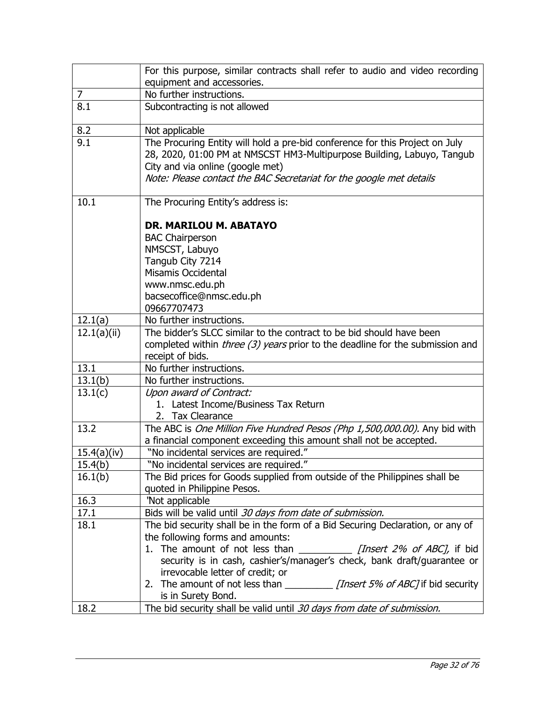<span id="page-31-0"></span>

|                  | For this purpose, similar contracts shall refer to audio and video recording<br>equipment and accessories. |  |  |
|------------------|------------------------------------------------------------------------------------------------------------|--|--|
| $\overline{7}$   | No further instructions.                                                                                   |  |  |
| 8.1              | Subcontracting is not allowed                                                                              |  |  |
|                  |                                                                                                            |  |  |
| 8.2              | Not applicable                                                                                             |  |  |
| $\overline{9.1}$ | The Procuring Entity will hold a pre-bid conference for this Project on July                               |  |  |
|                  | 28, 2020, 01:00 PM at NMSCST HM3-Multipurpose Building, Labuyo, Tangub                                     |  |  |
|                  | City and via online (google met)                                                                           |  |  |
|                  | Note: Please contact the BAC Secretariat for the google met details                                        |  |  |
|                  |                                                                                                            |  |  |
| 10.1             | The Procuring Entity's address is:                                                                         |  |  |
|                  |                                                                                                            |  |  |
|                  | DR. MARILOU M. ABATAYO                                                                                     |  |  |
|                  | <b>BAC Chairperson</b>                                                                                     |  |  |
|                  | NMSCST, Labuyo                                                                                             |  |  |
|                  | Tangub City 7214                                                                                           |  |  |
|                  | <b>Misamis Occidental</b>                                                                                  |  |  |
|                  | www.nmsc.edu.ph                                                                                            |  |  |
|                  | bacsecoffice@nmsc.edu.ph<br>09667707473                                                                    |  |  |
| 12.1(a)          | No further instructions.                                                                                   |  |  |
|                  |                                                                                                            |  |  |
| 12.1(a)(ii)      | The bidder's SLCC similar to the contract to be bid should have been                                       |  |  |
|                  | completed within <i>three (3) years</i> prior to the deadline for the submission and<br>receipt of bids.   |  |  |
| 13.1             | No further instructions.                                                                                   |  |  |
| 13.1(b)          | No further instructions.                                                                                   |  |  |
| 13.1(c)          | Upon award of Contract:                                                                                    |  |  |
|                  | 1. Latest Income/Business Tax Return                                                                       |  |  |
|                  | 2. Tax Clearance                                                                                           |  |  |
| 13.2             | The ABC is One Million Five Hundred Pesos (Php 1,500,000.00). Any bid with                                 |  |  |
|                  | a financial component exceeding this amount shall not be accepted.                                         |  |  |
| 15.4(a)(iv)      | "No incidental services are required."                                                                     |  |  |
| 15.4(b)          | "No incidental services are required."                                                                     |  |  |
| 16.1(b)          | The Bid prices for Goods supplied from outside of the Philippines shall be                                 |  |  |
|                  | quoted in Philippine Pesos.                                                                                |  |  |
| 16.3             | 'Not applicable                                                                                            |  |  |
| 17.1             | Bids will be valid until 30 days from date of submission.                                                  |  |  |
| 18.1             | The bid security shall be in the form of a Bid Securing Declaration, or any of                             |  |  |
|                  | the following forms and amounts:                                                                           |  |  |
|                  |                                                                                                            |  |  |
|                  | security is in cash, cashier's/manager's check, bank draft/guarantee or                                    |  |  |
|                  | irrevocable letter of credit; or                                                                           |  |  |
|                  |                                                                                                            |  |  |
|                  | is in Surety Bond.                                                                                         |  |  |
| 18.2             | The bid security shall be valid until 30 days from date of submission.                                     |  |  |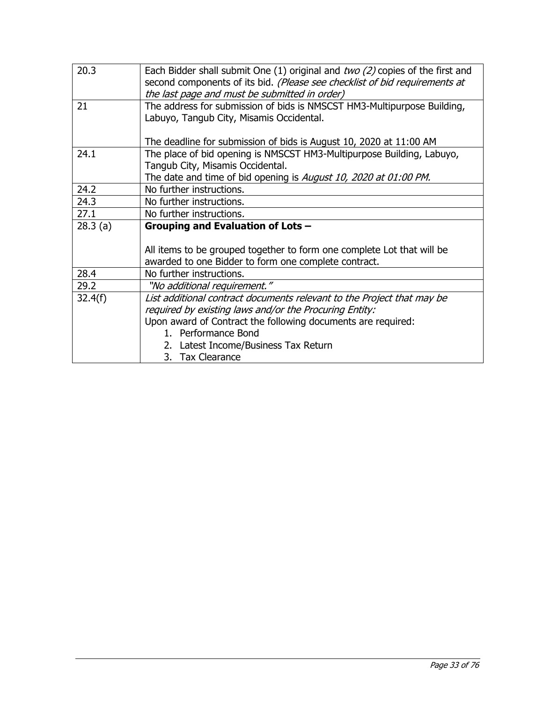| 20.3    | Each Bidder shall submit One (1) original and two (2) copies of the first and<br>second components of its bid. (Please see checklist of bid requirements at<br>the last page and must be submitted in order) |  |
|---------|--------------------------------------------------------------------------------------------------------------------------------------------------------------------------------------------------------------|--|
| 21      | The address for submission of bids is NMSCST HM3-Multipurpose Building,<br>Labuyo, Tangub City, Misamis Occidental.                                                                                          |  |
|         | The deadline for submission of bids is August 10, 2020 at 11:00 AM                                                                                                                                           |  |
| 24.1    | The place of bid opening is NMSCST HM3-Multipurpose Building, Labuyo,                                                                                                                                        |  |
|         | Tangub City, Misamis Occidental.                                                                                                                                                                             |  |
|         | The date and time of bid opening is August 10, 2020 at 01:00 PM.                                                                                                                                             |  |
| 24.2    | No further instructions.                                                                                                                                                                                     |  |
| 24.3    | No further instructions.                                                                                                                                                                                     |  |
| 27.1    | No further instructions.                                                                                                                                                                                     |  |
| 28.3(a) | Grouping and Evaluation of Lots -                                                                                                                                                                            |  |
|         |                                                                                                                                                                                                              |  |
|         | All items to be grouped together to form one complete Lot that will be                                                                                                                                       |  |
|         | awarded to one Bidder to form one complete contract.                                                                                                                                                         |  |
| 28.4    | No further instructions.                                                                                                                                                                                     |  |
| 29.2    | "No additional requirement."                                                                                                                                                                                 |  |
| 32.4(f) | List additional contract documents relevant to the Project that may be                                                                                                                                       |  |
|         | required by existing laws and/or the Procuring Entity:                                                                                                                                                       |  |
|         | Upon award of Contract the following documents are required:                                                                                                                                                 |  |
|         | 1. Performance Bond                                                                                                                                                                                          |  |
|         | 2. Latest Income/Business Tax Return                                                                                                                                                                         |  |
|         | 3. Tax Clearance                                                                                                                                                                                             |  |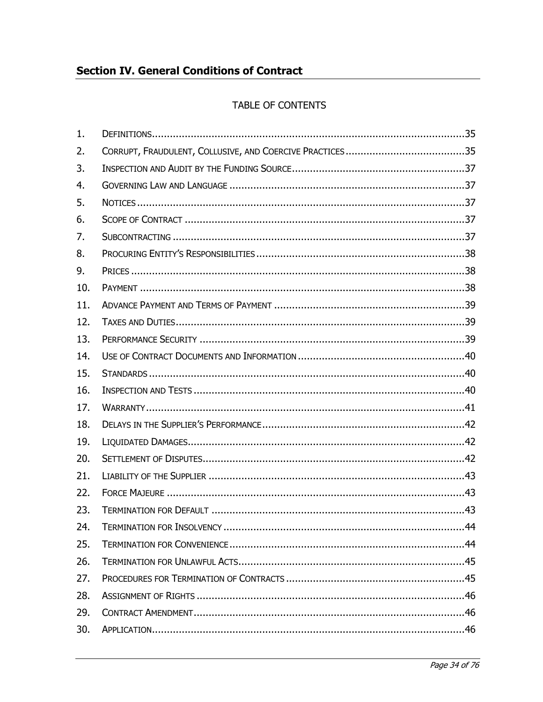### TABLE OF CONTENTS

<span id="page-33-0"></span>

| 1.  |  |
|-----|--|
| 2.  |  |
| 3.  |  |
| 4.  |  |
| 5.  |  |
| 6.  |  |
| 7.  |  |
| 8.  |  |
| 9.  |  |
| 10. |  |
| 11. |  |
| 12. |  |
| 13. |  |
| 14. |  |
| 15. |  |
| 16. |  |
| 17. |  |
| 18. |  |
| 19. |  |
| 20. |  |
| 21. |  |
| 22. |  |
| 23. |  |
| 24. |  |
| 25. |  |
| 26. |  |
| 27. |  |
| 28. |  |
| 29. |  |
| 30. |  |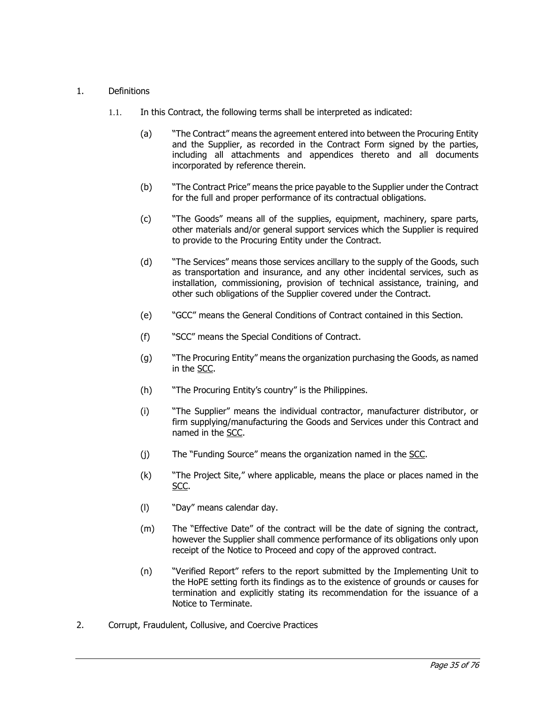#### <span id="page-34-0"></span>1. Definitions

- 1.1. In this Contract, the following terms shall be interpreted as indicated:
	- (a) "The Contract" means the agreement entered into between the Procuring Entity and the Supplier, as recorded in the Contract Form signed by the parties, including all attachments and appendices thereto and all documents incorporated by reference therein.
	- (b) "The Contract Price" means the price payable to the Supplier under the Contract for the full and proper performance of its contractual obligations.
	- (c) "The Goods" means all of the supplies, equipment, machinery, spare parts, other materials and/or general support services which the Supplier is required to provide to the Procuring Entity under the Contract.
	- (d) "The Services" means those services ancillary to the supply of the Goods, such as transportation and insurance, and any other incidental services, such as installation, commissioning, provision of technical assistance, training, and other such obligations of the Supplier covered under the Contract.
	- (e) "GCC" means the General Conditions of Contract contained in this Section.
	- (f) "SCC" means the Special Conditions of Contract.
	- (g) "The Procuring Entity" means the organization purchasing the Goods, as named in the [SCC.](#page-46-1)
	- (h) "The Procuring Entity's country" is the Philippines.
	- (i) "The Supplier" means the individual contractor, manufacturer distributor, or firm supplying/manufacturing the Goods and Services under this Contract and named in the [SCC.](#page-46-2)
	- (j) The "Funding Source" means the organization named in the [SCC.](#page-46-3)
	- (k) "The Project Site," where applicable, means the place or places named in the [SCC.](#page-46-4)
	- (l) "Day" means calendar day.
	- (m) The "Effective Date" of the contract will be the date of signing the contract, however the Supplier shall commence performance of its obligations only upon receipt of the Notice to Proceed and copy of the approved contract.
	- (n) "Verified Report" refers to the report submitted by the Implementing Unit to the HoPE setting forth its findings as to the existence of grounds or causes for termination and explicitly stating its recommendation for the issuance of a Notice to Terminate.
- <span id="page-34-1"></span>2. Corrupt, Fraudulent, Collusive, and Coercive Practices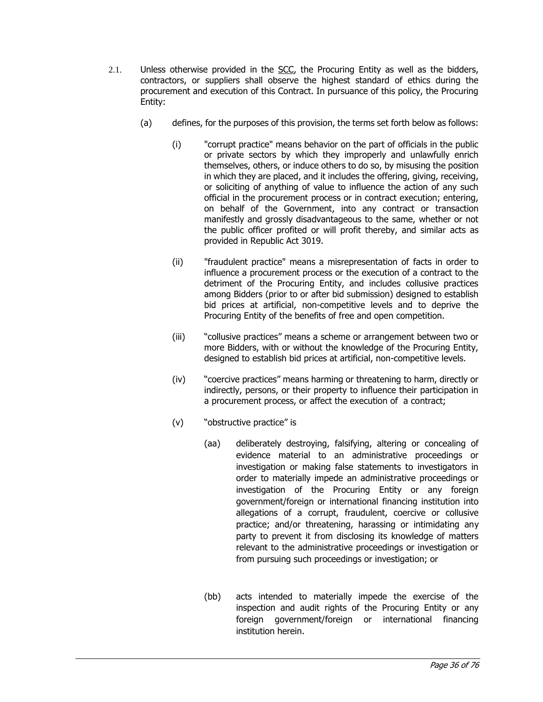- 2.1. Unless otherwise provided in the [SCC,](#page-46-5) the Procuring Entity as well as the bidders, contractors, or suppliers shall observe the highest standard of ethics during the procurement and execution of this Contract. In pursuance of this policy, the Procuring Entity:
	- (a) defines, for the purposes of this provision, the terms set forth below as follows:
		- (i) "corrupt practice" means behavior on the part of officials in the public or private sectors by which they improperly and unlawfully enrich themselves, others, or induce others to do so, by misusing the position in which they are placed, and it includes the offering, giving, receiving, or soliciting of anything of value to influence the action of any such official in the procurement process or in contract execution; entering, on behalf of the Government, into any contract or transaction manifestly and grossly disadvantageous to the same, whether or not the public officer profited or will profit thereby, and similar acts as provided in Republic Act 3019.
		- (ii) "fraudulent practice" means a misrepresentation of facts in order to influence a procurement process or the execution of a contract to the detriment of the Procuring Entity, and includes collusive practices among Bidders (prior to or after bid submission) designed to establish bid prices at artificial, non-competitive levels and to deprive the Procuring Entity of the benefits of free and open competition.
		- (iii) "collusive practices" means a scheme or arrangement between two or more Bidders, with or without the knowledge of the Procuring Entity, designed to establish bid prices at artificial, non-competitive levels.
		- (iv) "coercive practices" means harming or threatening to harm, directly or indirectly, persons, or their property to influence their participation in a procurement process, or affect the execution of a contract;
		- (v) "obstructive practice" is
			- (aa) deliberately destroying, falsifying, altering or concealing of evidence material to an administrative proceedings or investigation or making false statements to investigators in order to materially impede an administrative proceedings or investigation of the Procuring Entity or any foreign government/foreign or international financing institution into allegations of a corrupt, fraudulent, coercive or collusive practice; and/or threatening, harassing or intimidating any party to prevent it from disclosing its knowledge of matters relevant to the administrative proceedings or investigation or from pursuing such proceedings or investigation; or
			- (bb) acts intended to materially impede the exercise of the inspection and audit rights of the Procuring Entity or any foreign government/foreign or international financing institution herein.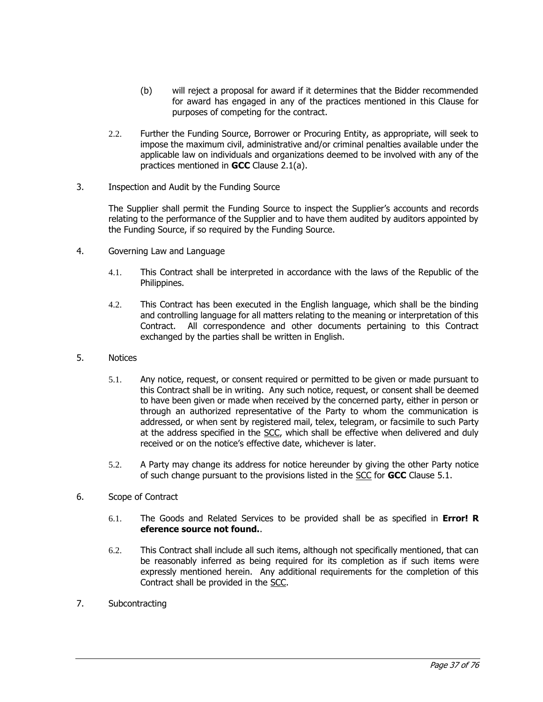- (b) will reject a proposal for award if it determines that the Bidder recommended for award has engaged in any of the practices mentioned in this Clause for purposes of competing for the contract.
- 2.2. Further the Funding Source, Borrower or Procuring Entity, as appropriate, will seek to impose the maximum civil, administrative and/or criminal penalties available under the applicable law on individuals and organizations deemed to be involved with any of the practices mentioned in **GCC** Clause [2.1\(a\).](#page-35-0)
- 3. Inspection and Audit by the Funding Source

The Supplier shall permit the Funding Source to inspect the Supplier's accounts and records relating to the performance of the Supplier and to have them audited by auditors appointed by the Funding Source, if so required by the Funding Source.

- 4. Governing Law and Language
	- 4.1. This Contract shall be interpreted in accordance with the laws of the Republic of the Philippines.
	- 4.2. This Contract has been executed in the English language, which shall be the binding and controlling language for all matters relating to the meaning or interpretation of this Contract. All correspondence and other documents pertaining to this Contract exchanged by the parties shall be written in English.
- <span id="page-36-3"></span><span id="page-36-0"></span>5. Notices
	- 5.1. Any notice, request, or consent required or permitted to be given or made pursuant to this Contract shall be in writing. Any such notice, request, or consent shall be deemed to have been given or made when received by the concerned party, either in person or through an authorized representative of the Party to whom the communication is addressed, or when sent by registered mail, telex, telegram, or facsimile to such Party at the address specified in the [SCC,](#page-46-0) which shall be effective when delivered and duly received or on the notice's effective date, whichever is later.
	- 5.2. A Party may change its address for notice hereunder by giving the other Party notice of such change pursuant to the provisions listed in the [SCC](#page-46-0) for **GCC** Clause [5.1.](#page-36-0)
- <span id="page-36-2"></span><span id="page-36-1"></span>6. Scope of Contract
	- 6.1. The Goods and Related Services to be provided shall be as specified in **Error! R eference source not found.**.
	- 6.2. This Contract shall include all such items, although not specifically mentioned, that can be reasonably inferred as being required for its completion as if such items were expressly mentioned herein. Any additional requirements for the completion of this Contract shall be provided in the [SCC.](#page-46-1)
- 7. Subcontracting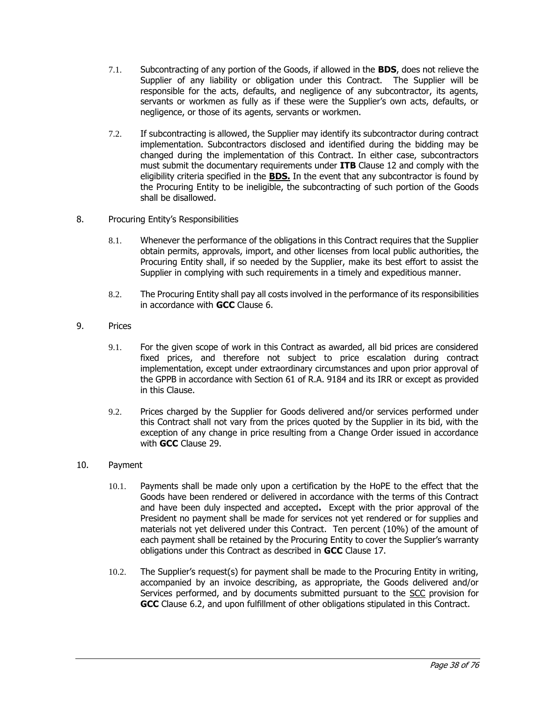- 7.1. Subcontracting of any portion of the Goods, if allowed in the **BDS**, does not relieve the Supplier of any liability or obligation under this Contract. The Supplier will be responsible for the acts, defaults, and negligence of any subcontractor, its agents, servants or workmen as fully as if these were the Supplier's own acts, defaults, or negligence, or those of its agents, servants or workmen.
- 7.2. If subcontracting is allowed, the Supplier may identify its subcontractor during contract implementation. Subcontractors disclosed and identified during the bidding may be changed during the implementation of this Contract. In either case, subcontractors must submit the documentary requirements under **ITB** Clause 12 and comply with the eligibility criteria specified in the **BDS.** In the event that any subcontractor is found by the Procuring Entity to be ineligible, the subcontracting of such portion of the Goods shall be disallowed.
- 8. Procuring Entity's Responsibilities
	- 8.1. Whenever the performance of the obligations in this Contract requires that the Supplier obtain permits, approvals, import, and other licenses from local public authorities, the Procuring Entity shall, if so needed by the Supplier, make its best effort to assist the Supplier in complying with such requirements in a timely and expeditious manner.
	- 8.2. The Procuring Entity shall pay all costs involved in the performance of its responsibilities in accordance with **GCC** Clause [6.](#page-36-1)
- 9. Prices
	- 9.1. For the given scope of work in this Contract as awarded, all bid prices are considered fixed prices, and therefore not subject to price escalation during contract implementation, except under extraordinary circumstances and upon prior approval of the GPPB in accordance with Section 61 of R.A. 9184 and its IRR or except as provided in this Clause.
	- 9.2. Prices charged by the Supplier for Goods delivered and/or services performed under this Contract shall not vary from the prices quoted by the Supplier in its bid, with the exception of any change in price resulting from a Change Order issued in accordance with **GCC** Clause [29.](#page-45-0)
- <span id="page-37-1"></span><span id="page-37-0"></span>10. Payment
	- 10.1. Payments shall be made only upon a certification by the HoPE to the effect that the Goods have been rendered or delivered in accordance with the terms of this Contract and have been duly inspected and accepted**.** Except with the prior approval of the President no payment shall be made for services not yet rendered or for supplies and materials not yet delivered under this Contract. Ten percent (10%) of the amount of each payment shall be retained by the Procuring Entity to cover the Supplier's warranty obligations under this Contract as described in **GCC** Clause [17.](#page-40-0)
	- 10.2. The Supplier's request(s) for payment shall be made to the Procuring Entity in writing, accompanied by an invoice describing, as appropriate, the Goods delivered and/or Services performed, and by documents submitted pursuant to the [SCC](#page-46-1) provision for **GCC** Clause [6.2,](#page-36-2) and upon fulfillment of other obligations stipulated in this Contract.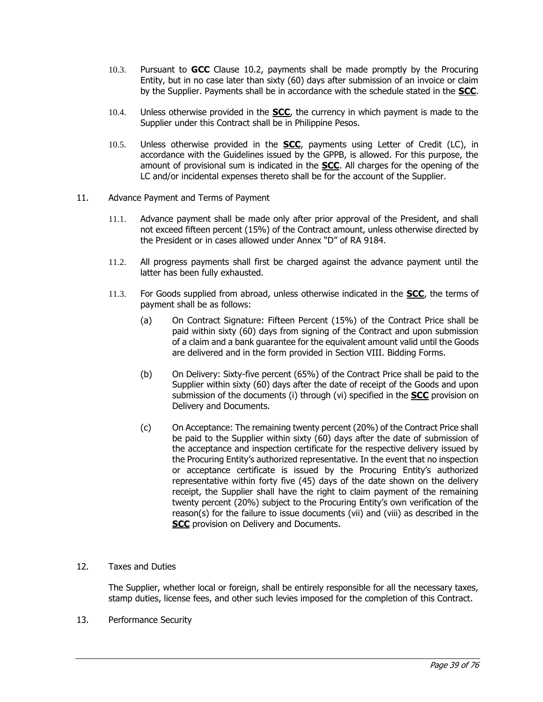- 10.3. Pursuant to **GCC** Clause [10.2,](#page-37-0) payments shall be made promptly by the Procuring Entity, but in no case later than sixty (60) days after submission of an invoice or claim by the Supplier. Payments shall be in accordance with the schedule stated in the **SCC**.
- 10.4. Unless otherwise provided in the **SCC**, the currency in which payment is made to the Supplier under this Contract shall be in Philippine Pesos.
- 10.5. Unless otherwise provided in the **SCC**, payments using Letter of Credit (LC), in accordance with the Guidelines issued by the GPPB, is allowed. For this purpose, the amount of provisional sum is indicated in the **SCC**. All charges for the opening of the LC and/or incidental expenses thereto shall be for the account of the Supplier.
- 11. Advance Payment and Terms of Payment
	- 11.1. Advance payment shall be made only after prior approval of the President, and shall not exceed fifteen percent (15%) of the Contract amount, unless otherwise directed by the President or in cases allowed under Annex "D" of RA 9184.
	- 11.2. All progress payments shall first be charged against the advance payment until the latter has been fully exhausted.
	- 11.3. For Goods supplied from abroad, unless otherwise indicated in the **SCC**, the terms of payment shall be as follows:
		- (a) On Contract Signature: Fifteen Percent (15%) of the Contract Price shall be paid within sixty (60) days from signing of the Contract and upon submission of a claim and a bank guarantee for the equivalent amount valid until the Goods are delivered and in the form provided in Section VIII. Bidding Forms.
		- (b) On Delivery: Sixty-five percent (65%) of the Contract Price shall be paid to the Supplier within sixty (60) days after the date of receipt of the Goods and upon submission of the documents (i) through (vi) specified in the **[SCC](#page-46-1)** provision on Delivery and Documents.
		- (c) On Acceptance: The remaining twenty percent (20%) of the Contract Price shall be paid to the Supplier within sixty (60) days after the date of submission of the acceptance and inspection certificate for the respective delivery issued by the Procuring Entity's authorized representative. In the event that no inspection or acceptance certificate is issued by the Procuring Entity's authorized representative within forty five (45) days of the date shown on the delivery receipt, the Supplier shall have the right to claim payment of the remaining twenty percent (20%) subject to the Procuring Entity's own verification of the reason(s) for the failure to issue documents (vii) and (viii) as described in the **[SCC](#page-46-1)** provision on Delivery and Documents.
- 12. Taxes and Duties

The Supplier, whether local or foreign, shall be entirely responsible for all the necessary taxes, stamp duties, license fees, and other such levies imposed for the completion of this Contract.

13. Performance Security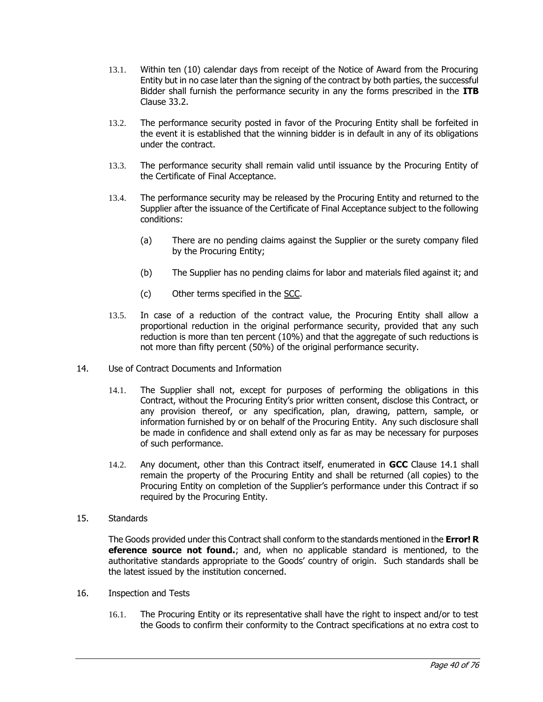- 13.1. Within ten (10) calendar days from receipt of the Notice of Award from the Procuring Entity but in no case later than the signing of the contract by both parties, the successful Bidder shall furnish the performance security in any the forms prescribed in the **ITB** Clause [33.2.](#page-28-0)
- 13.2. The performance security posted in favor of the Procuring Entity shall be forfeited in the event it is established that the winning bidder is in default in any of its obligations under the contract.
- 13.3. The performance security shall remain valid until issuance by the Procuring Entity of the Certificate of Final Acceptance.
- 13.4. The performance security may be released by the Procuring Entity and returned to the Supplier after the issuance of the Certificate of Final Acceptance subject to the following conditions:
	- (a) There are no pending claims against the Supplier or the surety company filed by the Procuring Entity;
	- (b) The Supplier has no pending claims for labor and materials filed against it; and
	- (c) Other terms specified in the [SCC.](#page-50-0)
- <span id="page-39-1"></span>13.5. In case of a reduction of the contract value, the Procuring Entity shall allow a proportional reduction in the original performance security, provided that any such reduction is more than ten percent (10%) and that the aggregate of such reductions is not more than fifty percent (50%) of the original performance security.
- <span id="page-39-0"></span>14. Use of Contract Documents and Information
	- 14.1. The Supplier shall not, except for purposes of performing the obligations in this Contract, without the Procuring Entity's prior written consent, disclose this Contract, or any provision thereof, or any specification, plan, drawing, pattern, sample, or information furnished by or on behalf of the Procuring Entity. Any such disclosure shall be made in confidence and shall extend only as far as may be necessary for purposes of such performance.
	- 14.2. Any document, other than this Contract itself, enumerated in **GCC** Clause [14.1](#page-39-0) shall remain the property of the Procuring Entity and shall be returned (all copies) to the Procuring Entity on completion of the Supplier's performance under this Contract if so required by the Procuring Entity.
- 15. Standards

The Goods provided under this Contract shall conform to the standards mentioned in the **Error! R eference source not found.**; and, when no applicable standard is mentioned, to the authoritative standards appropriate to the Goods' country of origin. Such standards shall be the latest issued by the institution concerned.

- <span id="page-39-2"></span>16. Inspection and Tests
	- 16.1. The Procuring Entity or its representative shall have the right to inspect and/or to test the Goods to confirm their conformity to the Contract specifications at no extra cost to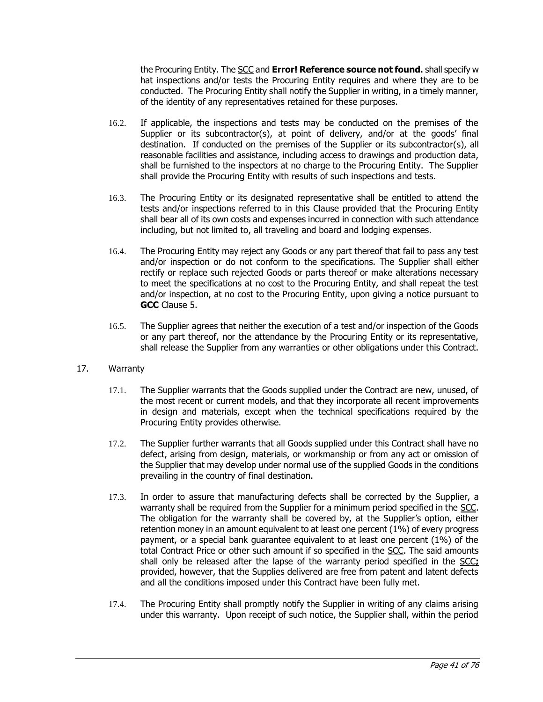the Procuring Entity. Th[e SCC](#page-50-1) and **[Error! Reference source not found.](_Ref97444287)** shall specify w hat inspections and/or tests the Procuring Entity requires and where they are to be conducted. The Procuring Entity shall notify the Supplier in writing, in a timely manner, of the identity of any representatives retained for these purposes.

- 16.2. If applicable, the inspections and tests may be conducted on the premises of the Supplier or its subcontractor(s), at point of delivery, and/or at the goods' final destination. If conducted on the premises of the Supplier or its subcontractor(s), all reasonable facilities and assistance, including access to drawings and production data, shall be furnished to the inspectors at no charge to the Procuring Entity. The Supplier shall provide the Procuring Entity with results of such inspections and tests.
- 16.3. The Procuring Entity or its designated representative shall be entitled to attend the tests and/or inspections referred to in this Clause provided that the Procuring Entity shall bear all of its own costs and expenses incurred in connection with such attendance including, but not limited to, all traveling and board and lodging expenses.
- 16.4. The Procuring Entity may reject any Goods or any part thereof that fail to pass any test and/or inspection or do not conform to the specifications. The Supplier shall either rectify or replace such rejected Goods or parts thereof or make alterations necessary to meet the specifications at no cost to the Procuring Entity, and shall repeat the test and/or inspection, at no cost to the Procuring Entity, upon giving a notice pursuant to **GCC** Clause [5.](#page-36-3)
- <span id="page-40-2"></span>16.5. The Supplier agrees that neither the execution of a test and/or inspection of the Goods or any part thereof, nor the attendance by the Procuring Entity or its representative, shall release the Supplier from any warranties or other obligations under this Contract.
- <span id="page-40-1"></span><span id="page-40-0"></span>17. Warranty
	- 17.1. The Supplier warrants that the Goods supplied under the Contract are new, unused, of the most recent or current models, and that they incorporate all recent improvements in design and materials, except when the technical specifications required by the Procuring Entity provides otherwise.
	- 17.2. The Supplier further warrants that all Goods supplied under this Contract shall have no defect, arising from design, materials, or workmanship or from any act or omission of the Supplier that may develop under normal use of the supplied Goods in the conditions prevailing in the country of final destination.
	- 17.3. In order to assure that manufacturing defects shall be corrected by the Supplier, a warranty shall be required from the Supplier for a minimum period specified in the [SCC.](#page-51-0) The obligation for the warranty shall be covered by, at the Supplier's option, either retention money in an amount equivalent to at least one percent (1%) of every progress payment, or a special bank guarantee equivalent to at least one percent (1%) of the total Contract Price or other such amount if so specified in the [SCC.](#page-51-0) The said amounts shall only be released after the lapse of the warranty period specified in the [SCC](#page-51-0)**;** provided, however, that the Supplies delivered are free from patent and latent defects and all the conditions imposed under this Contract have been fully met.
	- 17.4. The Procuring Entity shall promptly notify the Supplier in writing of any claims arising under this warranty. Upon receipt of such notice, the Supplier shall, within the period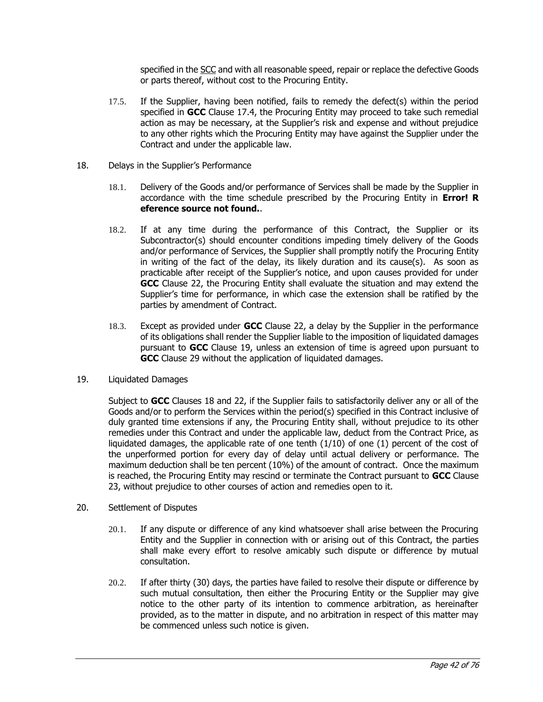specified in the [SCC](#page-51-1) and with all reasonable speed, repair or replace the defective Goods or parts thereof, without cost to the Procuring Entity.

- 17.5. If the Supplier, having been notified, fails to remedy the defect(s) within the period specified in **GCC** Clause [17.4,](#page-40-1) the Procuring Entity may proceed to take such remedial action as may be necessary, at the Supplier's risk and expense and without prejudice to any other rights which the Procuring Entity may have against the Supplier under the Contract and under the applicable law.
- <span id="page-41-1"></span>18. Delays in the Supplier's Performance
	- 18.1. Delivery of the Goods and/or performance of Services shall be made by the Supplier in accordance with the time schedule prescribed by the Procuring Entity in **Error! R eference source not found.**.
	- 18.2. If at any time during the performance of this Contract, the Supplier or its Subcontractor(s) should encounter conditions impeding timely delivery of the Goods and/or performance of Services, the Supplier shall promptly notify the Procuring Entity in writing of the fact of the delay, its likely duration and its cause(s). As soon as practicable after receipt of the Supplier's notice, and upon causes provided for under **GCC** Clause [22,](#page-42-0) the Procuring Entity shall evaluate the situation and may extend the Supplier's time for performance, in which case the extension shall be ratified by the parties by amendment of Contract.
	- 18.3. Except as provided under **GCC** Clause [22,](#page-42-0) a delay by the Supplier in the performance of its obligations shall render the Supplier liable to the imposition of liquidated damages pursuant to **GCC** Clause [19,](#page-41-0) unless an extension of time is agreed upon pursuant to **GCC** Clause [29](#page-45-0) without the application of liquidated damages.
- <span id="page-41-0"></span>19. Liquidated Damages

Subject to **GCC** Clauses [18](#page-41-1) and [22,](#page-42-0) if the Supplier fails to satisfactorily deliver any or all of the Goods and/or to perform the Services within the period(s) specified in this Contract inclusive of duly granted time extensions if any, the Procuring Entity shall, without prejudice to its other remedies under this Contract and under the applicable law, deduct from the Contract Price, as liquidated damages, the applicable rate of one tenth (1/10) of one (1) percent of the cost of the unperformed portion for every day of delay until actual delivery or performance. The maximum deduction shall be ten percent (10%) of the amount of contract. Once the maximum is reached, the Procuring Entity may rescind or terminate the Contract pursuant to **GCC** Clause [23,](#page-42-1) without prejudice to other courses of action and remedies open to it.

- 20. Settlement of Disputes
	- 20.1. If any dispute or difference of any kind whatsoever shall arise between the Procuring Entity and the Supplier in connection with or arising out of this Contract, the parties shall make every effort to resolve amicably such dispute or difference by mutual consultation.
	- 20.2. If after thirty (30) days, the parties have failed to resolve their dispute or difference by such mutual consultation, then either the Procuring Entity or the Supplier may give notice to the other party of its intention to commence arbitration, as hereinafter provided, as to the matter in dispute, and no arbitration in respect of this matter may be commenced unless such notice is given.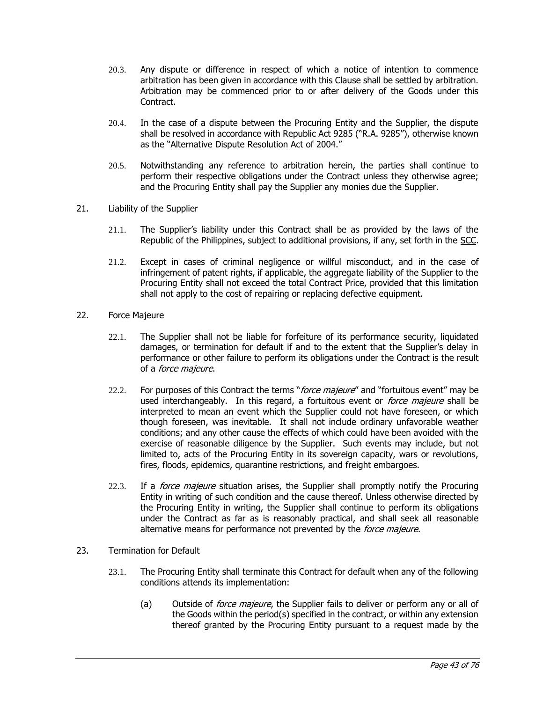- 20.3. Any dispute or difference in respect of which a notice of intention to commence arbitration has been given in accordance with this Clause shall be settled by arbitration. Arbitration may be commenced prior to or after delivery of the Goods under this Contract.
- 20.4. In the case of a dispute between the Procuring Entity and the Supplier, the dispute shall be resolved in accordance with Republic Act 9285 ("R.A. 9285"), otherwise known as the "Alternative Dispute Resolution Act of 2004."
- 20.5. Notwithstanding any reference to arbitration herein, the parties shall continue to perform their respective obligations under the Contract unless they otherwise agree; and the Procuring Entity shall pay the Supplier any monies due the Supplier.
- <span id="page-42-2"></span>21. Liability of the Supplier
	- 21.1. The Supplier's liability under this Contract shall be as provided by the laws of the Republic of the Philippines, subject to additional provisions, if any, set forth in the [SCC.](#page-51-2)
	- 21.2. Except in cases of criminal negligence or willful misconduct, and in the case of infringement of patent rights, if applicable, the aggregate liability of the Supplier to the Procuring Entity shall not exceed the total Contract Price, provided that this limitation shall not apply to the cost of repairing or replacing defective equipment.
- <span id="page-42-0"></span>22. Force Majeure
	- 22.1. The Supplier shall not be liable for forfeiture of its performance security, liquidated damages, or termination for default if and to the extent that the Supplier's delay in performance or other failure to perform its obligations under the Contract is the result of a force majeure.
	- 22.2. For purposes of this Contract the terms "force majeure" and "fortuitous event" may be used interchangeably. In this regard, a fortuitous event or *force majeure* shall be interpreted to mean an event which the Supplier could not have foreseen, or which though foreseen, was inevitable. It shall not include ordinary unfavorable weather conditions; and any other cause the effects of which could have been avoided with the exercise of reasonable diligence by the Supplier. Such events may include, but not limited to, acts of the Procuring Entity in its sovereign capacity, wars or revolutions, fires, floods, epidemics, quarantine restrictions, and freight embargoes.
	- 22.3. If a *force majeure* situation arises, the Supplier shall promptly notify the Procuring Entity in writing of such condition and the cause thereof. Unless otherwise directed by the Procuring Entity in writing, the Supplier shall continue to perform its obligations under the Contract as far as is reasonably practical, and shall seek all reasonable alternative means for performance not prevented by the *force majeure*.
- <span id="page-42-1"></span>23. Termination for Default
	- 23.1. The Procuring Entity shall terminate this Contract for default when any of the following conditions attends its implementation:
		- (a) Outside of *force majeure*, the Supplier fails to deliver or perform any or all of the Goods within the period(s) specified in the contract, or within any extension thereof granted by the Procuring Entity pursuant to a request made by the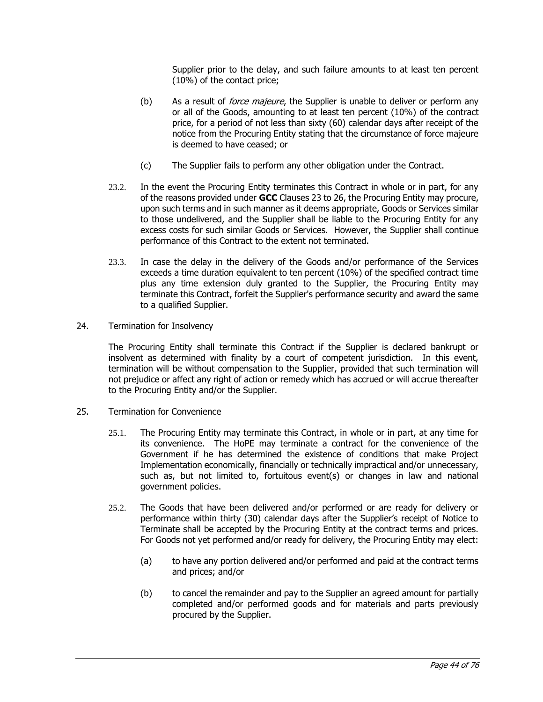Supplier prior to the delay, and such failure amounts to at least ten percent (10%) of the contact price;

- (b) As a result of *force majeure*, the Supplier is unable to deliver or perform any or all of the Goods, amounting to at least ten percent (10%) of the contract price, for a period of not less than sixty (60) calendar days after receipt of the notice from the Procuring Entity stating that the circumstance of force majeure is deemed to have ceased; or
- (c) The Supplier fails to perform any other obligation under the Contract.
- 23.2. In the event the Procuring Entity terminates this Contract in whole or in part, for any of the reasons provided under **GCC** Clauses [23](#page-42-1) to [26,](#page-44-0) the Procuring Entity may procure, upon such terms and in such manner as it deems appropriate, Goods or Services similar to those undelivered, and the Supplier shall be liable to the Procuring Entity for any excess costs for such similar Goods or Services. However, the Supplier shall continue performance of this Contract to the extent not terminated.
- 23.3. In case the delay in the delivery of the Goods and/or performance of the Services exceeds a time duration equivalent to ten percent (10%) of the specified contract time plus any time extension duly granted to the Supplier, the Procuring Entity may terminate this Contract, forfeit the Supplier's performance security and award the same to a qualified Supplier.
- 24. Termination for Insolvency

The Procuring Entity shall terminate this Contract if the Supplier is declared bankrupt or insolvent as determined with finality by a court of competent jurisdiction. In this event, termination will be without compensation to the Supplier, provided that such termination will not prejudice or affect any right of action or remedy which has accrued or will accrue thereafter to the Procuring Entity and/or the Supplier.

- 25. Termination for Convenience
	- 25.1. The Procuring Entity may terminate this Contract, in whole or in part, at any time for its convenience. The HoPE may terminate a contract for the convenience of the Government if he has determined the existence of conditions that make Project Implementation economically, financially or technically impractical and/or unnecessary, such as, but not limited to, fortuitous event(s) or changes in law and national government policies.
	- 25.2. The Goods that have been delivered and/or performed or are ready for delivery or performance within thirty (30) calendar days after the Supplier's receipt of Notice to Terminate shall be accepted by the Procuring Entity at the contract terms and prices. For Goods not yet performed and/or ready for delivery, the Procuring Entity may elect:
		- (a) to have any portion delivered and/or performed and paid at the contract terms and prices; and/or
		- (b) to cancel the remainder and pay to the Supplier an agreed amount for partially completed and/or performed goods and for materials and parts previously procured by the Supplier.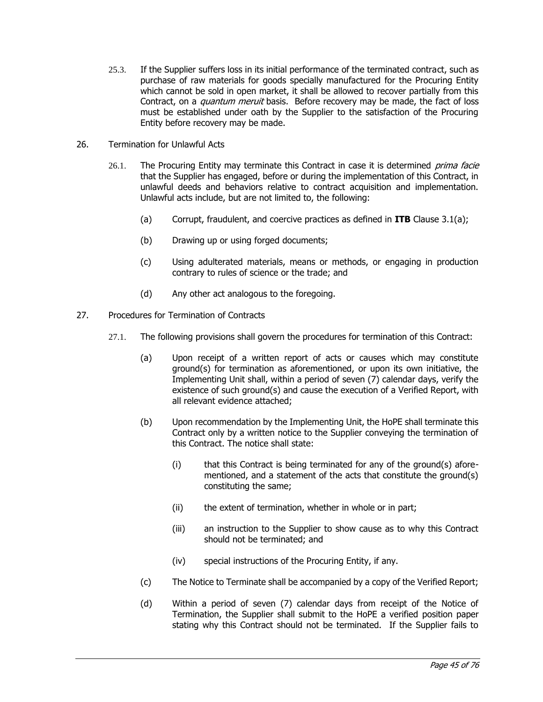- 25.3. If the Supplier suffers loss in its initial performance of the terminated contract, such as purchase of raw materials for goods specially manufactured for the Procuring Entity which cannot be sold in open market, it shall be allowed to recover partially from this Contract, on a *quantum meruit* basis. Before recovery may be made, the fact of loss must be established under oath by the Supplier to the satisfaction of the Procuring Entity before recovery may be made.
- <span id="page-44-0"></span>26. Termination for Unlawful Acts
	- 26.1. The Procuring Entity may terminate this Contract in case it is determined *prima facie* that the Supplier has engaged, before or during the implementation of this Contract, in unlawful deeds and behaviors relative to contract acquisition and implementation. Unlawful acts include, but are not limited to, the following:
		- (a) Corrupt, fraudulent, and coercive practices as defined in **ITB** Clause [3.1\(a\);](#page-5-0)
		- (b) Drawing up or using forged documents;
		- (c) Using adulterated materials, means or methods, or engaging in production contrary to rules of science or the trade; and
		- (d) Any other act analogous to the foregoing.
- 27. Procedures for Termination of Contracts
	- 27.1. The following provisions shall govern the procedures for termination of this Contract:
		- (a) Upon receipt of a written report of acts or causes which may constitute ground(s) for termination as aforementioned, or upon its own initiative, the Implementing Unit shall, within a period of seven (7) calendar days, verify the existence of such ground(s) and cause the execution of a Verified Report, with all relevant evidence attached;
		- (b) Upon recommendation by the Implementing Unit, the HoPE shall terminate this Contract only by a written notice to the Supplier conveying the termination of this Contract. The notice shall state:
			- $(i)$  that this Contract is being terminated for any of the ground(s) aforementioned, and a statement of the acts that constitute the ground(s) constituting the same;
			- (ii) the extent of termination, whether in whole or in part;
			- (iii) an instruction to the Supplier to show cause as to why this Contract should not be terminated; and
			- (iv) special instructions of the Procuring Entity, if any.
		- (c) The Notice to Terminate shall be accompanied by a copy of the Verified Report;
		- (d) Within a period of seven (7) calendar days from receipt of the Notice of Termination, the Supplier shall submit to the HoPE a verified position paper stating why this Contract should not be terminated. If the Supplier fails to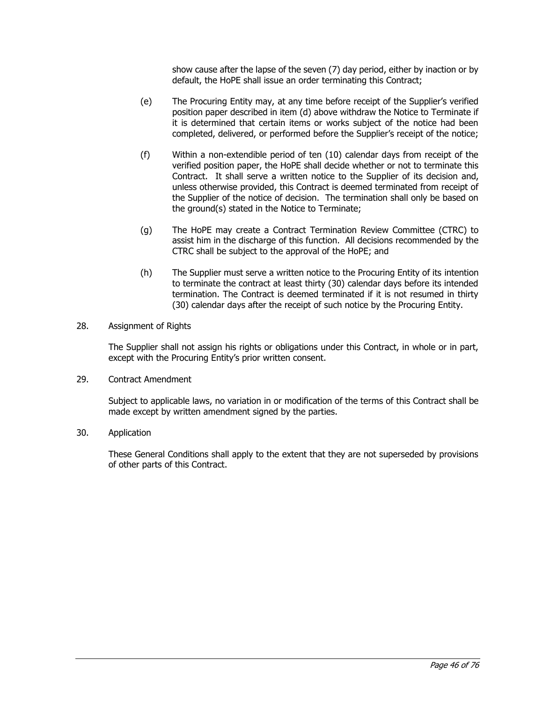show cause after the lapse of the seven (7) day period, either by inaction or by default, the HoPE shall issue an order terminating this Contract;

- (e) The Procuring Entity may, at any time before receipt of the Supplier's verified position paper described in item (d) above withdraw the Notice to Terminate if it is determined that certain items or works subject of the notice had been completed, delivered, or performed before the Supplier's receipt of the notice;
- (f) Within a non-extendible period of ten (10) calendar days from receipt of the verified position paper, the HoPE shall decide whether or not to terminate this Contract. It shall serve a written notice to the Supplier of its decision and, unless otherwise provided, this Contract is deemed terminated from receipt of the Supplier of the notice of decision. The termination shall only be based on the ground(s) stated in the Notice to Terminate;
- (g) The HoPE may create a Contract Termination Review Committee (CTRC) to assist him in the discharge of this function. All decisions recommended by the CTRC shall be subject to the approval of the HoPE; and
- (h) The Supplier must serve a written notice to the Procuring Entity of its intention to terminate the contract at least thirty (30) calendar days before its intended termination. The Contract is deemed terminated if it is not resumed in thirty (30) calendar days after the receipt of such notice by the Procuring Entity.

#### 28. Assignment of Rights

The Supplier shall not assign his rights or obligations under this Contract, in whole or in part, except with the Procuring Entity's prior written consent.

## <span id="page-45-0"></span>29. Contract Amendment

Subject to applicable laws, no variation in or modification of the terms of this Contract shall be made except by written amendment signed by the parties.

## 30. Application

These General Conditions shall apply to the extent that they are not superseded by provisions of other parts of this Contract.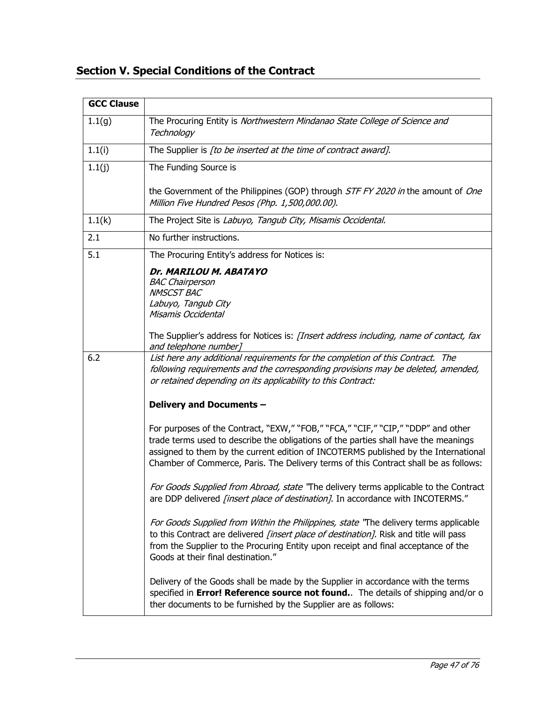# **Section V. Special Conditions of the Contract**

<span id="page-46-1"></span><span id="page-46-0"></span>

| <b>GCC Clause</b> |                                                                                                                                                                                                                                                                                                                                                        |
|-------------------|--------------------------------------------------------------------------------------------------------------------------------------------------------------------------------------------------------------------------------------------------------------------------------------------------------------------------------------------------------|
| 1.1(g)            | The Procuring Entity is Northwestern Mindanao State College of Science and<br>Technology                                                                                                                                                                                                                                                               |
| 1.1(i)            | The Supplier is [to be inserted at the time of contract award].                                                                                                                                                                                                                                                                                        |
| 1.1(j)            | The Funding Source is                                                                                                                                                                                                                                                                                                                                  |
|                   | the Government of the Philippines (GOP) through STF FY 2020 in the amount of One<br>Million Five Hundred Pesos (Php. 1,500,000.00).                                                                                                                                                                                                                    |
| 1.1(k)            | The Project Site is Labuyo, Tangub City, Misamis Occidental.                                                                                                                                                                                                                                                                                           |
| 2.1               | No further instructions.                                                                                                                                                                                                                                                                                                                               |
| 5.1               | The Procuring Entity's address for Notices is:                                                                                                                                                                                                                                                                                                         |
|                   | Dr. MARILOU M. ABATAYO<br><b>BAC Chairperson</b><br><b>NMSCST BAC</b><br>Labuyo, Tangub City<br>Misamis Occidental                                                                                                                                                                                                                                     |
|                   | The Supplier's address for Notices is: [Insert address including, name of contact, fax<br>and telephone number]                                                                                                                                                                                                                                        |
| 6.2               | List here any additional requirements for the completion of this Contract. The<br>following requirements and the corresponding provisions may be deleted, amended,<br>or retained depending on its applicability to this Contract:                                                                                                                     |
|                   | Delivery and Documents -                                                                                                                                                                                                                                                                                                                               |
|                   | For purposes of the Contract, "EXW," "FOB," "FCA," "CIF," "CIP," "DDP" and other<br>trade terms used to describe the obligations of the parties shall have the meanings<br>assigned to them by the current edition of INCOTERMS published by the International<br>Chamber of Commerce, Paris. The Delivery terms of this Contract shall be as follows: |
|                   | For Goods Supplied from Abroad, state "The delivery terms applicable to the Contract<br>are DDP delivered <i>[insert place of destination]</i> . In accordance with INCOTERMS."                                                                                                                                                                        |
|                   | For Goods Supplied from Within the Philippines, state "The delivery terms applicable<br>to this Contract are delivered <i>[insert place of destination]</i> . Risk and title will pass<br>from the Supplier to the Procuring Entity upon receipt and final acceptance of the<br>Goods at their final destination."                                     |
|                   | Delivery of the Goods shall be made by the Supplier in accordance with the terms<br>specified in Error! Reference source not found The details of shipping and/or o<br>ther documents to be furnished by the Supplier are as follows:                                                                                                                  |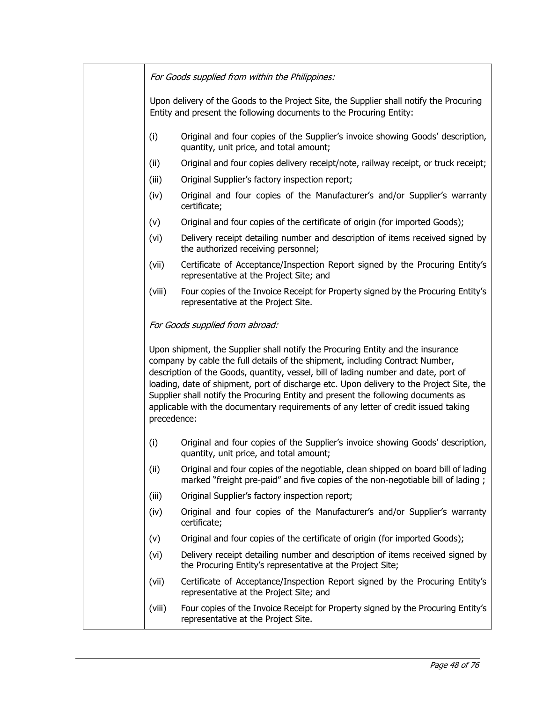For Goods supplied from within the Philippines:

Upon delivery of the Goods to the Project Site, the Supplier shall notify the Procuring Entity and present the following documents to the Procuring Entity:

- (i) Original and four copies of the Supplier's invoice showing Goods' description, quantity, unit price, and total amount;
- (ii) Original and four copies delivery receipt/note, railway receipt, or truck receipt;
- (iii) Original Supplier's factory inspection report;
- (iv) Original and four copies of the Manufacturer's and/or Supplier's warranty certificate;
- (v) Original and four copies of the certificate of origin (for imported Goods);
- (vi) Delivery receipt detailing number and description of items received signed by the authorized receiving personnel;
- (vii) Certificate of Acceptance/Inspection Report signed by the Procuring Entity's representative at the Project Site; and
- (viii) Four copies of the Invoice Receipt for Property signed by the Procuring Entity's representative at the Project Site.

# For Goods supplied from abroad:

Upon shipment, the Supplier shall notify the Procuring Entity and the insurance company by cable the full details of the shipment, including Contract Number, description of the Goods, quantity, vessel, bill of lading number and date, port of loading, date of shipment, port of discharge etc. Upon delivery to the Project Site, the Supplier shall notify the Procuring Entity and present the following documents as applicable with the documentary requirements of any letter of credit issued taking precedence:

- (i) Original and four copies of the Supplier's invoice showing Goods' description, quantity, unit price, and total amount;
- (ii) Original and four copies of the negotiable, clean shipped on board bill of lading marked "freight pre-paid" and five copies of the non-negotiable bill of lading;
- (iii) Original Supplier's factory inspection report;
- (iv) Original and four copies of the Manufacturer's and/or Supplier's warranty certificate;
- (v) Original and four copies of the certificate of origin (for imported Goods);
- (vi) Delivery receipt detailing number and description of items received signed by the Procuring Entity's representative at the Project Site;
- (vii) Certificate of Acceptance/Inspection Report signed by the Procuring Entity's representative at the Project Site; and
- (viii) Four copies of the Invoice Receipt for Property signed by the Procuring Entity's representative at the Project Site.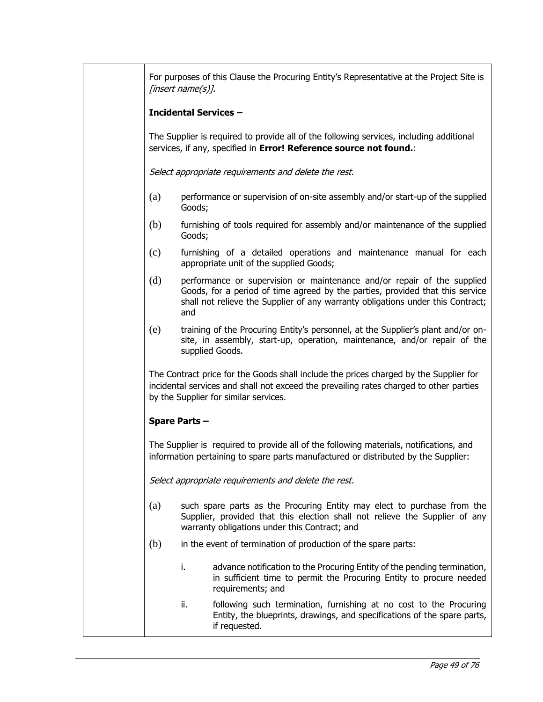| For purposes of this Clause the Procuring Entity's Representative at the Project Site is<br>[insert name(s)].                                                                                                            |                                                                                                                                                               |                                                                                                                                                                                                                                             |  |  |
|--------------------------------------------------------------------------------------------------------------------------------------------------------------------------------------------------------------------------|---------------------------------------------------------------------------------------------------------------------------------------------------------------|---------------------------------------------------------------------------------------------------------------------------------------------------------------------------------------------------------------------------------------------|--|--|
| <b>Incidental Services -</b>                                                                                                                                                                                             |                                                                                                                                                               |                                                                                                                                                                                                                                             |  |  |
|                                                                                                                                                                                                                          | The Supplier is required to provide all of the following services, including additional<br>services, if any, specified in Error! Reference source not found.: |                                                                                                                                                                                                                                             |  |  |
|                                                                                                                                                                                                                          |                                                                                                                                                               | Select appropriate requirements and delete the rest.                                                                                                                                                                                        |  |  |
| (a)                                                                                                                                                                                                                      | Goods;                                                                                                                                                        | performance or supervision of on-site assembly and/or start-up of the supplied                                                                                                                                                              |  |  |
| (b)                                                                                                                                                                                                                      | Goods;                                                                                                                                                        | furnishing of tools required for assembly and/or maintenance of the supplied                                                                                                                                                                |  |  |
| (c)                                                                                                                                                                                                                      |                                                                                                                                                               | furnishing of a detailed operations and maintenance manual for each<br>appropriate unit of the supplied Goods;                                                                                                                              |  |  |
| (d)                                                                                                                                                                                                                      | and                                                                                                                                                           | performance or supervision or maintenance and/or repair of the supplied<br>Goods, for a period of time agreed by the parties, provided that this service<br>shall not relieve the Supplier of any warranty obligations under this Contract; |  |  |
| (e)                                                                                                                                                                                                                      |                                                                                                                                                               | training of the Procuring Entity's personnel, at the Supplier's plant and/or on-<br>site, in assembly, start-up, operation, maintenance, and/or repair of the<br>supplied Goods.                                                            |  |  |
| The Contract price for the Goods shall include the prices charged by the Supplier for<br>incidental services and shall not exceed the prevailing rates charged to other parties<br>by the Supplier for similar services. |                                                                                                                                                               |                                                                                                                                                                                                                                             |  |  |
|                                                                                                                                                                                                                          | Spare Parts-                                                                                                                                                  |                                                                                                                                                                                                                                             |  |  |
|                                                                                                                                                                                                                          |                                                                                                                                                               | The Supplier is required to provide all of the following materials, notifications, and<br>information pertaining to spare parts manufactured or distributed by the Supplier:                                                                |  |  |
|                                                                                                                                                                                                                          |                                                                                                                                                               | Select appropriate requirements and delete the rest.                                                                                                                                                                                        |  |  |
| (a)                                                                                                                                                                                                                      |                                                                                                                                                               | such spare parts as the Procuring Entity may elect to purchase from the<br>Supplier, provided that this election shall not relieve the Supplier of any<br>warranty obligations under this Contract; and                                     |  |  |
| (b)                                                                                                                                                                                                                      |                                                                                                                                                               | in the event of termination of production of the spare parts:                                                                                                                                                                               |  |  |
|                                                                                                                                                                                                                          | i.                                                                                                                                                            | advance notification to the Procuring Entity of the pending termination,<br>in sufficient time to permit the Procuring Entity to procure needed<br>requirements; and                                                                        |  |  |
|                                                                                                                                                                                                                          | ii.                                                                                                                                                           | following such termination, furnishing at no cost to the Procuring<br>Entity, the blueprints, drawings, and specifications of the spare parts,<br>if requested.                                                                             |  |  |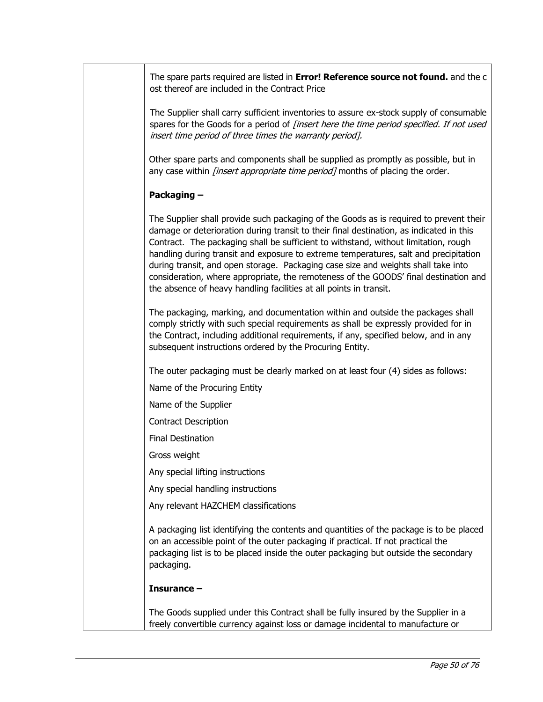| The spare parts required are listed in Error! Reference source not found. and the c<br>ost thereof are included in the Contract Price                                                                                                                                                                                                                                                                                                                                                                                                                                                                               |
|---------------------------------------------------------------------------------------------------------------------------------------------------------------------------------------------------------------------------------------------------------------------------------------------------------------------------------------------------------------------------------------------------------------------------------------------------------------------------------------------------------------------------------------------------------------------------------------------------------------------|
| The Supplier shall carry sufficient inventories to assure ex-stock supply of consumable<br>spares for the Goods for a period of <i>[insert here the time period specified. If not used</i><br>insert time period of three times the warranty period].                                                                                                                                                                                                                                                                                                                                                               |
| Other spare parts and components shall be supplied as promptly as possible, but in<br>any case within <i>[insert appropriate time period]</i> months of placing the order.                                                                                                                                                                                                                                                                                                                                                                                                                                          |
| Packaging -                                                                                                                                                                                                                                                                                                                                                                                                                                                                                                                                                                                                         |
| The Supplier shall provide such packaging of the Goods as is required to prevent their<br>damage or deterioration during transit to their final destination, as indicated in this<br>Contract. The packaging shall be sufficient to withstand, without limitation, rough<br>handling during transit and exposure to extreme temperatures, salt and precipitation<br>during transit, and open storage. Packaging case size and weights shall take into<br>consideration, where appropriate, the remoteness of the GOODS' final destination and<br>the absence of heavy handling facilities at all points in transit. |
| The packaging, marking, and documentation within and outside the packages shall<br>comply strictly with such special requirements as shall be expressly provided for in<br>the Contract, including additional requirements, if any, specified below, and in any<br>subsequent instructions ordered by the Procuring Entity.                                                                                                                                                                                                                                                                                         |
| The outer packaging must be clearly marked on at least four (4) sides as follows:                                                                                                                                                                                                                                                                                                                                                                                                                                                                                                                                   |
| Name of the Procuring Entity                                                                                                                                                                                                                                                                                                                                                                                                                                                                                                                                                                                        |
| Name of the Supplier                                                                                                                                                                                                                                                                                                                                                                                                                                                                                                                                                                                                |
| <b>Contract Description</b>                                                                                                                                                                                                                                                                                                                                                                                                                                                                                                                                                                                         |
| <b>Final Destination</b>                                                                                                                                                                                                                                                                                                                                                                                                                                                                                                                                                                                            |
| Gross weight                                                                                                                                                                                                                                                                                                                                                                                                                                                                                                                                                                                                        |
| Any special lifting instructions                                                                                                                                                                                                                                                                                                                                                                                                                                                                                                                                                                                    |
| Any special handling instructions                                                                                                                                                                                                                                                                                                                                                                                                                                                                                                                                                                                   |
| Any relevant HAZCHEM classifications                                                                                                                                                                                                                                                                                                                                                                                                                                                                                                                                                                                |
| A packaging list identifying the contents and quantities of the package is to be placed<br>on an accessible point of the outer packaging if practical. If not practical the<br>packaging list is to be placed inside the outer packaging but outside the secondary<br>packaging.                                                                                                                                                                                                                                                                                                                                    |
| Insurance $-$                                                                                                                                                                                                                                                                                                                                                                                                                                                                                                                                                                                                       |
| The Goods supplied under this Contract shall be fully insured by the Supplier in a<br>freely convertible currency against loss or damage incidental to manufacture or                                                                                                                                                                                                                                                                                                                                                                                                                                               |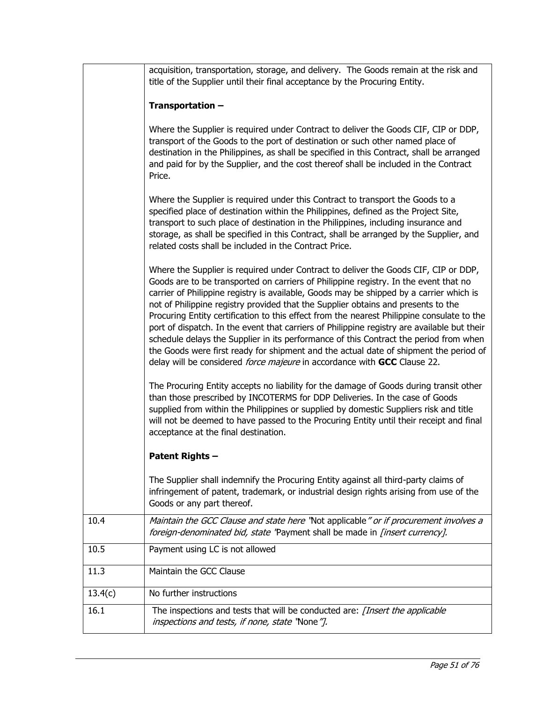<span id="page-50-1"></span><span id="page-50-0"></span>

|         | acquisition, transportation, storage, and delivery. The Goods remain at the risk and<br>title of the Supplier until their final acceptance by the Procuring Entity.                                                                                                                                                                                                                                                                                                                                                                                                                                                                                                                                                                                                                                                           |
|---------|-------------------------------------------------------------------------------------------------------------------------------------------------------------------------------------------------------------------------------------------------------------------------------------------------------------------------------------------------------------------------------------------------------------------------------------------------------------------------------------------------------------------------------------------------------------------------------------------------------------------------------------------------------------------------------------------------------------------------------------------------------------------------------------------------------------------------------|
|         | Transportation -                                                                                                                                                                                                                                                                                                                                                                                                                                                                                                                                                                                                                                                                                                                                                                                                              |
|         | Where the Supplier is required under Contract to deliver the Goods CIF, CIP or DDP,<br>transport of the Goods to the port of destination or such other named place of<br>destination in the Philippines, as shall be specified in this Contract, shall be arranged<br>and paid for by the Supplier, and the cost thereof shall be included in the Contract<br>Price.                                                                                                                                                                                                                                                                                                                                                                                                                                                          |
|         | Where the Supplier is required under this Contract to transport the Goods to a<br>specified place of destination within the Philippines, defined as the Project Site,<br>transport to such place of destination in the Philippines, including insurance and<br>storage, as shall be specified in this Contract, shall be arranged by the Supplier, and<br>related costs shall be included in the Contract Price.                                                                                                                                                                                                                                                                                                                                                                                                              |
|         | Where the Supplier is required under Contract to deliver the Goods CIF, CIP or DDP,<br>Goods are to be transported on carriers of Philippine registry. In the event that no<br>carrier of Philippine registry is available, Goods may be shipped by a carrier which is<br>not of Philippine registry provided that the Supplier obtains and presents to the<br>Procuring Entity certification to this effect from the nearest Philippine consulate to the<br>port of dispatch. In the event that carriers of Philippine registry are available but their<br>schedule delays the Supplier in its performance of this Contract the period from when<br>the Goods were first ready for shipment and the actual date of shipment the period of<br>delay will be considered <i>force majeure</i> in accordance with GCC Clause 22. |
|         | The Procuring Entity accepts no liability for the damage of Goods during transit other<br>than those prescribed by INCOTERMS for DDP Deliveries. In the case of Goods<br>supplied from within the Philippines or supplied by domestic Suppliers risk and title<br>will not be deemed to have passed to the Procuring Entity until their receipt and final<br>acceptance at the final destination.                                                                                                                                                                                                                                                                                                                                                                                                                             |
|         | Patent Rights -                                                                                                                                                                                                                                                                                                                                                                                                                                                                                                                                                                                                                                                                                                                                                                                                               |
|         | The Supplier shall indemnify the Procuring Entity against all third-party claims of<br>infringement of patent, trademark, or industrial design rights arising from use of the<br>Goods or any part thereof.                                                                                                                                                                                                                                                                                                                                                                                                                                                                                                                                                                                                                   |
| 10.4    | Maintain the GCC Clause and state here 'Not applicable" or if procurement involves a<br>foreign-denominated bid, state 'Payment shall be made in [insert currency].                                                                                                                                                                                                                                                                                                                                                                                                                                                                                                                                                                                                                                                           |
| 10.5    | Payment using LC is not allowed                                                                                                                                                                                                                                                                                                                                                                                                                                                                                                                                                                                                                                                                                                                                                                                               |
| 11.3    | Maintain the GCC Clause                                                                                                                                                                                                                                                                                                                                                                                                                                                                                                                                                                                                                                                                                                                                                                                                       |
| 13.4(c) | No further instructions                                                                                                                                                                                                                                                                                                                                                                                                                                                                                                                                                                                                                                                                                                                                                                                                       |
| 16.1    | The inspections and tests that will be conducted are: [Insert the applicable<br>inspections and tests, if none, state 'None"].                                                                                                                                                                                                                                                                                                                                                                                                                                                                                                                                                                                                                                                                                                |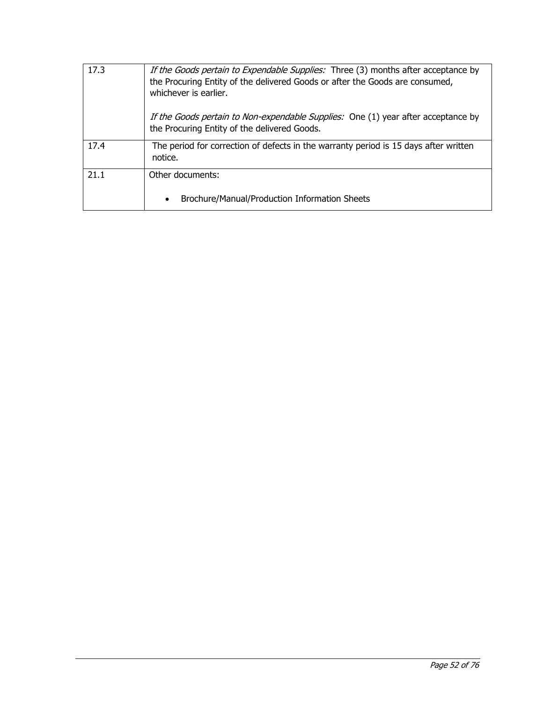<span id="page-51-2"></span><span id="page-51-1"></span><span id="page-51-0"></span>

| 17.3 | If the Goods pertain to Expendable Supplies: Three (3) months after acceptance by<br>the Procuring Entity of the delivered Goods or after the Goods are consumed,<br>whichever is earlier. |
|------|--------------------------------------------------------------------------------------------------------------------------------------------------------------------------------------------|
|      | If the Goods pertain to Non-expendable Supplies: One (1) year after acceptance by<br>the Procuring Entity of the delivered Goods.                                                          |
| 17.4 | The period for correction of defects in the warranty period is 15 days after written<br>notice.                                                                                            |
| 21.1 | Other documents:                                                                                                                                                                           |
|      | Brochure/Manual/Production Information Sheets<br>$\bullet$                                                                                                                                 |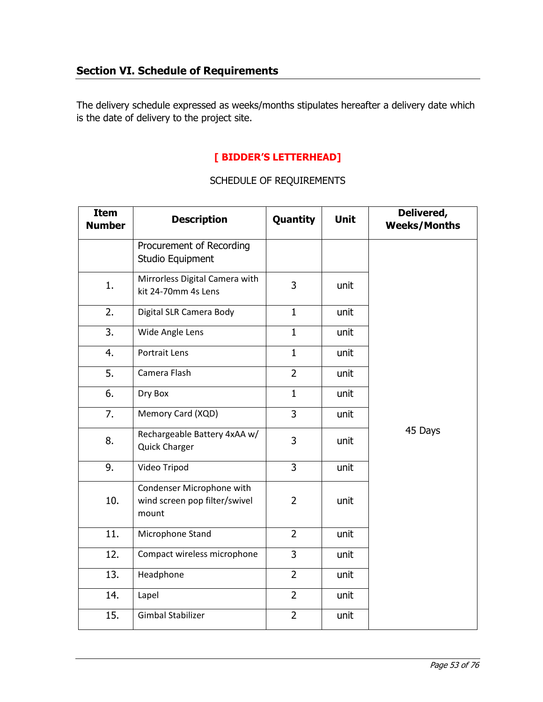The delivery schedule expressed as weeks/months stipulates hereafter a delivery date which is the date of delivery to the project site.

# **[ BIDDER'S LETTERHEAD]**

# SCHEDULE OF REQUIREMENTS

| <b>Item</b><br><b>Number</b> | <b>Description</b>                                                  | Quantity       | <b>Unit</b> | Delivered,<br><b>Weeks/Months</b> |
|------------------------------|---------------------------------------------------------------------|----------------|-------------|-----------------------------------|
|                              | Procurement of Recording<br>Studio Equipment                        |                |             |                                   |
| 1.                           | Mirrorless Digital Camera with<br>kit 24-70mm 4s Lens               | $\overline{3}$ | unit        |                                   |
| 2.                           | Digital SLR Camera Body                                             | $\mathbf{1}$   | unit        |                                   |
| 3.                           | Wide Angle Lens                                                     | $\mathbf{1}$   | unit        |                                   |
| 4.                           | <b>Portrait Lens</b>                                                | $\mathbf{1}$   | unit        |                                   |
| 5.                           | Camera Flash                                                        | $\overline{2}$ | unit        |                                   |
| 6.                           | Dry Box                                                             | $\mathbf{1}$   | unit        |                                   |
| 7.                           | Memory Card (XQD)                                                   | 3              | unit        |                                   |
| 8.                           | Rechargeable Battery 4xAA w/<br><b>Quick Charger</b>                | 3              | unit        | 45 Days                           |
| 9.                           | Video Tripod                                                        | 3              | unit        |                                   |
| 10.                          | Condenser Microphone with<br>wind screen pop filter/swivel<br>mount | $\overline{2}$ | unit        |                                   |
| 11.                          | Microphone Stand                                                    | $\overline{2}$ | unit        |                                   |
| 12.                          | Compact wireless microphone                                         | $\overline{3}$ | unit        |                                   |
| 13.                          | Headphone                                                           | $\overline{2}$ | unit        |                                   |
| 14.                          | Lapel                                                               | $\overline{2}$ | unit        |                                   |
| 15.                          | <b>Gimbal Stabilizer</b>                                            | $\overline{2}$ | unit        |                                   |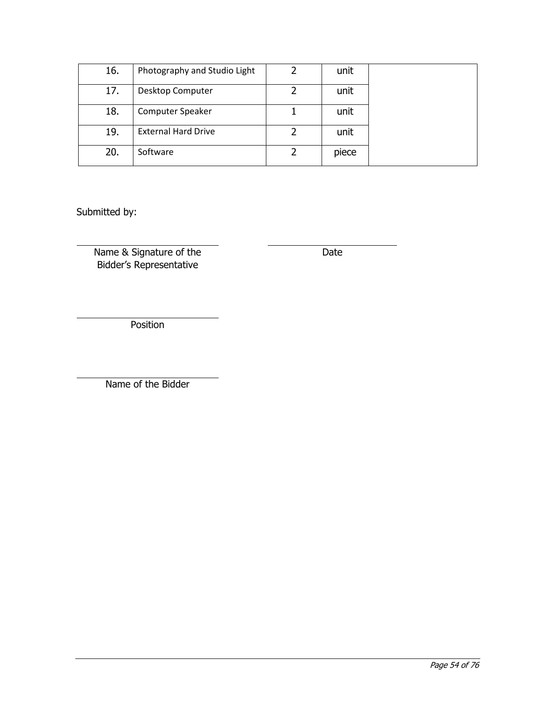| 16. | Photography and Studio Light |   | unit  |  |
|-----|------------------------------|---|-------|--|
| 17. | Desktop Computer             |   | unit  |  |
| 18. | Computer Speaker             |   | unit  |  |
| 19. | <b>External Hard Drive</b>   |   | unit  |  |
| 20. | Software                     | า | piece |  |

Submitted by:

Name & Signature of the Bidder's Representative

Date

Position

Name of the Bidder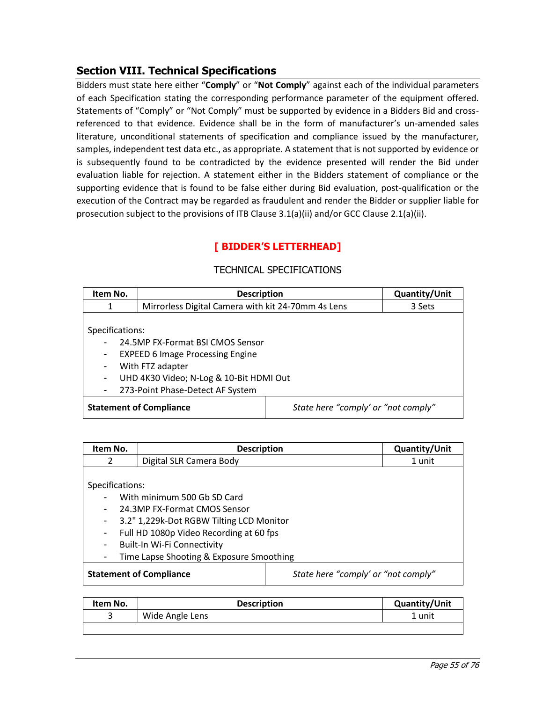# **Section VIII. Technical Specifications**

Bidders must state here either "**Comply**" or "**Not Comply**" against each of the individual parameters of each Specification stating the corresponding performance parameter of the equipment offered. Statements of "Comply" or "Not Comply" must be supported by evidence in a Bidders Bid and crossreferenced to that evidence. Evidence shall be in the form of manufacturer's un-amended sales literature, unconditional statements of specification and compliance issued by the manufacturer, samples, independent test data etc., as appropriate. A statement that is not supported by evidence or is subsequently found to be contradicted by the evidence presented will render the Bid under evaluation liable for rejection. A statement either in the Bidders statement of compliance or the supporting evidence that is found to be false either during Bid evaluation, post-qualification or the execution of the Contract may be regarded as fraudulent and render the Bidder or supplier liable for prosecution subject to the provisions of ITB Clause 3.1(a)(ii) and/or GCC Clause 2.1(a)(ii).

# **[ BIDDER'S LETTERHEAD]**

# TECHNICAL SPECIFICATIONS

| Item No.<br><b>Description</b>                                        |                                                    | <b>Quantity/Unit</b> |        |
|-----------------------------------------------------------------------|----------------------------------------------------|----------------------|--------|
| 1                                                                     | Mirrorless Digital Camera with kit 24-70mm 4s Lens |                      | 3 Sets |
|                                                                       |                                                    |                      |        |
| Specifications:                                                       |                                                    |                      |        |
| -                                                                     | 24.5MP FX-Format BSI CMOS Sensor                   |                      |        |
| -                                                                     | <b>EXPEED 6 Image Processing Engine</b>            |                      |        |
| ۰                                                                     | With FTZ adapter                                   |                      |        |
| ۰                                                                     | UHD 4K30 Video; N-Log & 10-Bit HDMI Out            |                      |        |
| ۰                                                                     | 273-Point Phase-Detect AF System                   |                      |        |
| <b>Statement of Compliance</b><br>State here "comply' or "not comply" |                                                    |                      |        |

| Item No.                       | <b>Description</b>                                                                                                                                                                                                            |                                     | <b>Quantity/Unit</b> |
|--------------------------------|-------------------------------------------------------------------------------------------------------------------------------------------------------------------------------------------------------------------------------|-------------------------------------|----------------------|
| $\mathcal{P}$                  | Digital SLR Camera Body                                                                                                                                                                                                       |                                     | 1 unit               |
| Specifications:<br>۰<br>۰<br>- | With minimum 500 Gb SD Card<br>24.3MP FX-Format CMOS Sensor<br>3.2" 1,229k-Dot RGBW Tilting LCD Monitor<br>Full HD 1080p Video Recording at 60 fps<br>Built-In Wi-Fi Connectivity<br>Time Lapse Shooting & Exposure Smoothing |                                     |                      |
| <b>Statement of Compliance</b> |                                                                                                                                                                                                                               | State here "comply' or "not comply" |                      |
|                                |                                                                                                                                                                                                                               |                                     |                      |

| Item No. | <b>Description</b> | <b>Quantity/Unit</b> |
|----------|--------------------|----------------------|
|          | Wide Angle Lens    | 1 unit               |
|          |                    |                      |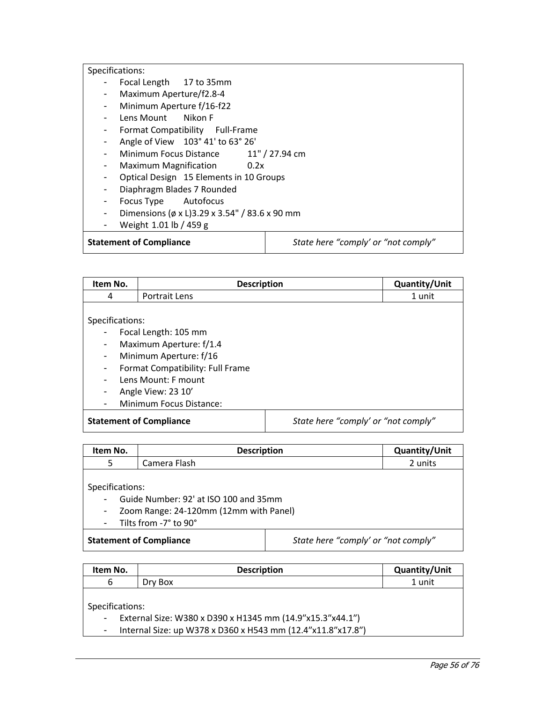- Focal Length 17 to 35mm
- Maximum Aperture/f2.8-4
- Minimum Aperture f/16-f22
- Lens Mount Nikon F
- Format Compatibility Full-Frame
- Angle of View 103° 41' to 63° 26'
- Minimum Focus Distance 11" / 27.94 cm
- Maximum Magnification 0.2x
- Optical Design 15 Elements in 10 Groups
- Diaphragm Blades 7 Rounded
- Focus Type Autofocus
- Dimensions (ø x L)3.29 x 3.54" / 83.6 x 90 mm
- Weight 1.01 lb / 459 g

**Statement of Compliance** *State here "comply' or "not comply"*

| Item No.                                                     | <b>Description</b>             |                                     | Quantity/Unit |
|--------------------------------------------------------------|--------------------------------|-------------------------------------|---------------|
| 4                                                            | <b>Portrait Lens</b>           |                                     | 1 unit        |
|                                                              |                                |                                     |               |
| Specifications:                                              |                                |                                     |               |
|                                                              | Focal Length: 105 mm           |                                     |               |
| $\overline{\phantom{a}}$                                     | Maximum Aperture: f/1.4        |                                     |               |
| $\overline{\phantom{a}}$                                     | Minimum Aperture: f/16         |                                     |               |
| Format Compatibility: Full Frame<br>$\overline{\phantom{a}}$ |                                |                                     |               |
| ٠                                                            | Lens Mount: F mount            |                                     |               |
| $\overline{\phantom{a}}$                                     | Angle View: 23 10'             |                                     |               |
| $\overline{\phantom{a}}$                                     | <b>Minimum Focus Distance:</b> |                                     |               |
|                                                              | <b>Statement of Compliance</b> | State here "comply' or "not comply" |               |

| Item No. | <b>Description</b> | <b>Quantity/Unit</b> |
|----------|--------------------|----------------------|
|          | Camera Flash       | 2 units              |

Specifications:

- Guide Number: 92' at ISO 100 and 35mm
- Zoom Range: 24-120mm (12mm with Panel)
- Tilts from -7° to 90°

**Statement of Compliance** *State here "comply' or "not comply"*

| Item No. | <b>Description</b> | <b>Quantity/Unit</b> |
|----------|--------------------|----------------------|
|          | Dry Box            | 1 unit               |
|          |                    |                      |

Specifications:

- External Size: W380 x D390 x H1345 mm (14.9″x15.3″x44.1″)
- Internal Size: up W378 x D360 x H543 mm (12.4″x11.8″x17.8″)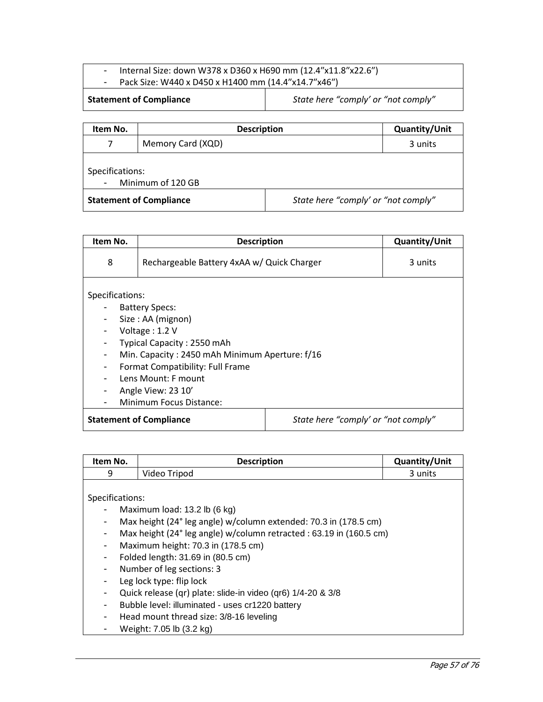- Internal Size: down W378 x D360 x H690 mm (12.4″x11.8″x22.6″)
- Pack Size: W440 x D450 x H1400 mm (14.4″x14.7″x46″)

**Statement of Compliance** *State here "comply' or "not comply"*

| Item No.                                                              | <b>Description</b> |  | <b>Quantity/Unit</b> |
|-----------------------------------------------------------------------|--------------------|--|----------------------|
|                                                                       | Memory Card (XQD)  |  | 3 units              |
| Specifications:                                                       | Minimum of 120 GB  |  |                      |
| State here "comply' or "not comply"<br><b>Statement of Compliance</b> |                    |  |                      |

| Item No.                            | <b>Description</b>                                                                                                                                                                                                                                       |                                     | <b>Quantity/Unit</b> |
|-------------------------------------|----------------------------------------------------------------------------------------------------------------------------------------------------------------------------------------------------------------------------------------------------------|-------------------------------------|----------------------|
| 8                                   | Rechargeable Battery 4xAA w/ Quick Charger                                                                                                                                                                                                               |                                     | 3 units              |
| Specifications:<br>٠<br>۰<br>۰<br>- | <b>Battery Specs:</b><br>Size: AA (mignon)<br>Voltage: 1.2 V<br>Typical Capacity: 2550 mAh<br>Min. Capacity: 2450 mAh Minimum Aperture: f/16<br>Format Compatibility: Full Frame<br>Lens Mount: F mount<br>Angle View: 23 10'<br>Minimum Focus Distance: |                                     |                      |
|                                     | <b>Statement of Compliance</b>                                                                                                                                                                                                                           | State here "comply' or "not comply" |                      |

| Item No.                 | <b>Description</b>                                                  | <b>Quantity/Unit</b> |
|--------------------------|---------------------------------------------------------------------|----------------------|
| 9                        | Video Tripod                                                        | 3 units              |
|                          |                                                                     |                      |
| Specifications:          |                                                                     |                      |
|                          | Maximum load: 13.2 lb (6 kg)                                        |                      |
| $\overline{\phantom{a}}$ | Max height (24° leg angle) w/column extended: 70.3 in (178.5 cm)    |                      |
| $\overline{\phantom{a}}$ | Max height (24° leg angle) w/column retracted : 63.19 in (160.5 cm) |                      |
| $\overline{\phantom{a}}$ | Maximum height: 70.3 in (178.5 cm)                                  |                      |
| -                        | Folded length: 31.69 in (80.5 cm)                                   |                      |
| -                        | Number of leg sections: 3                                           |                      |
| -                        | Leg lock type: flip lock                                            |                      |
| $\overline{\phantom{a}}$ | Quick release (qr) plate: slide-in video (qr6) 1/4-20 & 3/8         |                      |
| -                        | Bubble level: illuminated - uses cr1220 battery                     |                      |
|                          |                                                                     |                      |

- Head mount thread size: 3/8-16 leveling
- Weight: 7.05 lb (3.2 kg)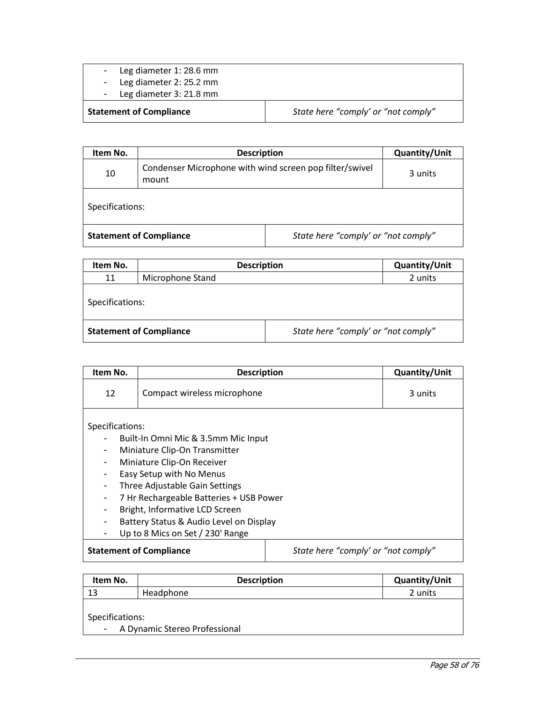| - Leg diameter 1: 28.6 mm<br>- Leg diameter 2: 25.2 mm<br>- Leg diameter 3: 21.8 mm |                                     |
|-------------------------------------------------------------------------------------|-------------------------------------|
| <b>Statement of Compliance</b>                                                      | State here "comply' or "not comply" |

| Item No.                                                              | <b>Description</b>                                               |  | <b>Quantity/Unit</b> |
|-----------------------------------------------------------------------|------------------------------------------------------------------|--|----------------------|
| 10                                                                    | Condenser Microphone with wind screen pop filter/swivel<br>mount |  | 3 units              |
| Specifications:                                                       |                                                                  |  |                      |
| State here "comply' or "not comply"<br><b>Statement of Compliance</b> |                                                                  |  |                      |
|                                                                       |                                                                  |  |                      |

| Item No.                       | <b>Description</b> |                                     | Quantity/Unit |
|--------------------------------|--------------------|-------------------------------------|---------------|
| 11                             | Microphone Stand   |                                     | 2 units       |
| Specifications:                |                    |                                     |               |
| <b>Statement of Compliance</b> |                    | State here "comply' or "not comply" |               |

| Item No.                                                                               | <b>Description</b>                                                                                                                                                                                                                                                                                                           |  | <b>Quantity/Unit</b> |
|----------------------------------------------------------------------------------------|------------------------------------------------------------------------------------------------------------------------------------------------------------------------------------------------------------------------------------------------------------------------------------------------------------------------------|--|----------------------|
| 12                                                                                     | Compact wireless microphone                                                                                                                                                                                                                                                                                                  |  | 3 units              |
| Specifications:<br>$\overline{\phantom{a}}$<br>-<br>-<br>-<br>$\overline{\phantom{a}}$ | Built-In Omni Mic & 3.5mm Mic Input<br>Miniature Clip-On Transmitter<br>Miniature Clip-On Receiver<br>Easy Setup with No Menus<br>Three Adjustable Gain Settings<br>7 Hr Rechargeable Batteries + USB Power<br>Bright, Informative LCD Screen<br>Battery Status & Audio Level on Display<br>Up to 8 Mics on Set / 230' Range |  |                      |
|                                                                                        | <b>Statement of Compliance</b><br>State here "comply' or "not comply"                                                                                                                                                                                                                                                        |  |                      |

| Item No.        | <b>Description</b>              | <b>Quantity/Unit</b> |
|-----------------|---------------------------------|----------------------|
| 13              | Headphone                       | 2 units              |
| Specifications: | - A Dynamic Stereo Professional |                      |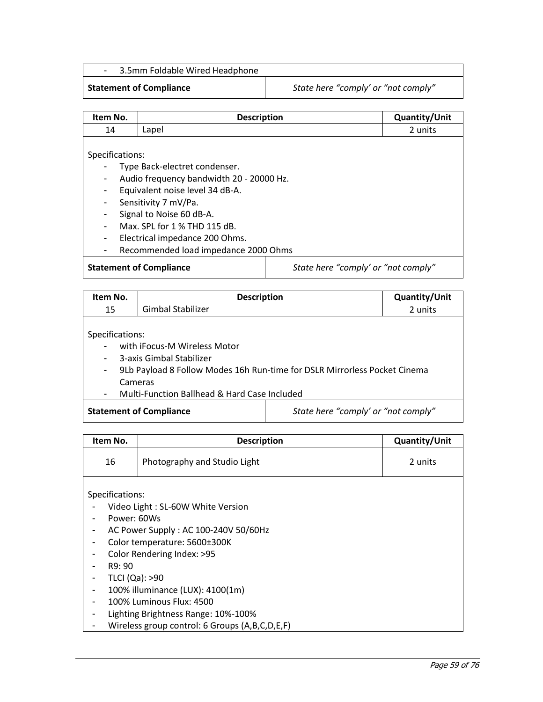- 3.5mm Foldable Wired Headphone

**Statement of Compliance** *State here "comply' or "not comply"*

| Item No. | <b>Description</b> | <b>Quantity/Unit</b> |
|----------|--------------------|----------------------|
| 14       | Lapel              | 2 units              |

Specifications:

- Type Back-electret condenser.
- Audio frequency bandwidth 20 20000 Hz.
- Equivalent noise level 34 dB-A.
- Sensitivity 7 mV/Pa.
- Signal to Noise 60 dB-A.
- Max. SPL for 1 % THD 115 dB.
- Electrical impedance 200 Ohms.
- Recommended load impedance 2000 Ohms

**Statement of Compliance** *State here "comply' or "not comply"*

| Item No. | <b>Description</b> | <b>Quantity/Unit</b> |
|----------|--------------------|----------------------|
| 15       | Gimbal Stabilizer  | 2 units              |
|          |                    |                      |

Specifications:

- with iFocus-M Wireless Motor
- 3-axis Gimbal Stabilizer
- 9Lb Payload 8 Follow Modes 16h Run-time for DSLR Mirrorless Pocket Cinema Cameras
- Multi-Function Ballhead & Hard Case Included

|  |  | <b>Statement of Compliance</b> |
|--|--|--------------------------------|
|--|--|--------------------------------|

State here "comply' or "not comply"

| Item No. | <b>Description</b>           | <b>Quantity/Unit</b> |
|----------|------------------------------|----------------------|
| 16       | Photography and Studio Light | 2 units              |

## Specifications:

- Video Light : SL-60W White Version
- Power: 60Ws
- AC Power Supply : AC 100-240V 50/60Hz
- Color temperature: 5600±300K
- Color Rendering Index: >95
- R9: 90
- TLCI (Qa): >90
- 100% illuminance (LUX): 4100(1m)
- 100% Luminous Flux: 4500
- Lighting Brightness Range: 10%-100%
- Wireless group control: 6 Groups (A,B,C,D,E,F)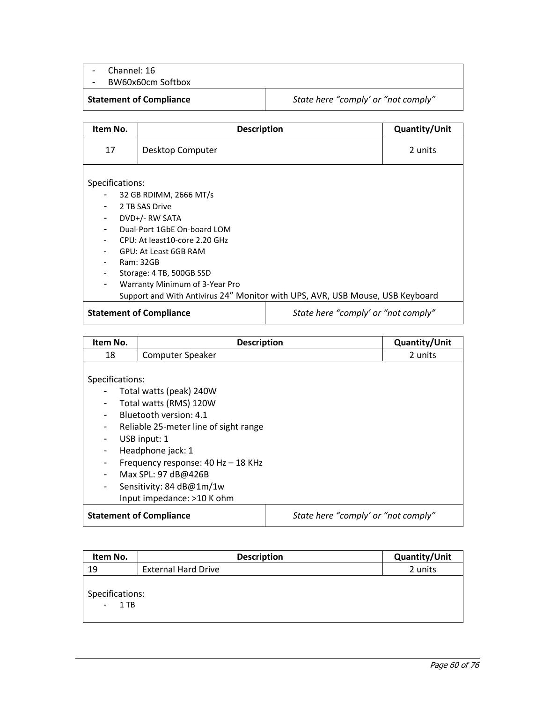- Channel: 16
- BW60x60cm Softbox

**Statement of Compliance** *State here "comply' or "not comply"*

| Item No.                                            | <b>Description</b>                                                                                                                                                                                                                                                                                              |                                     | <b>Quantity/Unit</b> |
|-----------------------------------------------------|-----------------------------------------------------------------------------------------------------------------------------------------------------------------------------------------------------------------------------------------------------------------------------------------------------------------|-------------------------------------|----------------------|
| 17                                                  | Desktop Computer                                                                                                                                                                                                                                                                                                |                                     | 2 units              |
| Specifications:<br>۰<br>۰<br>۰<br>۰<br>٠.<br>۰<br>۰ | 32 GB RDIMM, 2666 MT/s<br>2 TB SAS Drive<br>DVD+/- RW SATA<br>Dual-Port 1GbE On-board LOM<br>CPU: At least10-core 2.20 GHz<br>GPU: At Least 6GB RAM<br>Ram: 32GB<br>Storage: 4 TB, 500GB SSD<br>Warranty Minimum of 3-Year Pro<br>Support and With Antivirus 24" Monitor with UPS, AVR, USB Mouse, USB Keyboard |                                     |                      |
|                                                     | <b>Statement of Compliance</b>                                                                                                                                                                                                                                                                                  | State here "comply' or "not comply" |                      |

**Item No. Description Description Description Quantity/Unit** 18 Computer Speaker 2 units

Specifications:

- Total watts (peak) 240W
- Total watts (RMS) 120W
- Bluetooth version: 4.1
- Reliable 25-meter line of sight range
- USB input: 1
- Headphone jack: 1
- Frequency response: 40 Hz 18 KHz
- Max SPL: 97 dB@426B
- Sensitivity: 84 dB@1m/1w
- Input impedance: >10 K ohm

**Statement of Compliance** *State here "comply' or "not comply"*

| Item No.                       | <b>Description</b>         | <b>Quantity/Unit</b> |
|--------------------------------|----------------------------|----------------------|
| 19                             | <b>External Hard Drive</b> | 2 units              |
| Specifications:<br>$1$ TB<br>٠ |                            |                      |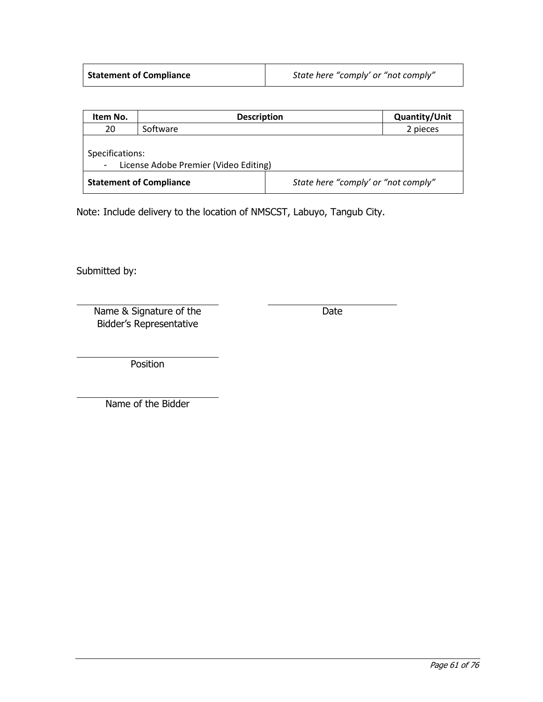State here "comply' or "not comply"

| Item No.                                                               | <b>Description</b> | Quantity/Unit                       |  |  |
|------------------------------------------------------------------------|--------------------|-------------------------------------|--|--|
| 20                                                                     | Software           | 2 pieces                            |  |  |
| Specifications:<br>License Adobe Premier (Video Editing)<br>$\sim 100$ |                    |                                     |  |  |
| <b>Statement of Compliance</b>                                         |                    | State here "comply' or "not comply" |  |  |

Note: Include delivery to the location of NMSCST, Labuyo, Tangub City.

Submitted by:

Name & Signature of the Bidder's Representative

Date

Position

Name of the Bidder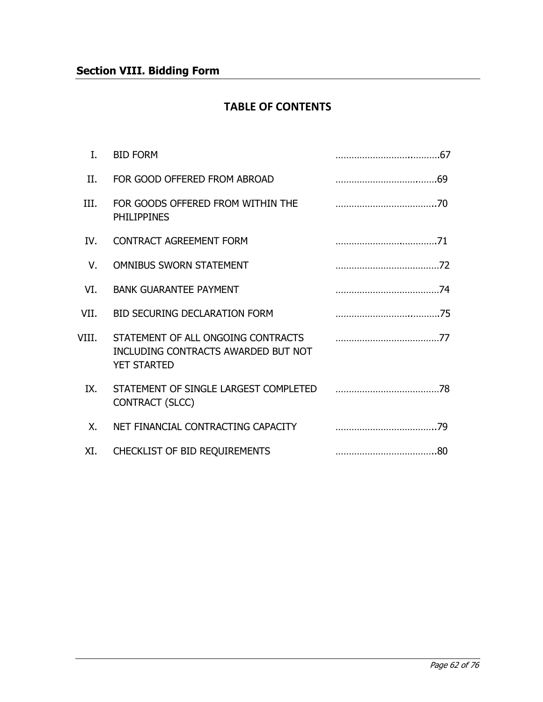# **TABLE OF CONTENTS**

| L     | <b>BID FORM</b>                                                                                 |     |
|-------|-------------------------------------------------------------------------------------------------|-----|
| H.    | FOR GOOD OFFERED FROM ABROAD                                                                    |     |
| III.  | FOR GOODS OFFERED FROM WITHIN THE<br><b>PHILIPPINES</b>                                         |     |
| IV.   | <b>CONTRACT AGREEMENT FORM</b>                                                                  |     |
| V.    | <b>OMNIBUS SWORN STATEMENT</b>                                                                  | -72 |
| VI.   | <b>BANK GUARANTEE PAYMENT</b>                                                                   | 74  |
| VII.  | <b>BID SECURING DECLARATION FORM</b>                                                            |     |
| VIII. | STATEMENT OF ALL ONGOING CONTRACTS<br>INCLUDING CONTRACTS AWARDED BUT NOT<br><b>YET STARTED</b> | 77  |
| IX.   | STATEMENT OF SINGLE LARGEST COMPLETED<br>CONTRACT (SLCC)                                        | 78  |
| X.    | NET FINANCIAL CONTRACTING CAPACITY                                                              |     |
| XI.   | CHECKLIST OF BID REQUIREMENTS                                                                   |     |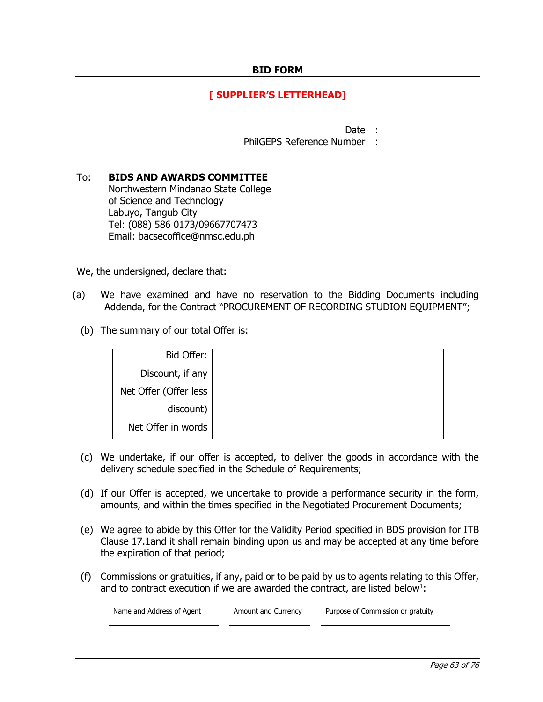# **BID FORM**

# **[ SUPPLIER'S LETTERHEAD]**

Date :

PhilGEPS Reference Number :

## To: **BIDS AND AWARDS COMMITTEE** Northwestern Mindanao State College

of Science and Technology Labuyo, Tangub City Tel: (088) 586 0173/09667707473 Email: bacsecoffice@nmsc.edu.ph

We, the undersigned, declare that:

- (a) We have examined and have no reservation to the Bidding Documents including Addenda, for the Contract "PROCUREMENT OF RECORDING STUDION EQUIPMENT";
	- (b) The summary of our total Offer is:

| Bid Offer:            |  |
|-----------------------|--|
| Discount, if any      |  |
| Net Offer (Offer less |  |
| discount)             |  |
| Net Offer in words    |  |

- (c) We undertake, if our offer is accepted, to deliver the goods in accordance with the delivery schedule specified in the Schedule of Requirements;
- (d) If our Offer is accepted, we undertake to provide a performance security in the form, amounts, and within the times specified in the Negotiated Procurement Documents;
- (e) We agree to abide by this Offer for the Validity Period specified in BDS provision for ITB Clause 17.1and it shall remain binding upon us and may be accepted at any time before the expiration of that period;
- (f) Commissions or gratuities, if any, paid or to be paid by us to agents relating to this Offer, and to contract execution if we are awarded the contract, are listed below<sup>1</sup>:

| Name and Address of Agent | Amount and Currency | Purpose of Commission or gratuity |  |  |
|---------------------------|---------------------|-----------------------------------|--|--|
|                           |                     |                                   |  |  |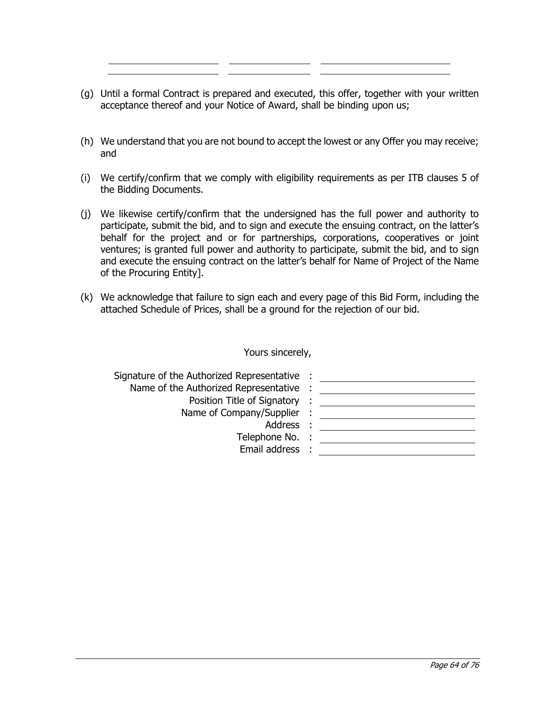- (g) Until a formal Contract is prepared and executed, this offer, together with your written acceptance thereof and your Notice of Award, shall be binding upon us;
- (h) We understand that you are not bound to accept the lowest or any Offer you may receive; and
- (i) We certify/confirm that we comply with eligibility requirements as per ITB clauses 5 of the Bidding Documents.
- (j) We likewise certify/confirm that the undersigned has the full power and authority to participate, submit the bid, and to sign and execute the ensuing contract, on the latter's behalf for the project and or for partnerships, corporations, cooperatives or joint ventures; is granted full power and authority to participate, submit the bid, and to sign and execute the ensuing contract on the latter's behalf for Name of Project of the Name of the Procuring Entity].
- (k) We acknowledge that failure to sign each and every page of this Bid Form, including the attached Schedule of Prices, shall be a ground for the rejection of our bid.

## Yours sincerely,

| Signature of the Authorized Representative : |  |
|----------------------------------------------|--|
| Name of the Authorized Representative :      |  |
| Position Title of Signatory                  |  |
| Name of Company/Supplier                     |  |
| Address :                                    |  |
| Telephone No. :                              |  |
| Email address :                              |  |
|                                              |  |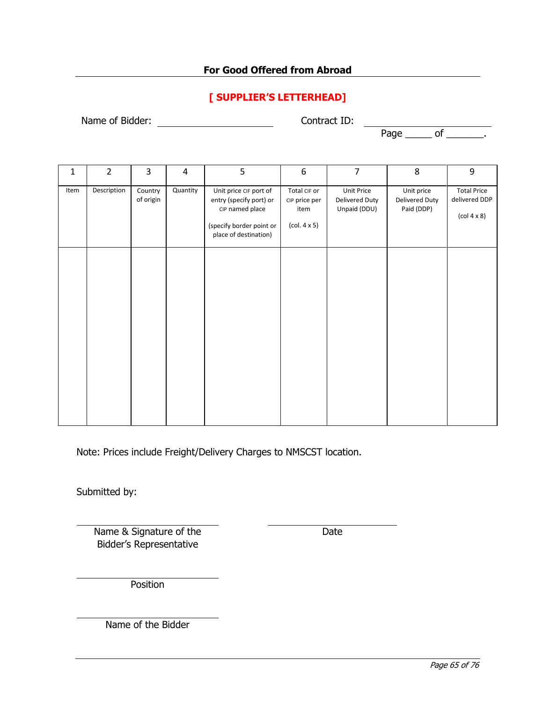# **For Good Offered from Abroad**

# **[ SUPPLIER'S LETTERHEAD]**

Name of Bidder: Contract ID:

Page \_\_\_\_\_\_ of \_\_\_\_\_\_\_\_.

| $\mathbf{1}$ | $\overline{2}$ | 3                    |          |                                                                                                                           |                                                                                 |                                              |                                            |                                                                              |
|--------------|----------------|----------------------|----------|---------------------------------------------------------------------------------------------------------------------------|---------------------------------------------------------------------------------|----------------------------------------------|--------------------------------------------|------------------------------------------------------------------------------|
|              |                |                      | 4        | 5                                                                                                                         | 6                                                                               | $\overline{7}$                               | 8                                          | 9                                                                            |
| Item         | Description    | Country<br>of origin | Quantity | Unit price CIF port of<br>entry (specify port) or<br>CIP named place<br>(specify border point or<br>place of destination) | Total CIF or<br>CIP price per<br>item<br>$\left(\text{col. } 4 \times 5\right)$ | Unit Price<br>Delivered Duty<br>Unpaid (DDU) | Unit price<br>Delivered Duty<br>Paid (DDP) | <b>Total Price</b><br>delivered DDP<br>$\left(\text{col } 4 \times 8\right)$ |
|              |                |                      |          |                                                                                                                           |                                                                                 |                                              |                                            |                                                                              |

Note: Prices include Freight/Delivery Charges to NMSCST location.

Submitted by:

Name & Signature of the Bidder's Representative

Date

Position

Name of the Bidder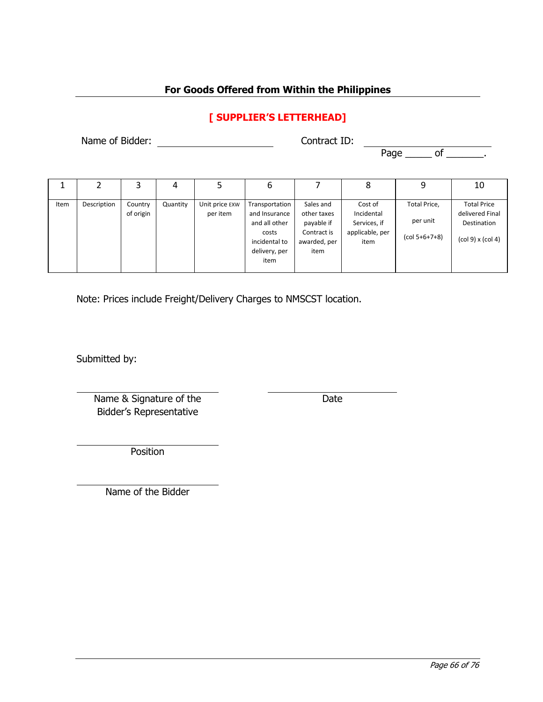# **For Goods Offered from Within the Philippines**

# **[ SUPPLIER'S LETTERHEAD]**

Name of Bidder: Contract ID:

Page \_\_\_\_\_\_ of \_\_\_\_\_\_\_.

|      |             |                      | 4        |                            | ь                                                                                                   |                                                                               | 8                                                                | 9                                           | 10                                                                                                                   |
|------|-------------|----------------------|----------|----------------------------|-----------------------------------------------------------------------------------------------------|-------------------------------------------------------------------------------|------------------------------------------------------------------|---------------------------------------------|----------------------------------------------------------------------------------------------------------------------|
| Item | Description | Country<br>of origin | Quantity | Unit price EXW<br>per item | Transportation<br>and Insurance<br>and all other<br>costs<br>incidental to<br>delivery, per<br>item | Sales and<br>other taxes<br>payable if<br>Contract is<br>awarded, per<br>item | Cost of<br>Incidental<br>Services, if<br>applicable, per<br>item | Total Price,<br>per unit<br>$(col 5+6+7+8)$ | <b>Total Price</b><br>delivered Final<br>Destination<br>$\left(\frac{1}{2} \right) \times \left(\frac{1}{2} \right)$ |

Note: Prices include Freight/Delivery Charges to NMSCST location.

Submitted by:

Name & Signature of the Bidder's Representative

Date

Position

Name of the Bidder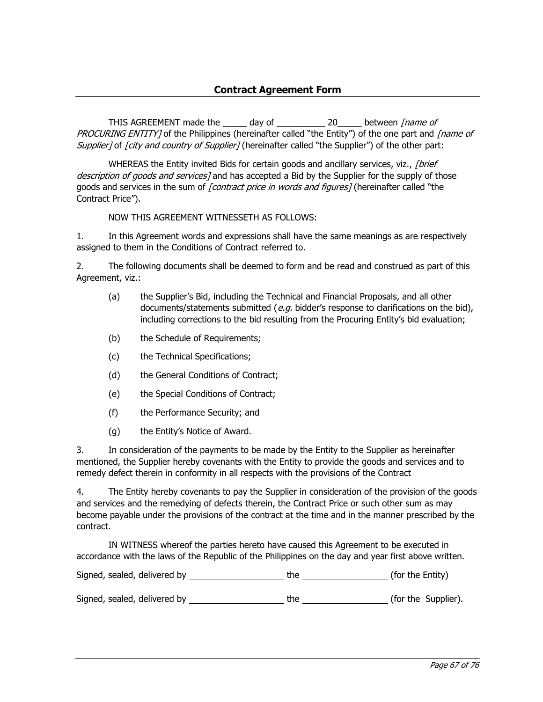THIS AGREEMENT made the day of  $\qquad 20$  between [name of PROCURING ENTITY] of the Philippines (hereinafter called "the Entity") of the one part and *[name of* Supplier] of [city and country of Supplier] (hereinafter called "the Supplier") of the other part:

WHEREAS the Entity invited Bids for certain goods and ancillary services, viz., *[brief* description of goods and services] and has accepted a Bid by the Supplier for the supply of those goods and services in the sum of *[contract price in words and figures]* (hereinafter called "the Contract Price").

# NOW THIS AGREEMENT WITNESSETH AS FOLLOWS:

1. In this Agreement words and expressions shall have the same meanings as are respectively assigned to them in the Conditions of Contract referred to.

2. The following documents shall be deemed to form and be read and construed as part of this Agreement, viz.:

- (a) the Supplier's Bid, including the Technical and Financial Proposals, and all other documents/statements submitted ( $e.g.$  bidder's response to clarifications on the bid), including corrections to the bid resulting from the Procuring Entity's bid evaluation;
- (b) the Schedule of Requirements;
- (c) the Technical Specifications;
- (d) the General Conditions of Contract;
- (e) the Special Conditions of Contract;
- (f) the Performance Security; and
- (g) the Entity's Notice of Award.

3. In consideration of the payments to be made by the Entity to the Supplier as hereinafter mentioned, the Supplier hereby covenants with the Entity to provide the goods and services and to remedy defect therein in conformity in all respects with the provisions of the Contract

4. The Entity hereby covenants to pay the Supplier in consideration of the provision of the goods and services and the remedying of defects therein, the Contract Price or such other sum as may become payable under the provisions of the contract at the time and in the manner prescribed by the contract.

IN WITNESS whereof the parties hereto have caused this Agreement to be executed in accordance with the laws of the Republic of the Philippines on the day and year first above written.

Signed, sealed, delivered by the (for the Entity)

Signed, sealed, delivered by the (for the Supplier).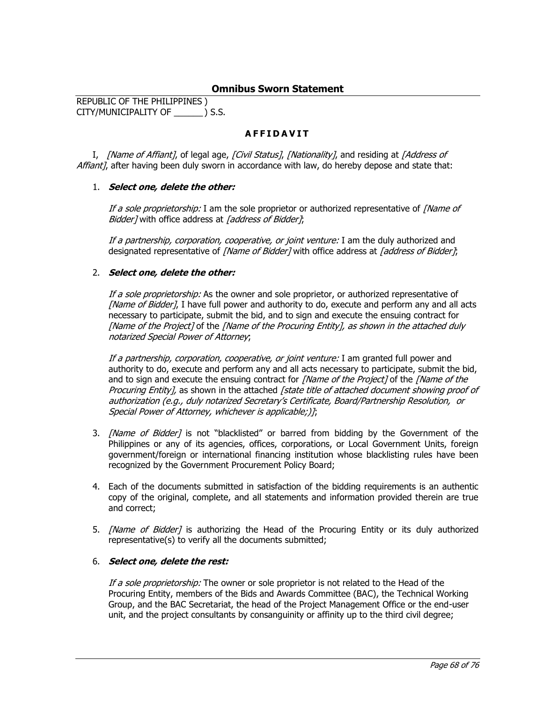### **Omnibus Sworn Statement**

REPUBLIC OF THE PHILIPPINES ) CITY/MUNICIPALITY OF  $\qquad$  ) S.S.

# **A F F I D A V I T**

I, [Name of Affiant], of legal age, [Civil Status], [Nationality], and residing at [Address of Affiant], after having been duly sworn in accordance with law, do hereby depose and state that:

#### 1. **Select one, delete the other:**

If a sole proprietorship: I am the sole proprietor or authorized representative of *[Name of* Bidder] with office address at [address of Bidder];

If a partnership, corporation, cooperative, or joint venture: I am the duly authorized and designated representative of [Name of Bidder] with office address at [address of Bidder];

### 2. **Select one, delete the other:**

If a sole proprietorship: As the owner and sole proprietor, or authorized representative of [Name of Bidder], I have full power and authority to do, execute and perform any and all acts necessary to participate, submit the bid, and to sign and execute the ensuing contract for [Name of the Project] of the [Name of the Procuring Entity], as shown in the attached duly notarized Special Power of Attorney;

If a partnership, corporation, cooperative, or joint venture: I am granted full power and authority to do, execute and perform any and all acts necessary to participate, submit the bid, and to sign and execute the ensuing contract for [Name of the Project] of the [Name of the Procuring Entity], as shown in the attached [state title of attached document showing proof of authorization (e.g., duly notarized Secretary's Certificate, Board/Partnership Resolution, or Special Power of Attorney, whichever is applicable;)];

- 3. *[Name of Bidder]* is not "blacklisted" or barred from bidding by the Government of the Philippines or any of its agencies, offices, corporations, or Local Government Units, foreign government/foreign or international financing institution whose blacklisting rules have been recognized by the Government Procurement Policy Board;
- 4. Each of the documents submitted in satisfaction of the bidding requirements is an authentic copy of the original, complete, and all statements and information provided therein are true and correct;
- 5. *[Name of Bidder]* is authorizing the Head of the Procuring Entity or its duly authorized representative(s) to verify all the documents submitted;

## 6. **Select one, delete the rest:**

If a sole proprietorship: The owner or sole proprietor is not related to the Head of the Procuring Entity, members of the Bids and Awards Committee (BAC), the Technical Working Group, and the BAC Secretariat, the head of the Project Management Office or the end-user unit, and the project consultants by consanguinity or affinity up to the third civil degree;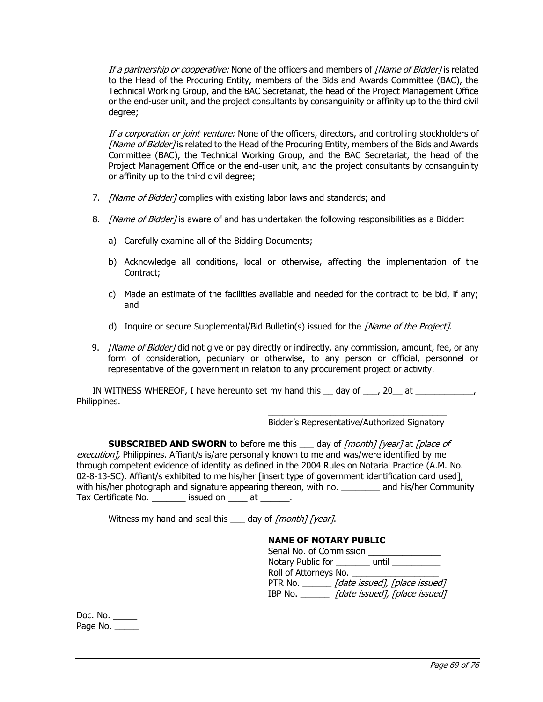If a partnership or cooperative: None of the officers and members of [Name of Bidder] is related to the Head of the Procuring Entity, members of the Bids and Awards Committee (BAC), the Technical Working Group, and the BAC Secretariat, the head of the Project Management Office or the end-user unit, and the project consultants by consanguinity or affinity up to the third civil degree;

If a corporation or joint venture: None of the officers, directors, and controlling stockholders of [Name of Bidder] is related to the Head of the Procuring Entity, members of the Bids and Awards Committee (BAC), the Technical Working Group, and the BAC Secretariat, the head of the Project Management Office or the end-user unit, and the project consultants by consanguinity or affinity up to the third civil degree;

- 7. *[Name of Bidder]* complies with existing labor laws and standards; and
- 8. *[Name of Bidder]* is aware of and has undertaken the following responsibilities as a Bidder:
	- a) Carefully examine all of the Bidding Documents;
	- b) Acknowledge all conditions, local or otherwise, affecting the implementation of the Contract;
	- c) Made an estimate of the facilities available and needed for the contract to be bid, if any; and
	- d) Inquire or secure Supplemental/Bid Bulletin(s) issued for the [Name of the Project].
- 9. *[Name of Bidder]* did not give or pay directly or indirectly, any commission, amount, fee, or any form of consideration, pecuniary or otherwise, to any person or official, personnel or representative of the government in relation to any procurement project or activity.

IN WITNESS WHEREOF, I have hereunto set my hand this day of , 20 at  $\sim$ Philippines.

> \_\_\_\_\_\_\_\_\_\_\_\_\_\_\_\_\_\_\_\_\_\_\_\_\_\_\_\_\_\_\_\_\_\_\_\_\_ Bidder's Representative/Authorized Signatory

**SUBSCRIBED AND SWORN** to before me this day of [month] [year] at [place of execution], Philippines. Affiant/s is/are personally known to me and was/were identified by me through competent evidence of identity as defined in the 2004 Rules on Notarial Practice (A.M. No. 02-8-13-SC). Affiant/s exhibited to me his/her [insert type of government identification card used], with his/her photograph and signature appearing thereon, with no. \_\_\_\_\_\_\_\_\_ and his/her Community Tax Certificate No. \_\_\_\_\_\_\_ issued on \_\_\_\_ at \_\_\_\_\_\_.

Witness my hand and seal this day of  $[month]$  [year].

#### **NAME OF NOTARY PUBLIC**

| Serial No. of Commission |       |                               |
|--------------------------|-------|-------------------------------|
| Notary Public for ______ | until |                               |
| Roll of Attorneys No.    |       |                               |
| PTR No.                  |       | [date issued], [place issued] |
| IBP No.                  |       | [date issued], [place issued] |

| Doc. No. |  |
|----------|--|
| Page No. |  |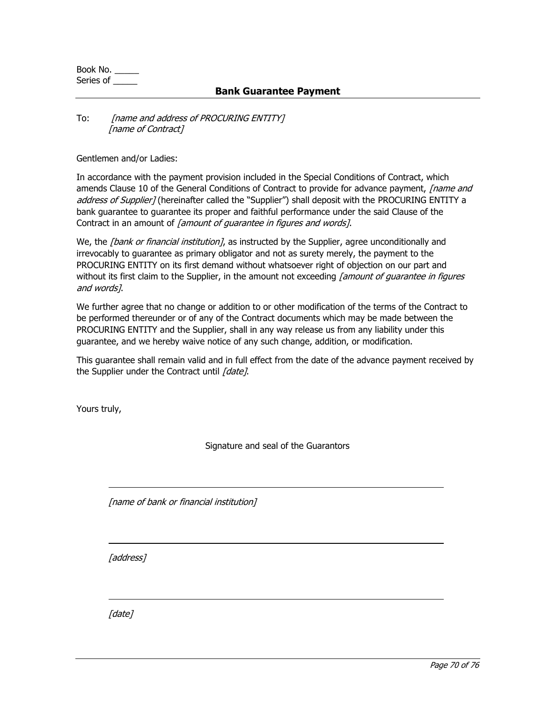Book No. \_\_\_\_\_ Series of \_\_\_\_\_

## To: [name and address of PROCURING ENTITY] [name of Contract]

Gentlemen and/or Ladies:

In accordance with the payment provision included in the Special Conditions of Contract, which amends Clause [10](#page-37-1) of the General Conditions of Contract to provide for advance payment, *[name and* address of Supplier] (hereinafter called the "Supplier") shall deposit with the PROCURING ENTITY a bank guarantee to guarantee its proper and faithful performance under the said Clause of the Contract in an amount of *[amount of guarantee in figures and words]*.

We, the *[bank or financial institution]*, as instructed by the Supplier, agree unconditionally and irrevocably to guarantee as primary obligator and not as surety merely, the payment to the PROCURING ENTITY on its first demand without whatsoever right of objection on our part and without its first claim to the Supplier, in the amount not exceeding *[amount of guarantee in figures* and words].

We further agree that no change or addition to or other modification of the terms of the Contract to be performed thereunder or of any of the Contract documents which may be made between the PROCURING ENTITY and the Supplier, shall in any way release us from any liability under this guarantee, and we hereby waive notice of any such change, addition, or modification.

This guarantee shall remain valid and in full effect from the date of the advance payment received by the Supplier under the Contract until [date].

Yours truly,

Signature and seal of the Guarantors

[name of bank or financial institution]

[address]

[date]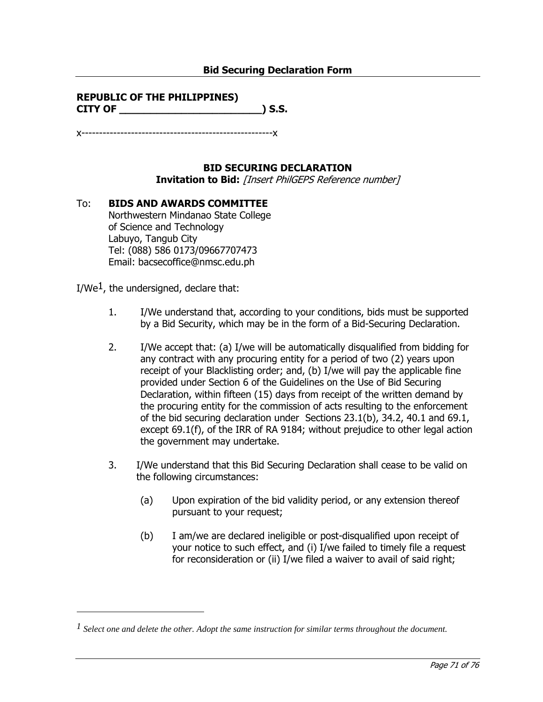# **REPUBLIC OF THE PHILIPPINES) CITY OF \_\_\_\_\_\_\_\_\_\_\_\_\_\_\_\_\_\_\_\_\_\_\_) S.S.**

x------------------------------------------------------x

# **BID SECURING DECLARATION**

**Invitation to Bid:** [Insert PhilGEPS Reference number]

# To: **BIDS AND AWARDS COMMITTEE** Northwestern Mindanao State College of Science and Technology Labuyo, Tangub City Tel: (088) 586 0173/09667707473 Email: bacsecoffice@nmsc.edu.ph

I/We<sup>1</sup>, the undersigned, declare that:

 $\overline{a}$ 

- 1. I/We understand that, according to your conditions, bids must be supported by a Bid Security, which may be in the form of a Bid-Securing Declaration.
- 2. I/We accept that: (a) I/we will be automatically disqualified from bidding for any contract with any procuring entity for a period of two (2) years upon receipt of your Blacklisting order; and, (b) I/we will pay the applicable fine provided under Section 6 of the Guidelines on the Use of Bid Securing Declaration, within fifteen (15) days from receipt of the written demand by the procuring entity for the commission of acts resulting to the enforcement of the bid securing declaration under Sections 23.1(b), 34.2, 40.1 and 69.1, except 69.1(f), of the IRR of RA 9184; without prejudice to other legal action the government may undertake.
- 3. I/We understand that this Bid Securing Declaration shall cease to be valid on the following circumstances:
	- (a) Upon expiration of the bid validity period, or any extension thereof pursuant to your request;
	- (b) I am/we are declared ineligible or post-disqualified upon receipt of your notice to such effect, and (i) I/we failed to timely file a request for reconsideration or (ii) I/we filed a waiver to avail of said right;

*<sup>1</sup> Select one and delete the other. Adopt the same instruction for similar terms throughout the document.*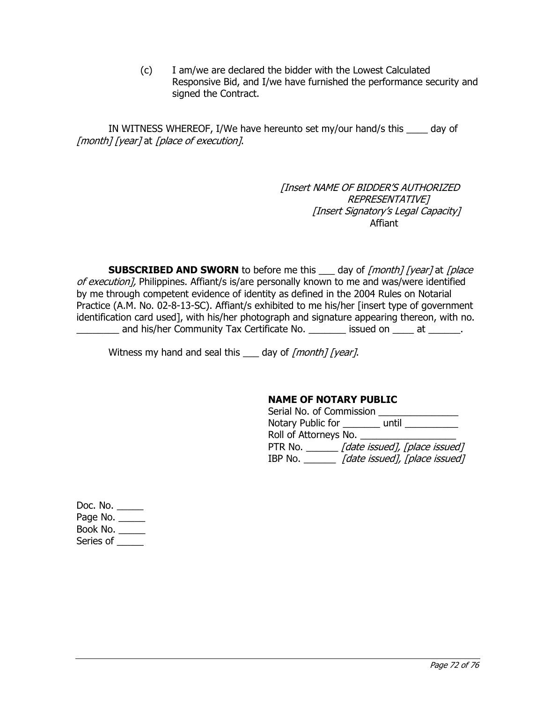(c) I am/we are declared the bidder with the Lowest Calculated Responsive Bid, and I/we have furnished the performance security and signed the Contract.

IN WITNESS WHEREOF, I/We have hereunto set my/our hand/s this \_\_\_\_ day of [month] [year] at [place of execution].

> [Insert NAME OF BIDDER'S AUTHORIZED REPRESENTATIVE] [Insert Signatory's Legal Capacity] Affiant

**SUBSCRIBED AND SWORN** to before me this \_\_\_ day of [month] [year] at [place of execution], Philippines. Affiant/s is/are personally known to me and was/were identified by me through competent evidence of identity as defined in the 2004 Rules on Notarial Practice (A.M. No. 02-8-13-SC). Affiant/s exhibited to me his/her [insert type of government identification card used], with his/her photograph and signature appearing thereon, with no. and his/her Community Tax Certificate No. This issued on the at the set of the section of the set of the set o

Witness my hand and seal this \_\_\_ day of [month] [year].

# **NAME OF NOTARY PUBLIC**

| Serial No. of Commission |       |                               |
|--------------------------|-------|-------------------------------|
| Notary Public for        | until |                               |
| Roll of Attorneys No.    |       |                               |
| PTR No.                  |       | [date issued], [place issued] |
| IBP No.                  |       | [date issued], [place issued] |

| Doc. No. $\overline{\phantom{a}}$ |  |
|-----------------------------------|--|
| Page No. _                        |  |
| Book No.                          |  |
| Series of                         |  |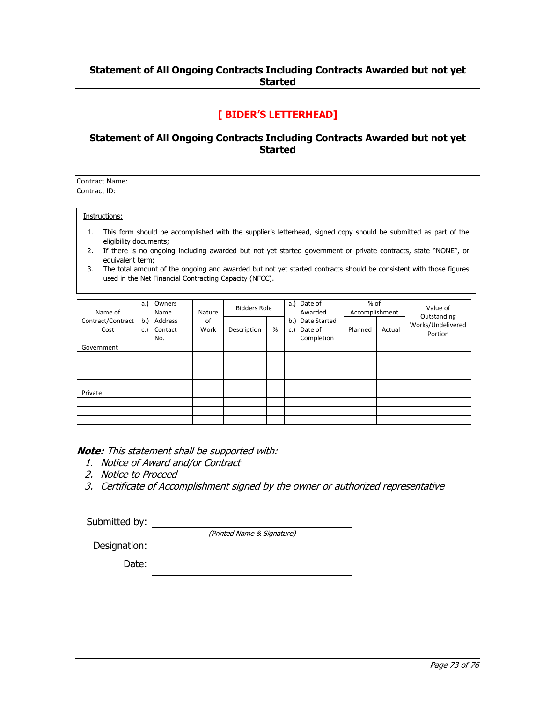# **[ BIDER'S LETTERHEAD]**

#### **Statement of All Ongoing Contracts Including Contracts Awarded but not yet Started**

Contract Name: Contract ID:

#### Instructions:

- 1. This form should be accomplished with the supplier's letterhead, signed copy should be submitted as part of the eligibility documents;
- 2. If there is no ongoing including awarded but not yet started government or private contracts, state "NONE", or equivalent term;
- 3. The total amount of the ongoing and awarded but not yet started contracts should be consistent with those figures used in the Net Financial Contracting Capacity (NFCC).

| Name of                   | a.)       | Owners<br>Name            | Nature     | <b>Bidders Role</b> |   | Date of<br>a.)<br>Awarded |                                       | $%$ of<br>Accomplishment |        | Value of                                    |  |
|---------------------------|-----------|---------------------------|------------|---------------------|---|---------------------------|---------------------------------------|--------------------------|--------|---------------------------------------------|--|
| Contract/Contract<br>Cost | b.<br>c.) | Address<br>Contact<br>No. | of<br>Work | Description         | % | b.<br>c.                  | Date Started<br>Date of<br>Completion | Planned                  | Actual | Outstanding<br>Works/Undelivered<br>Portion |  |
| Government                |           |                           |            |                     |   |                           |                                       |                          |        |                                             |  |
|                           |           |                           |            |                     |   |                           |                                       |                          |        |                                             |  |
|                           |           |                           |            |                     |   |                           |                                       |                          |        |                                             |  |
|                           |           |                           |            |                     |   |                           |                                       |                          |        |                                             |  |
|                           |           |                           |            |                     |   |                           |                                       |                          |        |                                             |  |
| Private                   |           |                           |            |                     |   |                           |                                       |                          |        |                                             |  |
|                           |           |                           |            |                     |   |                           |                                       |                          |        |                                             |  |
|                           |           |                           |            |                     |   |                           |                                       |                          |        |                                             |  |
|                           |           |                           |            |                     |   |                           |                                       |                          |        |                                             |  |

**Note:** This statement shall be supported with:

- 1. Notice of Award and/or Contract
- 2. Notice to Proceed
- 3. Certificate of Accomplishment signed by the owner or authorized representative

Submitted by:

(Printed Name & Signature)

Designation:

Date: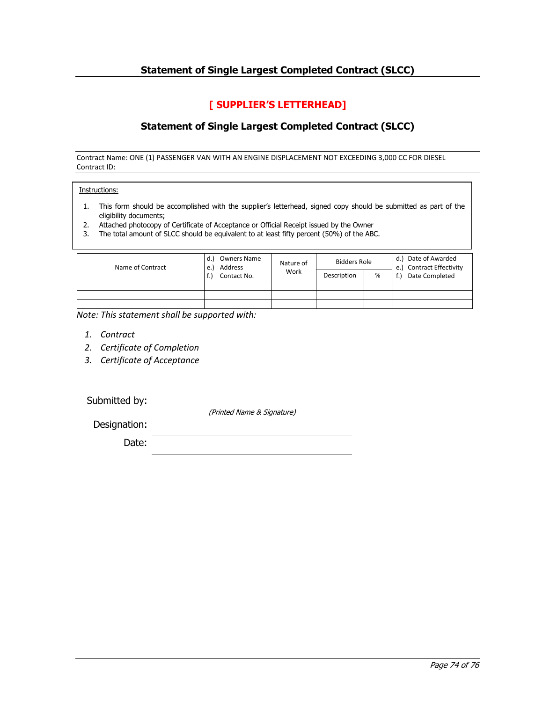## **Statement of Single Largest Completed Contract (SLCC)**

# **[ SUPPLIER'S LETTERHEAD]**

## **Statement of Single Largest Completed Contract (SLCC)**

Contract Name: ONE (1) PASSENGER VAN WITH AN ENGINE DISPLACEMENT NOT EXCEEDING 3,000 CC FOR DIESEL Contract ID:

#### Instructions:

- 1. This form should be accomplished with the supplier's letterhead, signed copy should be submitted as part of the eligibility documents;
- 2. Attached photocopy of Certificate of Acceptance or Official Receipt issued by the Owner
- 3. The total amount of SLCC should be equivalent to at least fifty percent (50%) of the ABC.

| Name of Contract | d.<br>Owners Name<br>Address<br>e. | Nature of | <b>Bidders Role</b> |   | Date of Awarded<br>d.<br><b>Contract Effectivity</b><br>e.) |  |
|------------------|------------------------------------|-----------|---------------------|---|-------------------------------------------------------------|--|
|                  | Contact No.                        | Work      | Description         | % | Date Completed                                              |  |
|                  |                                    |           |                     |   |                                                             |  |
|                  |                                    |           |                     |   |                                                             |  |
|                  |                                    |           |                     |   |                                                             |  |

*Note: This statement shall be supported with:*

- *1. Contract*
- *2. Certificate of Completion*
- *3. Certificate of Acceptance*

Submitted by:

(Printed Name & Signature)

Designation:

Date: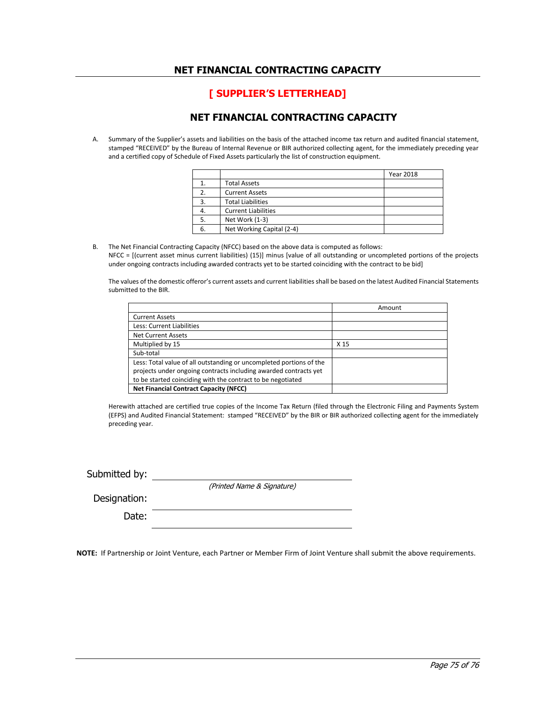### **NET FINANCIAL CONTRACTING CAPACITY**

# **[ SUPPLIER'S LETTERHEAD]**

## **NET FINANCIAL CONTRACTING CAPACITY**

A. Summary of the Supplier's assets and liabilities on the basis of the attached income tax return and audited financial statement, stamped "RECEIVED" by the Bureau of Internal Revenue or BIR authorized collecting agent, for the immediately preceding year and a certified copy of Schedule of Fixed Assets particularly the list of construction equipment.

|    |                            | Year 2018 |
|----|----------------------------|-----------|
|    | <b>Total Assets</b>        |           |
| 2. | <b>Current Assets</b>      |           |
| 3. | <b>Total Liabilities</b>   |           |
| 4. | <b>Current Liabilities</b> |           |
| 5. | Net Work (1-3)             |           |
| 6. | Net Working Capital (2-4)  |           |

B. The Net Financial Contracting Capacity (NFCC) based on the above data is computed as follows: NFCC = [(current asset minus current liabilities) (15)] minus [value of all outstanding or uncompleted portions of the projects under ongoing contracts including awarded contracts yet to be started coinciding with the contract to be bid]

The values of the domestic offeror's current assets and current liabilities shall be based on the latest Audited Financial Statements submitted to the BIR.

|                                                                     | Amount |
|---------------------------------------------------------------------|--------|
| <b>Current Assets</b>                                               |        |
| Less: Current Liabilities                                           |        |
| <b>Net Current Assets</b>                                           |        |
| Multiplied by 15                                                    | X 15   |
| Sub-total                                                           |        |
| Less: Total value of all outstanding or uncompleted portions of the |        |
| projects under ongoing contracts including awarded contracts yet    |        |
| to be started coinciding with the contract to be negotiated         |        |
| <b>Net Financial Contract Capacity (NFCC)</b>                       |        |

Herewith attached are certified true copies of the Income Tax Return (filed through the Electronic Filing and Payments System (EFPS) and Audited Financial Statement: stamped "RECEIVED" by the BIR or BIR authorized collecting agent for the immediately preceding year.

Submitted by: \_\_\_\_\_

(Printed Name & Signature)

Designation:

Date:

**NOTE:** If Partnership or Joint Venture, each Partner or Member Firm of Joint Venture shall submit the above requirements.